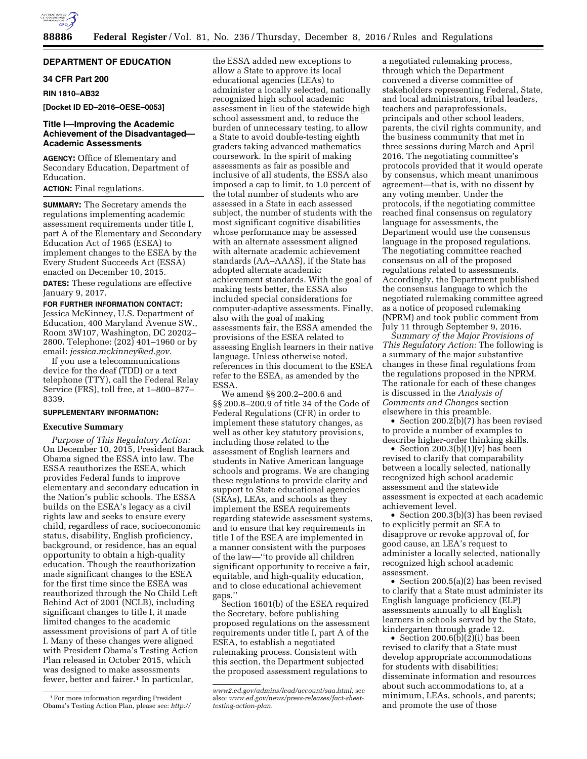

# **DEPARTMENT OF EDUCATION**

# **34 CFR Part 200**

**RIN 1810–AB32** 

**[Docket ID ED–2016–OESE–0053]** 

# **Title I—Improving the Academic Achievement of the Disadvantaged— Academic Assessments**

**AGENCY:** Office of Elementary and Secondary Education, Department of Education.

# **ACTION:** Final regulations.

**SUMMARY:** The Secretary amends the regulations implementing academic assessment requirements under title I, part A of the Elementary and Secondary Education Act of 1965 (ESEA) to implement changes to the ESEA by the Every Student Succeeds Act (ESSA) enacted on December 10, 2015.

**DATES:** These regulations are effective January 9, 2017.

#### **FOR FURTHER INFORMATION CONTACT:**

Jessica McKinney, U.S. Department of Education, 400 Maryland Avenue SW., Room 3W107, Washington, DC 20202– 2800. Telephone: (202) 401–1960 or by email: *[jessica.mckinney@ed.gov.](mailto:jessica.mckinney@ed.gov)* 

If you use a telecommunications device for the deaf (TDD) or a text telephone (TTY), call the Federal Relay Service (FRS), toll free, at 1–800–877– 8339.

#### **SUPPLEMENTARY INFORMATION:**

# **Executive Summary**

*Purpose of This Regulatory Action:*  On December 10, 2015, President Barack Obama signed the ESSA into law. The ESSA reauthorizes the ESEA, which provides Federal funds to improve elementary and secondary education in the Nation's public schools. The ESSA builds on the ESEA's legacy as a civil rights law and seeks to ensure every child, regardless of race, socioeconomic status, disability, English proficiency, background, or residence, has an equal opportunity to obtain a high-quality education. Though the reauthorization made significant changes to the ESEA for the first time since the ESEA was reauthorized through the No Child Left Behind Act of 2001 (NCLB), including significant changes to title I, it made limited changes to the academic assessment provisions of part A of title I. Many of these changes were aligned with President Obama's Testing Action Plan released in October 2015, which was designed to make assessments fewer, better and fairer.<sup>1</sup> In particular,

the ESSA added new exceptions to allow a State to approve its local educational agencies (LEAs) to administer a locally selected, nationally recognized high school academic assessment in lieu of the statewide high school assessment and, to reduce the burden of unnecessary testing, to allow a State to avoid double-testing eighth graders taking advanced mathematics coursework. In the spirit of making assessments as fair as possible and inclusive of all students, the ESSA also imposed a cap to limit, to 1.0 percent of the total number of students who are assessed in a State in each assessed subject, the number of students with the most significant cognitive disabilities whose performance may be assessed with an alternate assessment aligned with alternate academic achievement standards (AA–AAAS), if the State has adopted alternate academic achievement standards. With the goal of making tests better, the ESSA also included special considerations for computer-adaptive assessments. Finally, also with the goal of making assessments fair, the ESSA amended the provisions of the ESEA related to assessing English learners in their native language. Unless otherwise noted, references in this document to the ESEA refer to the ESEA, as amended by the ESSA.

We amend §§ 200.2–200.6 and §§ 200.8–200.9 of title 34 of the Code of Federal Regulations (CFR) in order to implement these statutory changes, as well as other key statutory provisions, including those related to the assessment of English learners and students in Native American language schools and programs. We are changing these regulations to provide clarity and support to State educational agencies (SEAs), LEAs, and schools as they implement the ESEA requirements regarding statewide assessment systems, and to ensure that key requirements in title I of the ESEA are implemented in a manner consistent with the purposes of the law—''to provide all children significant opportunity to receive a fair, equitable, and high-quality education, and to close educational achievement gaps.''

Section 1601(b) of the ESEA required the Secretary, before publishing proposed regulations on the assessment requirements under title I, part A of the ESEA, to establish a negotiated rulemaking process. Consistent with this section, the Department subjected the proposed assessment regulations to

a negotiated rulemaking process, through which the Department convened a diverse committee of stakeholders representing Federal, State, and local administrators, tribal leaders, teachers and paraprofessionals, principals and other school leaders, parents, the civil rights community, and the business community that met in three sessions during March and April 2016. The negotiating committee's protocols provided that it would operate by consensus, which meant unanimous agreement—that is, with no dissent by any voting member. Under the protocols, if the negotiating committee reached final consensus on regulatory language for assessments, the Department would use the consensus language in the proposed regulations. The negotiating committee reached consensus on all of the proposed regulations related to assessments. Accordingly, the Department published the consensus language to which the negotiated rulemaking committee agreed as a notice of proposed rulemaking (NPRM) and took public comment from July 11 through September 9, 2016.

*Summary of the Major Provisions of This Regulatory Action:* The following is a summary of the major substantive changes in these final regulations from the regulations proposed in the NPRM. The rationale for each of these changes is discussed in the *Analysis of Comments and Changes* section elsewhere in this preamble.

• Section 200.2(b)(7) has been revised to provide a number of examples to describe higher-order thinking skills.

• Section 200.3(b)(1)(v) has been revised to clarify that comparability between a locally selected, nationally recognized high school academic assessment and the statewide assessment is expected at each academic achievement level.

• Section 200.3(b)(3) has been revised to explicitly permit an SEA to disapprove or revoke approval of, for good cause, an LEA's request to administer a locally selected, nationally recognized high school academic assessment.

• Section 200.5(a)(2) has been revised to clarify that a State must administer its English language proficiency (ELP) assessments annually to all English learners in schools served by the State, kindergarten through grade 12.

• Section 200.6 $(b)(2)(i)$  has been revised to clarify that a State must develop appropriate accommodations for students with disabilities; disseminate information and resources about such accommodations to, at a minimum, LEAs, schools, and parents; and promote the use of those

<sup>1</sup>For more information regarding President Obama's Testing Action Plan, please see: *[http://](http://www2.ed.gov/admins/lead/account/saa.html)*

*[www2.ed.gov/admins/lead/account/saa.html;](http://www2.ed.gov/admins/lead/account/saa.html)* see also: *[www.ed.gov/news/press-releases/fact-sheet](http://www.ed.gov/news/press-releases/fact-sheet-testing-action-plan)[testing-action-plan.](http://www.ed.gov/news/press-releases/fact-sheet-testing-action-plan)*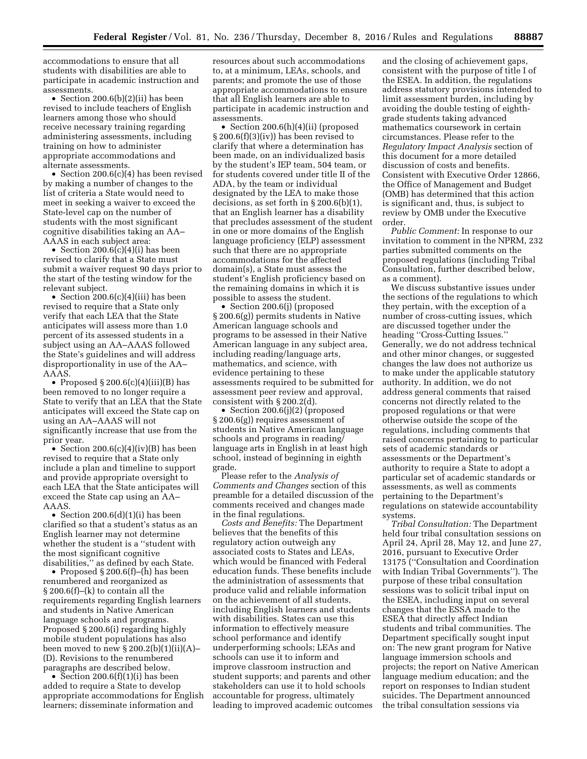accommodations to ensure that all students with disabilities are able to participate in academic instruction and assessments.

• Section 200.6(b)(2)(ii) has been revised to include teachers of English learners among those who should receive necessary training regarding administering assessments, including training on how to administer appropriate accommodations and alternate assessments.

• Section 200.6(c)(4) has been revised by making a number of changes to the list of criteria a State would need to meet in seeking a waiver to exceed the State-level cap on the number of students with the most significant cognitive disabilities taking an AA– AAAS in each subject area:

• Section 200.6 $(c)(4)(i)$  has been revised to clarify that a State must submit a waiver request 90 days prior to the start of the testing window for the relevant subject.

• Section 200.6(c)(4)(iii) has been revised to require that a State only verify that each LEA that the State anticipates will assess more than 1.0 percent of its assessed students in a subject using an AA–AAAS followed the State's guidelines and will address disproportionality in use of the AA– AAAS.

• Proposed  $\S 200.6(c)(4)(iii)(B)$  has been removed to no longer require a State to verify that an LEA that the State anticipates will exceed the State cap on using an AA–AAAS will not significantly increase that use from the prior year.

• Section 200.6(c)(4)(iv)(B) has been revised to require that a State only include a plan and timeline to support and provide appropriate oversight to each LEA that the State anticipates will exceed the State cap using an AA– AAAS.

• Section 200.6(d)(1)(i) has been clarified so that a student's status as an English learner may not determine whether the student is a ''student with the most significant cognitive disabilities,'' as defined by each State.

• Proposed § 200.6(f)–(h) has been renumbered and reorganized as § 200.6(f)–(k) to contain all the requirements regarding English learners and students in Native American language schools and programs. Proposed § 200.6(i) regarding highly mobile student populations has also been moved to new  $\S 200.2(b)(1)(ii)(A)$ -(D). Revisions to the renumbered paragraphs are described below.

• Section 200.6(f)(1)(i) has been added to require a State to develop appropriate accommodations for English learners; disseminate information and

resources about such accommodations to, at a minimum, LEAs, schools, and parents; and promote the use of those appropriate accommodations to ensure that all English learners are able to participate in academic instruction and assessments.

• Section 200.6(h)(4)(ii) (proposed § 200.6(f)(3)(iv)) has been revised to clarify that where a determination has been made, on an individualized basis by the student's IEP team, 504 team, or for students covered under title II of the ADA, by the team or individual designated by the LEA to make those decisions, as set forth in § 200.6(b)(1), that an English learner has a disability that precludes assessment of the student in one or more domains of the English language proficiency (ELP) assessment such that there are no appropriate accommodations for the affected domain(s), a State must assess the student's English proficiency based on the remaining domains in which it is possible to assess the student.

• Section 200.6(j) (proposed § 200.6(g)) permits students in Native American language schools and programs to be assessed in their Native American language in any subject area, including reading/language arts, mathematics, and science, with evidence pertaining to these assessments required to be submitted for assessment peer review and approval, consistent with § 200.2(d).

• Section 200.6(j)(2) (proposed § 200.6(g)) requires assessment of students in Native American language schools and programs in reading/ language arts in English in at least high school, instead of beginning in eighth grade.

Please refer to the *Analysis of Comments and Changes* section of this preamble for a detailed discussion of the comments received and changes made in the final regulations.

*Costs and Benefits:* The Department believes that the benefits of this regulatory action outweigh any associated costs to States and LEAs, which would be financed with Federal education funds. These benefits include the administration of assessments that produce valid and reliable information on the achievement of all students, including English learners and students with disabilities. States can use this information to effectively measure school performance and identify underperforming schools; LEAs and schools can use it to inform and improve classroom instruction and student supports; and parents and other stakeholders can use it to hold schools accountable for progress, ultimately leading to improved academic outcomes and the closing of achievement gaps, consistent with the purpose of title I of the ESEA. In addition, the regulations address statutory provisions intended to limit assessment burden, including by avoiding the double testing of eighthgrade students taking advanced mathematics coursework in certain circumstances. Please refer to the *Regulatory Impact Analysis* section of this document for a more detailed discussion of costs and benefits. Consistent with Executive Order 12866, the Office of Management and Budget (OMB) has determined that this action is significant and, thus, is subject to review by OMB under the Executive order.

*Public Comment:* In response to our invitation to comment in the NPRM, 232 parties submitted comments on the proposed regulations (including Tribal Consultation, further described below, as a comment).

We discuss substantive issues under the sections of the regulations to which they pertain, with the exception of a number of cross-cutting issues, which are discussed together under the heading ''Cross-Cutting Issues.'' Generally, we do not address technical and other minor changes, or suggested changes the law does not authorize us to make under the applicable statutory authority. In addition, we do not address general comments that raised concerns not directly related to the proposed regulations or that were otherwise outside the scope of the regulations, including comments that raised concerns pertaining to particular sets of academic standards or assessments or the Department's authority to require a State to adopt a particular set of academic standards or assessments, as well as comments pertaining to the Department's regulations on statewide accountability systems.

*Tribal Consultation:* The Department held four tribal consultation sessions on April 24, April 28, May 12, and June 27, 2016, pursuant to Executive Order 13175 (''Consultation and Coordination with Indian Tribal Governments''). The purpose of these tribal consultation sessions was to solicit tribal input on the ESEA, including input on several changes that the ESSA made to the ESEA that directly affect Indian students and tribal communities. The Department specifically sought input on: The new grant program for Native language immersion schools and projects; the report on Native American language medium education; and the report on responses to Indian student suicides. The Department announced the tribal consultation sessions via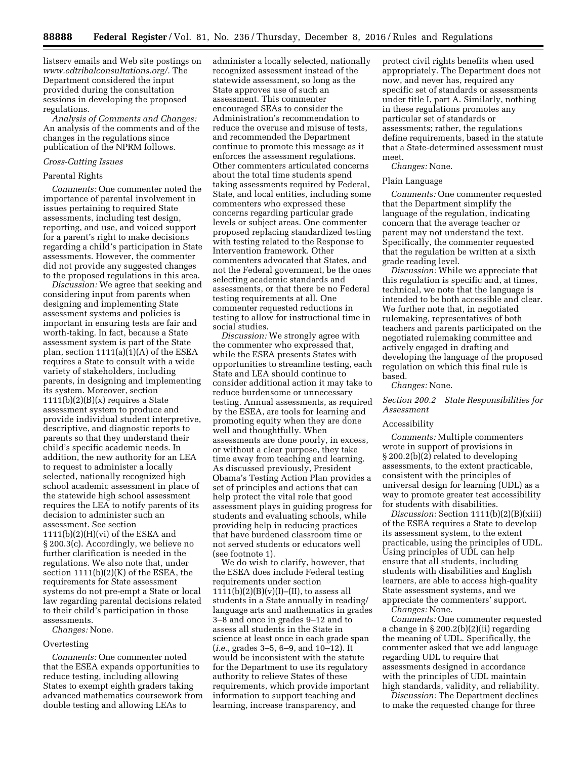listserv emails and Web site postings on *[www.edtribalconsultations.org/.](http://www.edtribalconsultations.org/)* The Department considered the input provided during the consultation sessions in developing the proposed regulations.

*Analysis of Comments and Changes:*  An analysis of the comments and of the changes in the regulations since publication of the NPRM follows.

#### *Cross-Cutting Issues*

#### Parental Rights

*Comments:* One commenter noted the importance of parental involvement in issues pertaining to required State assessments, including test design, reporting, and use, and voiced support for a parent's right to make decisions regarding a child's participation in State assessments. However, the commenter did not provide any suggested changes to the proposed regulations in this area.

*Discussion:* We agree that seeking and considering input from parents when designing and implementing State assessment systems and policies is important in ensuring tests are fair and worth-taking. In fact, because a State assessment system is part of the State plan, section 1111(a)(1)(A) of the ESEA requires a State to consult with a wide variety of stakeholders, including parents, in designing and implementing its system. Moreover, section  $1111(b)(2)(B)(x)$  requires a State assessment system to produce and provide individual student interpretive, descriptive, and diagnostic reports to parents so that they understand their child's specific academic needs. In addition, the new authority for an LEA to request to administer a locally selected, nationally recognized high school academic assessment in place of the statewide high school assessment requires the LEA to notify parents of its decision to administer such an assessment. See section  $1111(b)(2)(H)(vi)$  of the ESEA and § 200.3(c). Accordingly, we believe no further clarification is needed in the regulations. We also note that, under section 1111(b)(2)(K) of the ESEA, the requirements for State assessment systems do not pre-empt a State or local law regarding parental decisions related to their child's participation in those assessments.

*Changes:* None.

#### Overtesting

*Comments:* One commenter noted that the ESEA expands opportunities to reduce testing, including allowing States to exempt eighth graders taking advanced mathematics coursework from double testing and allowing LEAs to

administer a locally selected, nationally recognized assessment instead of the statewide assessment, so long as the State approves use of such an assessment. This commenter encouraged SEAs to consider the Administration's recommendation to reduce the overuse and misuse of tests, and recommended the Department continue to promote this message as it enforces the assessment regulations. Other commenters articulated concerns about the total time students spend taking assessments required by Federal, State, and local entities, including some commenters who expressed these concerns regarding particular grade levels or subject areas. One commenter proposed replacing standardized testing with testing related to the Response to Intervention framework. Other commenters advocated that States, and not the Federal government, be the ones selecting academic standards and assessments, or that there be no Federal testing requirements at all. One commenter requested reductions in testing to allow for instructional time in social studies.

*Discussion:* We strongly agree with the commenter who expressed that, while the ESEA presents States with opportunities to streamline testing, each State and LEA should continue to consider additional action it may take to reduce burdensome or unnecessary testing. Annual assessments, as required by the ESEA, are tools for learning and promoting equity when they are done well and thoughtfully. When assessments are done poorly, in excess, or without a clear purpose, they take time away from teaching and learning. As discussed previously, President Obama's Testing Action Plan provides a set of principles and actions that can help protect the vital role that good assessment plays in guiding progress for students and evaluating schools, while providing help in reducing practices that have burdened classroom time or not served students or educators well (see footnote 1).

We do wish to clarify, however, that the ESEA does include Federal testing requirements under section  $1111(b)(2)(B)(v)(I)–(II),$  to assess all students in a State annually in reading/ language arts and mathematics in grades 3–8 and once in grades 9–12 and to assess all students in the State in science at least once in each grade span (*i.e.,* grades 3–5, 6–9, and 10–12). It would be inconsistent with the statute for the Department to use its regulatory authority to relieve States of these requirements, which provide important information to support teaching and learning, increase transparency, and

protect civil rights benefits when used appropriately. The Department does not now, and never has, required any specific set of standards or assessments under title I, part A. Similarly, nothing in these regulations promotes any particular set of standards or assessments; rather, the regulations define requirements, based in the statute that a State-determined assessment must meet.

# *Changes:* None.

#### Plain Language

*Comments:* One commenter requested that the Department simplify the language of the regulation, indicating concern that the average teacher or parent may not understand the text. Specifically, the commenter requested that the regulation be written at a sixth grade reading level.

*Discussion:* While we appreciate that this regulation is specific and, at times, technical, we note that the language is intended to be both accessible and clear. We further note that, in negotiated rulemaking, representatives of both teachers and parents participated on the negotiated rulemaking committee and actively engaged in drafting and developing the language of the proposed regulation on which this final rule is based.

# *Changes:* None.

*Section 200.2 State Responsibilities for Assessment* 

#### Accessibility

*Comments:* Multiple commenters wrote in support of provisions in § 200.2(b)(2) related to developing assessments, to the extent practicable, consistent with the principles of universal design for learning (UDL) as a way to promote greater test accessibility for students with disabilities.

*Discussion:* Section 1111(b)(2)(B)(xiii) of the ESEA requires a State to develop its assessment system, to the extent practicable, using the principles of UDL. Using principles of UDL can help ensure that all students, including students with disabilities and English learners, are able to access high-quality State assessment systems, and we appreciate the commenters' support.

*Changes:* None.

*Comments:* One commenter requested a change in § 200.2(b)(2)(ii) regarding the meaning of UDL. Specifically, the commenter asked that we add language regarding UDL to require that assessments designed in accordance with the principles of UDL maintain high standards, validity, and reliability.

*Discussion:* The Department declines to make the requested change for three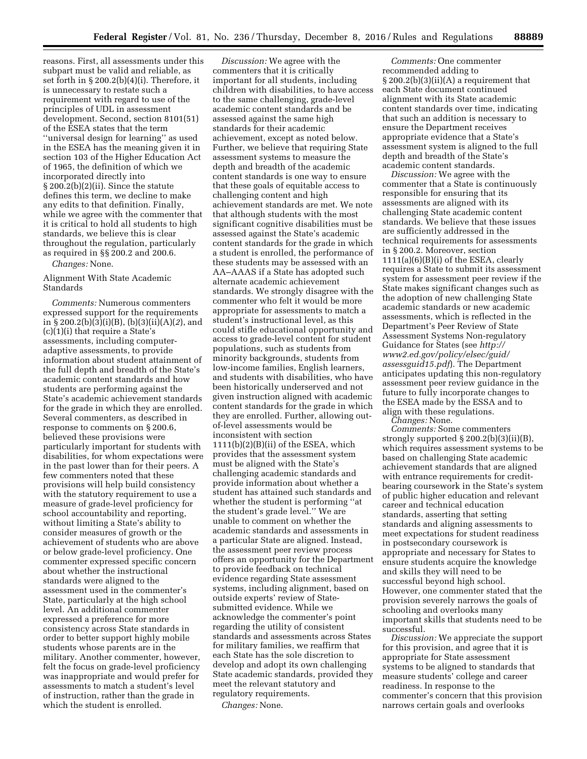reasons. First, all assessments under this subpart must be valid and reliable, as set forth in § 200.2(b)(4)(i). Therefore, it is unnecessary to restate such a requirement with regard to use of the principles of UDL in assessment development. Second, section 8101(51) of the ESEA states that the term ''universal design for learning'' as used in the ESEA has the meaning given it in section 103 of the Higher Education Act of 1965, the definition of which we incorporated directly into § 200.2(b)(2)(ii). Since the statute defines this term, we decline to make any edits to that definition. Finally, while we agree with the commenter that it is critical to hold all students to high standards, we believe this is clear throughout the regulation, particularly as required in §§ 200.2 and 200.6.

*Changes:* None.

# Alignment With State Academic Standards

*Comments:* Numerous commenters expressed support for the requirements in § 200.2(b)(3)(i)(B), (b)(3)(ii)(A)(*2*), and (c)(1)(i) that require a State's assessments, including computeradaptive assessments, to provide information about student attainment of the full depth and breadth of the State's academic content standards and how students are performing against the State's academic achievement standards for the grade in which they are enrolled. Several commenters, as described in response to comments on § 200.6, believed these provisions were particularly important for students with disabilities, for whom expectations were in the past lower than for their peers. A few commenters noted that these provisions will help build consistency with the statutory requirement to use a measure of grade-level proficiency for school accountability and reporting, without limiting a State's ability to consider measures of growth or the achievement of students who are above or below grade-level proficiency. One commenter expressed specific concern about whether the instructional standards were aligned to the assessment used in the commenter's State, particularly at the high school level. An additional commenter expressed a preference for more consistency across State standards in order to better support highly mobile students whose parents are in the military. Another commenter, however, felt the focus on grade-level proficiency was inappropriate and would prefer for assessments to match a student's level of instruction, rather than the grade in which the student is enrolled.

*Discussion:* We agree with the commenters that it is critically important for all students, including children with disabilities, to have access to the same challenging, grade-level academic content standards and be assessed against the same high standards for their academic achievement, except as noted below. Further, we believe that requiring State assessment systems to measure the depth and breadth of the academic content standards is one way to ensure that these goals of equitable access to challenging content and high achievement standards are met. We note that although students with the most significant cognitive disabilities must be assessed against the State's academic content standards for the grade in which a student is enrolled, the performance of these students may be assessed with an AA–AAAS if a State has adopted such alternate academic achievement standards. We strongly disagree with the commenter who felt it would be more appropriate for assessments to match a student's instructional level, as this could stifle educational opportunity and access to grade-level content for student populations, such as students from minority backgrounds, students from low-income families, English learners, and students with disabilities, who have been historically underserved and not given instruction aligned with academic content standards for the grade in which they are enrolled. Further, allowing outof-level assessments would be inconsistent with section 1111(b)(2)(B)(ii) of the ESEA, which provides that the assessment system must be aligned with the State's challenging academic standards and provide information about whether a student has attained such standards and whether the student is performing ''at the student's grade level.'' We are unable to comment on whether the academic standards and assessments in a particular State are aligned. Instead, the assessment peer review process offers an opportunity for the Department to provide feedback on technical evidence regarding State assessment systems, including alignment, based on outside experts' review of Statesubmitted evidence. While we acknowledge the commenter's point regarding the utility of consistent standards and assessments across States for military families, we reaffirm that each State has the sole discretion to develop and adopt its own challenging State academic standards, provided they meet the relevant statutory and regulatory requirements.

*Changes:* None.

*Comments:* One commenter recommended adding to  $\S 200.2(b)(3)(ii)(A)$  a requirement that each State document continued alignment with its State academic content standards over time, indicating that such an addition is necessary to ensure the Department receives appropriate evidence that a State's assessment system is aligned to the full depth and breadth of the State's academic content standards.

*Discussion:* We agree with the commenter that a State is continuously responsible for ensuring that its assessments are aligned with its challenging State academic content standards. We believe that these issues are sufficiently addressed in the technical requirements for assessments in § 200.2. Moreover, section 1111(a)(6)(B)(i) of the ESEA, clearly requires a State to submit its assessment system for assessment peer review if the State makes significant changes such as the adoption of new challenging State academic standards or new academic assessments, which is reflected in the Department's Peer Review of State Assessment Systems Non-regulatory Guidance for States (see *[http://](http://www2.ed.gov/policy/elsec/guid/assessguid15.pdf) [www2.ed.gov/policy/elsec/guid/](http://www2.ed.gov/policy/elsec/guid/assessguid15.pdf)  [assessguid15.pdf](http://www2.ed.gov/policy/elsec/guid/assessguid15.pdf)*). The Department anticipates updating this non-regulatory assessment peer review guidance in the future to fully incorporate changes to the ESEA made by the ESSA and to align with these regulations.

*Changes:* None.

*Comments:* Some commenters strongly supported § 200.2(b)(3)(ii)(B), which requires assessment systems to be based on challenging State academic achievement standards that are aligned with entrance requirements for creditbearing coursework in the State's system of public higher education and relevant career and technical education standards, asserting that setting standards and aligning assessments to meet expectations for student readiness in postsecondary coursework is appropriate and necessary for States to ensure students acquire the knowledge and skills they will need to be successful beyond high school. However, one commenter stated that the provision severely narrows the goals of schooling and overlooks many important skills that students need to be successful.

*Discussion:* We appreciate the support for this provision, and agree that it is appropriate for State assessment systems to be aligned to standards that measure students' college and career readiness. In response to the commenter's concern that this provision narrows certain goals and overlooks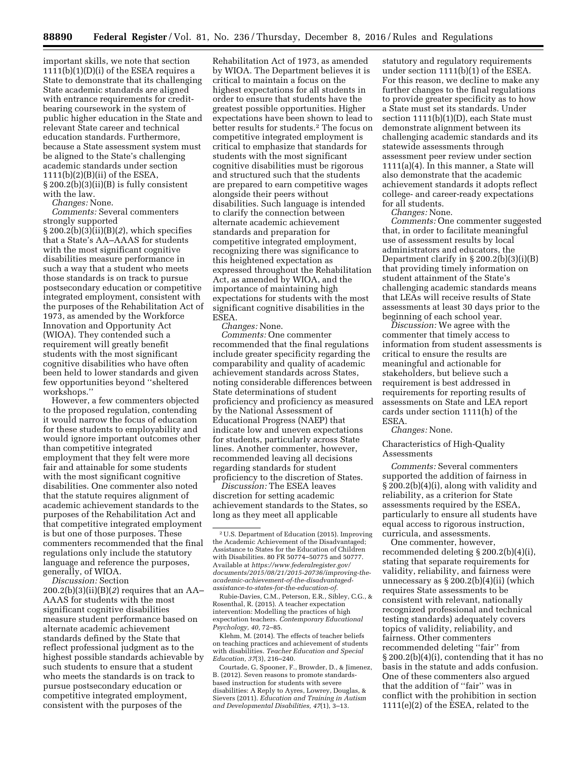important skills, we note that section  $1111(b)(1)(D)(i)$  of the ESEA requires a State to demonstrate that its challenging State academic standards are aligned with entrance requirements for creditbearing coursework in the system of public higher education in the State and relevant State career and technical education standards. Furthermore, because a State assessment system must be aligned to the State's challenging academic standards under section 1111(b)(2)(B)(ii) of the ESEA, § 200.2(b)(3)(ii)(B) is fully consistent with the law.

*Changes:* None.

*Comments:* Several commenters strongly supported

 $\S 200.\overline{2(b)}\overline{(3)}\overline{(ii)}\overline{(B)}\overline{(2)}$ , which specifies that a State's AA–AAAS for students with the most significant cognitive disabilities measure performance in such a way that a student who meets those standards is on track to pursue postsecondary education or competitive integrated employment, consistent with the purposes of the Rehabilitation Act of 1973, as amended by the Workforce Innovation and Opportunity Act (WIOA). They contended such a requirement will greatly benefit students with the most significant cognitive disabilities who have often been held to lower standards and given few opportunities beyond ''sheltered workshops.''

However, a few commenters objected to the proposed regulation, contending it would narrow the focus of education for these students to employability and would ignore important outcomes other than competitive integrated employment that they felt were more fair and attainable for some students with the most significant cognitive disabilities. One commenter also noted that the statute requires alignment of academic achievement standards to the purposes of the Rehabilitation Act and that competitive integrated employment is but one of those purposes. These commenters recommended that the final regulations only include the statutory language and reference the purposes, generally, of WIOA.

*Discussion:* Section

200.2(b)(3)(ii)(B)(*2*) requires that an AA– AAAS for students with the most significant cognitive disabilities measure student performance based on alternate academic achievement standards defined by the State that reflect professional judgment as to the highest possible standards achievable by such students to ensure that a student who meets the standards is on track to pursue postsecondary education or competitive integrated employment, consistent with the purposes of the

Rehabilitation Act of 1973, as amended by WIOA. The Department believes it is critical to maintain a focus on the highest expectations for all students in order to ensure that students have the greatest possible opportunities. Higher expectations have been shown to lead to better results for students.2 The focus on competitive integrated employment is critical to emphasize that standards for students with the most significant cognitive disabilities must be rigorous and structured such that the students are prepared to earn competitive wages alongside their peers without disabilities. Such language is intended to clarify the connection between alternate academic achievement standards and preparation for competitive integrated employment, recognizing there was significance to this heightened expectation as expressed throughout the Rehabilitation Act, as amended by WIOA, and the importance of maintaining high expectations for students with the most significant cognitive disabilities in the ESEA.

*Changes:* None.

*Comments:* One commenter recommended that the final regulations include greater specificity regarding the comparability and quality of academic achievement standards across States, noting considerable differences between State determinations of student proficiency and proficiency as measured by the National Assessment of Educational Progress (NAEP) that indicate low and uneven expectations for students, particularly across State lines. Another commenter, however, recommended leaving all decisions regarding standards for student proficiency to the discretion of States.

*Discussion:* The ESEA leaves discretion for setting academic achievement standards to the States, so long as they meet all applicable

Rubie-Davies, C.M., Peterson, E.R., Sibley, C.G., & Rosenthal, R. (2015). A teacher expectation intervention: Modelling the practices of high expectation teachers. *Contemporary Educational Psychology, 40,* 72–85.

Klehm, M. (2014). The effects of teacher beliefs on teaching practices and achievement of students with disabilities. *Teacher Education and Special Education, 37*(3), 216–240.

Courtade, G, Spooner, F., Browder, D., & Jimenez, B. (2012). Seven reasons to promote standardsbased instruction for students with severe disabilities: A Reply to Ayres, Lowrey, Douglas, & Sievers (2011). *Education and Training in Autism and Developmental Disabilities, 47*(1), 3–13.

statutory and regulatory requirements under section 1111(b)(1) of the ESEA. For this reason, we decline to make any further changes to the final regulations to provide greater specificity as to how a State must set its standards. Under section 1111(b)(1)(D), each State must demonstrate alignment between its challenging academic standards and its statewide assessments through assessment peer review under section 1111(a)(4). In this manner, a State will also demonstrate that the academic achievement standards it adopts reflect college- and career-ready expectations for all students.

*Changes:* None.

*Comments:* One commenter suggested that, in order to facilitate meaningful use of assessment results by local administrators and educators, the Department clarify in § 200.2(b)(3)(i)(B) that providing timely information on student attainment of the State's challenging academic standards means that LEAs will receive results of State assessments at least 30 days prior to the beginning of each school year.

*Discussion:* We agree with the commenter that timely access to information from student assessments is critical to ensure the results are meaningful and actionable for stakeholders, but believe such a requirement is best addressed in requirements for reporting results of assessments on State and LEA report cards under section 1111(h) of the ESEA.

*Changes:* None.

Characteristics of High-Quality Assessments

*Comments:* Several commenters supported the addition of fairness in § 200.2(b)(4)(i), along with validity and reliability, as a criterion for State assessments required by the ESEA, particularly to ensure all students have equal access to rigorous instruction, curricula, and assessments.

One commenter, however, recommended deleting § 200.2(b)(4)(i), stating that separate requirements for validity, reliability, and fairness were unnecessary as  $\S 200.2(b)(4)(ii)$  (which requires State assessments to be consistent with relevant, nationally recognized professional and technical testing standards) adequately covers topics of validity, reliability, and fairness. Other commenters recommended deleting ''fair'' from § 200.2(b)(4)(i), contending that it has no basis in the statute and adds confusion. One of these commenters also argued that the addition of ''fair'' was in conflict with the prohibition in section 1111(e)(2) of the ESEA, related to the

<sup>2</sup>U.S. Department of Education (2015). Improving the Academic Achievement of the Disadvantaged; Assistance to States for the Education of Children with Disabilities. 80 FR 50774–50775 and 50777. Available at *[https://www.federalregister.gov/](https://www.federalregister.gov/documents/2015/08/21/2015-20736/improving-the-academic-achievement-of-the-disadvantaged-assistance-to-states-for-the-education-of)  [documents/2015/08/21/2015-20736/improving-the](https://www.federalregister.gov/documents/2015/08/21/2015-20736/improving-the-academic-achievement-of-the-disadvantaged-assistance-to-states-for-the-education-of)[academic-achievement-of-the-disadvantaged](https://www.federalregister.gov/documents/2015/08/21/2015-20736/improving-the-academic-achievement-of-the-disadvantaged-assistance-to-states-for-the-education-of)[assistance-to-states-for-the-education-of.](https://www.federalregister.gov/documents/2015/08/21/2015-20736/improving-the-academic-achievement-of-the-disadvantaged-assistance-to-states-for-the-education-of)*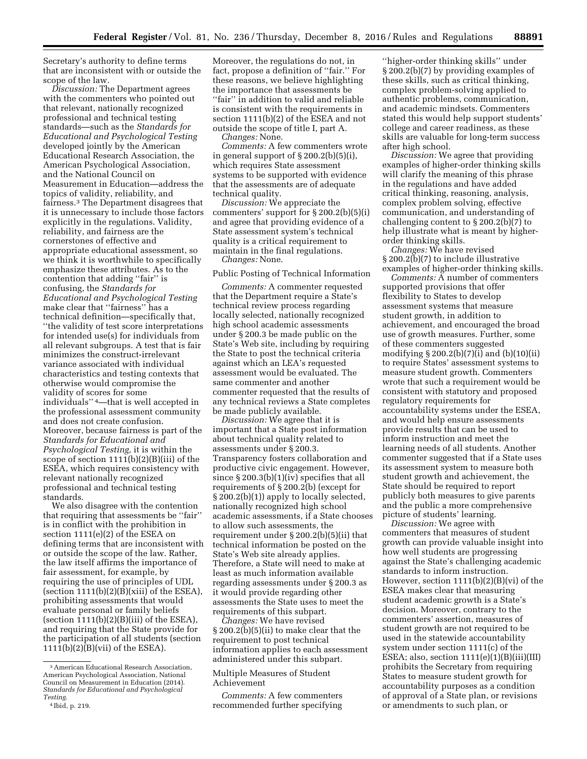Secretary's authority to define terms that are inconsistent with or outside the scope of the law.

*Discussion:* The Department agrees with the commenters who pointed out that relevant, nationally recognized professional and technical testing standards—such as the *Standards for Educational and Psychological Testing*  developed jointly by the American Educational Research Association, the American Psychological Association, and the National Council on Measurement in Education—address the topics of validity, reliability, and fairness.3 The Department disagrees that it is unnecessary to include those factors explicitly in the regulations. Validity, reliability, and fairness are the cornerstones of effective and appropriate educational assessment, so we think it is worthwhile to specifically emphasize these attributes. As to the contention that adding ''fair'' is confusing, the *Standards for Educational and Psychological Testing*  make clear that ''fairness'' has a technical definition—specifically that, ''the validity of test score interpretations for intended use(s) for individuals from all relevant subgroups. A test that is fair minimizes the construct-irrelevant variance associated with individual characteristics and testing contexts that otherwise would compromise the validity of scores for some individuals'' 4—that is well accepted in the professional assessment community and does not create confusion. Moreover, because fairness is part of the *Standards for Educational and Psychological Testing,* it is within the scope of section 1111(b)(2)(B)(iii) of the ESEA, which requires consistency with relevant nationally recognized professional and technical testing standards.

We also disagree with the contention that requiring that assessments be ''fair'' is in conflict with the prohibition in section 1111(e)(2) of the ESEA on defining terms that are inconsistent with or outside the scope of the law. Rather, the law itself affirms the importance of fair assessment, for example, by requiring the use of principles of UDL (section  $1111(b)(2)(B)(xiii)$  of the ESEA), prohibiting assessments that would evaluate personal or family beliefs (section  $1111(b)(2)(B)(iii)$  of the ESEA), and requiring that the State provide for the participation of all students (section 1111(b)(2)(B)(vii) of the ESEA).

Moreover, the regulations do not, in fact, propose a definition of ''fair.'' For these reasons, we believe highlighting the importance that assessments be ''fair'' in addition to valid and reliable is consistent with the requirements in section 1111(b)(2) of the ESEA and not outside the scope of title I, part A.

*Changes:* None.

*Comments:* A few commenters wrote in general support of § 200.2(b)(5)(i), which requires State assessment systems to be supported with evidence that the assessments are of adequate technical quality.

*Discussion:* We appreciate the commenters' support for § 200.2(b)(5)(i) and agree that providing evidence of a State assessment system's technical quality is a critical requirement to maintain in the final regulations. *Changes:* None.

Public Posting of Technical Information

*Comments:* A commenter requested that the Department require a State's technical review process regarding locally selected, nationally recognized high school academic assessments under § 200.3 be made public on the State's Web site, including by requiring the State to post the technical criteria against which an LEA's requested assessment would be evaluated. The same commenter and another commenter requested that the results of any technical reviews a State completes be made publicly available.

*Discussion:* We agree that it is important that a State post information about technical quality related to assessments under § 200.3. Transparency fosters collaboration and productive civic engagement. However, since § 200.3(b)(1)(iv) specifies that all requirements of § 200.2(b) (except for § 200.2(b)(1)) apply to locally selected, nationally recognized high school academic assessments, if a State chooses to allow such assessments, the requirement under § 200.2(b)(5)(ii) that technical information be posted on the State's Web site already applies. Therefore, a State will need to make at least as much information available regarding assessments under § 200.3 as it would provide regarding other assessments the State uses to meet the requirements of this subpart.

*Changes:* We have revised § 200.2(b)(5)(ii) to make clear that the requirement to post technical information applies to each assessment administered under this subpart.

### Multiple Measures of Student Achievement

*Comments:* A few commenters recommended further specifying

''higher-order thinking skills'' under § 200.2(b)(7) by providing examples of these skills, such as critical thinking, complex problem-solving applied to authentic problems, communication, and academic mindsets. Commenters stated this would help support students' college and career readiness, as these skills are valuable for long-term success after high school.

*Discussion:* We agree that providing examples of higher-order thinking skills will clarify the meaning of this phrase in the regulations and have added critical thinking, reasoning, analysis, complex problem solving, effective communication, and understanding of challenging content to § 200.2(b)(7) to help illustrate what is meant by higherorder thinking skills.

*Changes:* We have revised § 200.2(b)(7) to include illustrative examples of higher-order thinking skills.

*Comments:* A number of commenters supported provisions that offer flexibility to States to develop assessment systems that measure student growth, in addition to achievement, and encouraged the broad use of growth measures. Further, some of these commenters suggested modifying § 200.2(b)(7)(i) and (b)(10)(ii) to require States' assessment systems to measure student growth. Commenters wrote that such a requirement would be consistent with statutory and proposed regulatory requirements for accountability systems under the ESEA, and would help ensure assessments provide results that can be used to inform instruction and meet the learning needs of all students. Another commenter suggested that if a State uses its assessment system to measure both student growth and achievement, the State should be required to report publicly both measures to give parents and the public a more comprehensive picture of students' learning.

*Discussion:* We agree with commenters that measures of student growth can provide valuable insight into how well students are progressing against the State's challenging academic standards to inform instruction. However, section 1111(b)(2)(B)(vi) of the ESEA makes clear that measuring student academic growth is a State's decision. Moreover, contrary to the commenters' assertion, measures of student growth are not required to be used in the statewide accountability system under section 1111(c) of the ESEA; also, section  $1111(e)(1)(B)(iii)(III)$ prohibits the Secretary from requiring States to measure student growth for accountability purposes as a condition of approval of a State plan, or revisions or amendments to such plan, or

<sup>3</sup>American Educational Research Association, American Psychological Association, National Council on Measurement in Education (2014). *Standards for Educational and Psychological Testing.* 

<sup>4</sup> Ibid, p. 219.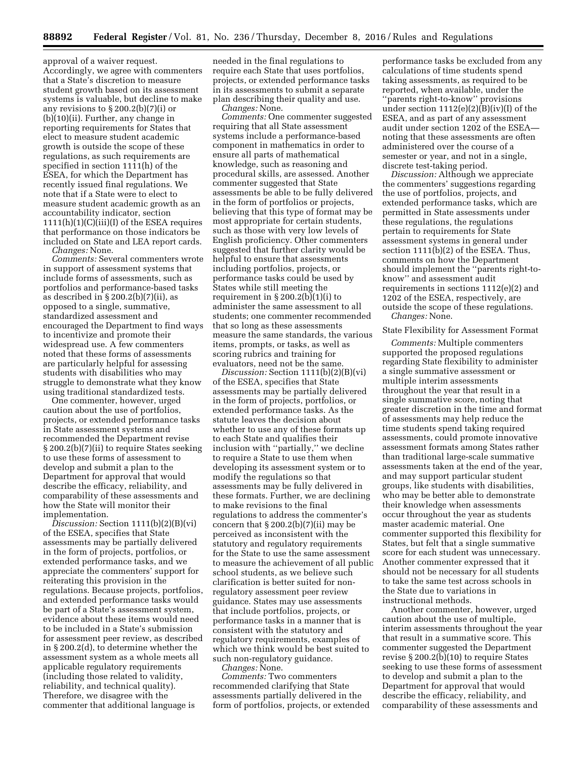approval of a waiver request. Accordingly, we agree with commenters that a State's discretion to measure student growth based on its assessment systems is valuable, but decline to make any revisions to § 200.2(b)(7)(i) or (b)(10)(ii). Further, any change in reporting requirements for States that elect to measure student academic growth is outside the scope of these regulations, as such requirements are specified in section 1111(h) of the ESEA, for which the Department has recently issued final regulations. We note that if a State were to elect to measure student academic growth as an accountability indicator, section  $1111(h)(1)(C)(iii)(I)$  of the ESEA requires that performance on those indicators be included on State and LEA report cards. *Changes:* None.

*Comments:* Several commenters wrote in support of assessment systems that include forms of assessments, such as portfolios and performance-based tasks as described in  $\S 200.2(b)(7)(ii)$ , as opposed to a single, summative, standardized assessment and encouraged the Department to find ways to incentivize and promote their widespread use. A few commenters noted that these forms of assessments are particularly helpful for assessing students with disabilities who may struggle to demonstrate what they know using traditional standardized tests.

One commenter, however, urged caution about the use of portfolios, projects, or extended performance tasks in State assessment systems and recommended the Department revise § 200.2(b)(7)(ii) to require States seeking to use these forms of assessment to develop and submit a plan to the Department for approval that would describe the efficacy, reliability, and comparability of these assessments and how the State will monitor their implementation.

*Discussion:* Section 1111(b)(2)(B)(vi) of the ESEA, specifies that State assessments may be partially delivered in the form of projects, portfolios, or extended performance tasks, and we appreciate the commenters' support for reiterating this provision in the regulations. Because projects, portfolios, and extended performance tasks would be part of a State's assessment system, evidence about these items would need to be included in a State's submission for assessment peer review, as described in § 200.2(d), to determine whether the assessment system as a whole meets all applicable regulatory requirements (including those related to validity, reliability, and technical quality). Therefore, we disagree with the commenter that additional language is

needed in the final regulations to require each State that uses portfolios, projects, or extended performance tasks in its assessments to submit a separate plan describing their quality and use. *Changes:* None.

*Comments:* One commenter suggested requiring that all State assessment systems include a performance-based component in mathematics in order to ensure all parts of mathematical knowledge, such as reasoning and procedural skills, are assessed. Another commenter suggested that State assessments be able to be fully delivered in the form of portfolios or projects, believing that this type of format may be most appropriate for certain students, such as those with very low levels of English proficiency. Other commenters suggested that further clarity would be helpful to ensure that assessments including portfolios, projects, or performance tasks could be used by States while still meeting the requirement in  $\S 200.2(b)(1)(i)$  to administer the same assessment to all students; one commenter recommended that so long as these assessments measure the same standards, the various items, prompts, or tasks, as well as scoring rubrics and training for evaluators, need not be the same.

*Discussion:* Section 1111(b)(2)(B)(vi) of the ESEA, specifies that State assessments may be partially delivered in the form of projects, portfolios, or extended performance tasks. As the statute leaves the decision about whether to use any of these formats up to each State and qualifies their inclusion with ''partially,'' we decline to require a State to use them when developing its assessment system or to modify the regulations so that assessments may be fully delivered in these formats. Further, we are declining to make revisions to the final regulations to address the commenter's concern that  $\S 200.2(b)(7)(ii)$  may be perceived as inconsistent with the statutory and regulatory requirements for the State to use the same assessment to measure the achievement of all public school students, as we believe such clarification is better suited for nonregulatory assessment peer review guidance. States may use assessments that include portfolios, projects, or performance tasks in a manner that is consistent with the statutory and regulatory requirements, examples of which we think would be best suited to such non-regulatory guidance.

*Changes:* None.

*Comments:* Two commenters recommended clarifying that State assessments partially delivered in the form of portfolios, projects, or extended

performance tasks be excluded from any calculations of time students spend taking assessments, as required to be reported, when available, under the ''parents right-to-know'' provisions under section  $1112(e)(2)(B)(iv)(I)$  of the ESEA, and as part of any assessment audit under section 1202 of the ESEA noting that these assessments are often administered over the course of a semester or year, and not in a single, discrete test-taking period.

*Discussion:* Although we appreciate the commenters' suggestions regarding the use of portfolios, projects, and extended performance tasks, which are permitted in State assessments under these regulations, the regulations pertain to requirements for State assessment systems in general under section 1111(b)(2) of the ESEA. Thus, comments on how the Department should implement the ''parents right-toknow'' and assessment audit requirements in sections 1112(e)(2) and 1202 of the ESEA, respectively, are outside the scope of these regulations. *Changes:* None.

#### State Flexibility for Assessment Format

*Comments:* Multiple commenters supported the proposed regulations regarding State flexibility to administer a single summative assessment or multiple interim assessments throughout the year that result in a single summative score, noting that greater discretion in the time and format of assessments may help reduce the time students spend taking required assessments, could promote innovative assessment formats among States rather than traditional large-scale summative assessments taken at the end of the year, and may support particular student groups, like students with disabilities, who may be better able to demonstrate their knowledge when assessments occur throughout the year as students master academic material. One commenter supported this flexibility for States, but felt that a single summative score for each student was unnecessary. Another commenter expressed that it should not be necessary for all students to take the same test across schools in the State due to variations in instructional methods.

Another commenter, however, urged caution about the use of multiple, interim assessments throughout the year that result in a summative score. This commenter suggested the Department revise § 200.2(b)(10) to require States seeking to use these forms of assessment to develop and submit a plan to the Department for approval that would describe the efficacy, reliability, and comparability of these assessments and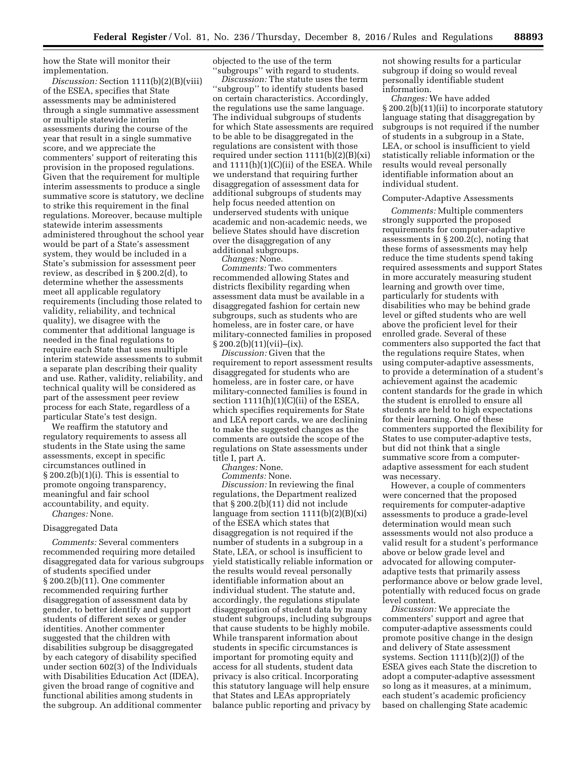how the State will monitor their implementation.

*Discussion:* Section 1111(b)(2)(B)(viii) of the ESEA, specifies that State assessments may be administered through a single summative assessment or multiple statewide interim assessments during the course of the year that result in a single summative score, and we appreciate the commenters' support of reiterating this provision in the proposed regulations. Given that the requirement for multiple interim assessments to produce a single summative score is statutory, we decline to strike this requirement in the final regulations. Moreover, because multiple statewide interim assessments administered throughout the school year would be part of a State's assessment system, they would be included in a State's submission for assessment peer review, as described in § 200.2(d), to determine whether the assessments meet all applicable regulatory requirements (including those related to validity, reliability, and technical quality), we disagree with the commenter that additional language is needed in the final regulations to require each State that uses multiple interim statewide assessments to submit a separate plan describing their quality and use. Rather, validity, reliability, and technical quality will be considered as part of the assessment peer review process for each State, regardless of a particular State's test design.

We reaffirm the statutory and regulatory requirements to assess all students in the State using the same assessments, except in specific circumstances outlined in § 200.2(b)(1)(i). This is essential to promote ongoing transparency, meaningful and fair school accountability, and equity. *Changes:* None.

# Disaggregated Data

*Comments:* Several commenters recommended requiring more detailed disaggregated data for various subgroups of students specified under § 200.2(b)(11). One commenter recommended requiring further disaggregation of assessment data by gender, to better identify and support students of different sexes or gender identities. Another commenter suggested that the children with disabilities subgroup be disaggregated by each category of disability specified under section 602(3) of the Individuals with Disabilities Education Act (IDEA), given the broad range of cognitive and functional abilities among students in the subgroup. An additional commenter

objected to the use of the term ''subgroups'' with regard to students.

*Discussion:* The statute uses the term ''subgroup'' to identify students based on certain characteristics. Accordingly, the regulations use the same language. The individual subgroups of students for which State assessments are required to be able to be disaggregated in the regulations are consistent with those required under section  $1111(b)(2)(B)(xi)$ and  $1111(h)(1)(C(i))$  of the ESEA. While we understand that requiring further disaggregation of assessment data for additional subgroups of students may help focus needed attention on underserved students with unique academic and non-academic needs, we believe States should have discretion over the disaggregation of any additional subgroups.

*Changes:* None.

*Comments:* Two commenters recommended allowing States and districts flexibility regarding when assessment data must be available in a disaggregated fashion for certain new subgroups, such as students who are homeless, are in foster care, or have military-connected families in proposed § 200.2(b)(11)(vii)–(ix).

*Discussion:* Given that the requirement to report assessment results disaggregated for students who are homeless, are in foster care, or have military-connected families is found in section  $1111(h)(1)(C(i))$  of the ESEA, which specifies requirements for State and LEA report cards, we are declining to make the suggested changes as the comments are outside the scope of the regulations on State assessments under title I, part A.

*Changes:* None.

*Comments:* None.

*Discussion:* In reviewing the final regulations, the Department realized that § 200.2(b)(11) did not include language from section  $1111(b)(2)(B)(xi)$ of the ESEA which states that disaggregation is not required if the number of students in a subgroup in a State, LEA, or school is insufficient to yield statistically reliable information or the results would reveal personally identifiable information about an individual student. The statute and, accordingly, the regulations stipulate disaggregation of student data by many student subgroups, including subgroups that cause students to be highly mobile. While transparent information about students in specific circumstances is important for promoting equity and access for all students, student data privacy is also critical. Incorporating this statutory language will help ensure that States and LEAs appropriately balance public reporting and privacy by

not showing results for a particular subgroup if doing so would reveal personally identifiable student information.

*Changes:* We have added § 200.2(b)(11)(ii) to incorporate statutory language stating that disaggregation by subgroups is not required if the number of students in a subgroup in a State, LEA, or school is insufficient to yield statistically reliable information or the results would reveal personally identifiable information about an individual student.

#### Computer-Adaptive Assessments

*Comments:* Multiple commenters strongly supported the proposed requirements for computer-adaptive assessments in § 200.2(c), noting that these forms of assessments may help reduce the time students spend taking required assessments and support States in more accurately measuring student learning and growth over time, particularly for students with disabilities who may be behind grade level or gifted students who are well above the proficient level for their enrolled grade. Several of these commenters also supported the fact that the regulations require States, when using computer-adaptive assessments, to provide a determination of a student's achievement against the academic content standards for the grade in which the student is enrolled to ensure all students are held to high expectations for their learning. One of these commenters supported the flexibility for States to use computer-adaptive tests, but did not think that a single summative score from a computeradaptive assessment for each student was necessary.

However, a couple of commenters were concerned that the proposed requirements for computer-adaptive assessments to produce a grade-level determination would mean such assessments would not also produce a valid result for a student's performance above or below grade level and advocated for allowing computeradaptive tests that primarily assess performance above or below grade level, potentially with reduced focus on grade level content.

*Discussion:* We appreciate the commenters' support and agree that computer-adaptive assessments could promote positive change in the design and delivery of State assessment systems. Section 1111(b)(2)(J) of the ESEA gives each State the discretion to adopt a computer-adaptive assessment so long as it measures, at a minimum, each student's academic proficiency based on challenging State academic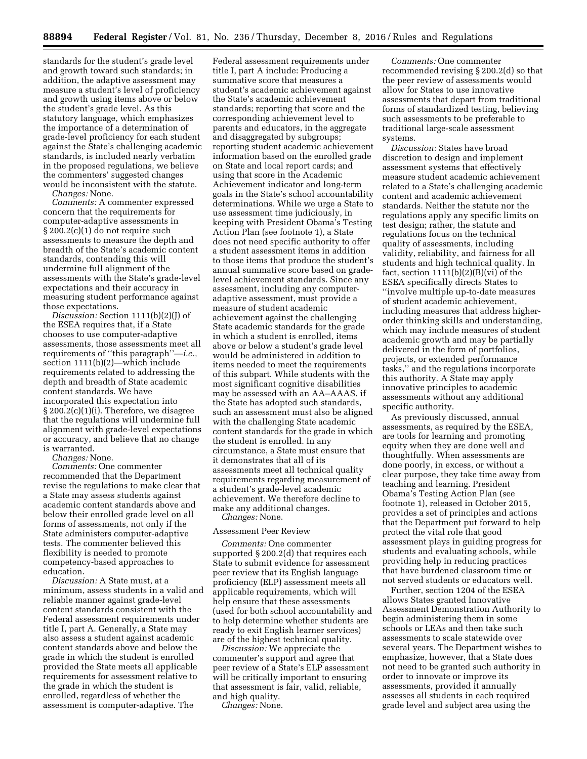standards for the student's grade level and growth toward such standards; in addition, the adaptive assessment may measure a student's level of proficiency and growth using items above or below the student's grade level. As this statutory language, which emphasizes the importance of a determination of grade-level proficiency for each student against the State's challenging academic standards, is included nearly verbatim in the proposed regulations, we believe the commenters' suggested changes would be inconsistent with the statute.

*Changes:* None.

*Comments:* A commenter expressed concern that the requirements for computer-adaptive assessments in § 200.2(c)(1) do not require such assessments to measure the depth and breadth of the State's academic content standards, contending this will undermine full alignment of the assessments with the State's grade-level expectations and their accuracy in measuring student performance against those expectations.

*Discussion:* Section 1111(b)(2)(J) of the ESEA requires that, if a State chooses to use computer-adaptive assessments, those assessments meet all requirements of ''this paragraph''—*i.e.,*  section 1111(b)(2)—which include requirements related to addressing the depth and breadth of State academic content standards. We have incorporated this expectation into § 200.2(c)(1)(i). Therefore, we disagree that the regulations will undermine full alignment with grade-level expectations or accuracy, and believe that no change is warranted.

*Changes:* None.

*Comments:* One commenter recommended that the Department revise the regulations to make clear that a State may assess students against academic content standards above and below their enrolled grade level on all forms of assessments, not only if the State administers computer-adaptive tests. The commenter believed this flexibility is needed to promote competency-based approaches to education.

*Discussion:* A State must, at a minimum, assess students in a valid and reliable manner against grade-level content standards consistent with the Federal assessment requirements under title I, part A. Generally, a State may also assess a student against academic content standards above and below the grade in which the student is enrolled provided the State meets all applicable requirements for assessment relative to the grade in which the student is enrolled, regardless of whether the assessment is computer-adaptive. The

Federal assessment requirements under title I, part A include: Producing a summative score that measures a student's academic achievement against the State's academic achievement standards; reporting that score and the corresponding achievement level to parents and educators, in the aggregate and disaggregated by subgroups; reporting student academic achievement information based on the enrolled grade on State and local report cards; and using that score in the Academic Achievement indicator and long-term goals in the State's school accountability determinations. While we urge a State to use assessment time judiciously, in keeping with President Obama's Testing Action Plan (see footnote 1), a State does not need specific authority to offer a student assessment items in addition to those items that produce the student's annual summative score based on gradelevel achievement standards. Since any assessment, including any computeradaptive assessment, must provide a measure of student academic achievement against the challenging State academic standards for the grade in which a student is enrolled, items above or below a student's grade level would be administered in addition to items needed to meet the requirements of this subpart. While students with the most significant cognitive disabilities may be assessed with an AA–AAAS, if the State has adopted such standards, such an assessment must also be aligned with the challenging State academic content standards for the grade in which the student is enrolled. In any circumstance, a State must ensure that it demonstrates that all of its assessments meet all technical quality requirements regarding measurement of a student's grade-level academic achievement. We therefore decline to make any additional changes.

*Changes:* None.

# Assessment Peer Review

*Comments:* One commenter supported § 200.2(d) that requires each State to submit evidence for assessment peer review that its English language proficiency (ELP) assessment meets all applicable requirements, which will help ensure that these assessments (used for both school accountability and to help determine whether students are ready to exit English learner services) are of the highest technical quality.

*Discussion:* We appreciate the commenter's support and agree that peer review of a State's ELP assessment will be critically important to ensuring that assessment is fair, valid, reliable, and high quality.

*Changes:* None.

*Comments:* One commenter recommended revising § 200.2(d) so that the peer review of assessments would allow for States to use innovative assessments that depart from traditional forms of standardized testing, believing such assessments to be preferable to traditional large-scale assessment systems.

*Discussion:* States have broad discretion to design and implement assessment systems that effectively measure student academic achievement related to a State's challenging academic content and academic achievement standards. Neither the statute nor the regulations apply any specific limits on test design; rather, the statute and regulations focus on the technical quality of assessments, including validity, reliability, and fairness for all students and high technical quality. In fact, section  $1111(b)(2)(B)(vi)$  of the ESEA specifically directs States to ''involve multiple up-to-date measures of student academic achievement, including measures that address higherorder thinking skills and understanding, which may include measures of student academic growth and may be partially delivered in the form of portfolios, projects, or extended performance tasks,'' and the regulations incorporate this authority. A State may apply innovative principles to academic assessments without any additional specific authority.

As previously discussed, annual assessments, as required by the ESEA, are tools for learning and promoting equity when they are done well and thoughtfully. When assessments are done poorly, in excess, or without a clear purpose, they take time away from teaching and learning. President Obama's Testing Action Plan (see footnote 1), released in October 2015, provides a set of principles and actions that the Department put forward to help protect the vital role that good assessment plays in guiding progress for students and evaluating schools, while providing help in reducing practices that have burdened classroom time or not served students or educators well.

Further, section 1204 of the ESEA allows States granted Innovative Assessment Demonstration Authority to begin administering them in some schools or LEAs and then take such assessments to scale statewide over several years. The Department wishes to emphasize, however, that a State does not need to be granted such authority in order to innovate or improve its assessments, provided it annually assesses all students in each required grade level and subject area using the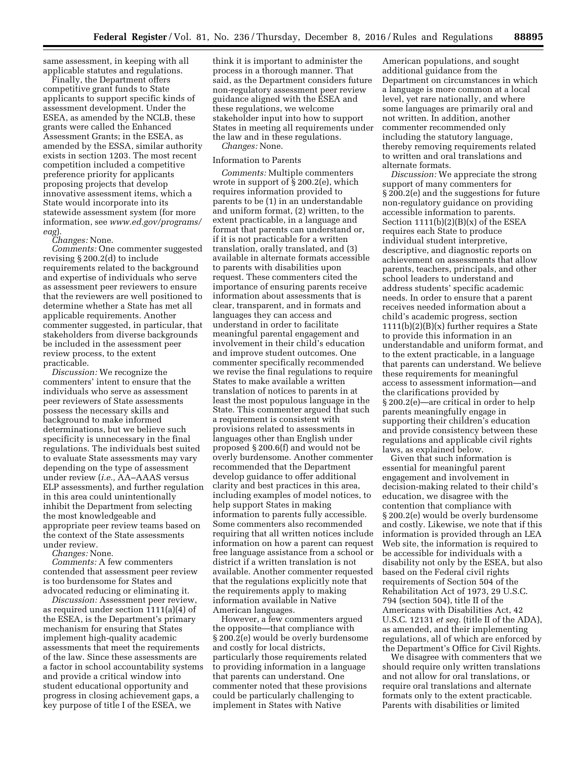same assessment, in keeping with all applicable statutes and regulations.

Finally, the Department offers competitive grant funds to State applicants to support specific kinds of assessment development. Under the ESEA, as amended by the NCLB, these grants were called the Enhanced Assessment Grants; in the ESEA, as amended by the ESSA, similar authority exists in section 1203. The most recent competition included a competitive preference priority for applicants proposing projects that develop innovative assessment items, which a State would incorporate into its statewide assessment system (for more information, see *[www.ed.gov/programs/](http://www.ed.gov/programs/eag) [eag](http://www.ed.gov/programs/eag)*).

*Changes:* None.

*Comments:* One commenter suggested revising § 200.2(d) to include requirements related to the background and expertise of individuals who serve as assessment peer reviewers to ensure that the reviewers are well positioned to determine whether a State has met all applicable requirements. Another commenter suggested, in particular, that stakeholders from diverse backgrounds be included in the assessment peer review process, to the extent practicable.

*Discussion:* We recognize the commenters' intent to ensure that the individuals who serve as assessment peer reviewers of State assessments possess the necessary skills and background to make informed determinations, but we believe such specificity is unnecessary in the final regulations. The individuals best suited to evaluate State assessments may vary depending on the type of assessment under review (*i.e.,* AA–AAAS versus ELP assessments), and further regulation in this area could unintentionally inhibit the Department from selecting the most knowledgeable and appropriate peer review teams based on the context of the State assessments under review.

*Changes:* None.

*Comments:* A few commenters contended that assessment peer review is too burdensome for States and advocated reducing or eliminating it.

*Discussion:* Assessment peer review, as required under section 1111(a)(4) of the ESEA, is the Department's primary mechanism for ensuring that States implement high-quality academic assessments that meet the requirements of the law. Since these assessments are a factor in school accountability systems and provide a critical window into student educational opportunity and progress in closing achievement gaps, a key purpose of title I of the ESEA, we

think it is important to administer the process in a thorough manner. That said, as the Department considers future non-regulatory assessment peer review guidance aligned with the ESEA and these regulations, we welcome stakeholder input into how to support States in meeting all requirements under the law and in these regulations. *Changes:* None.

# Information to Parents

*Comments:* Multiple commenters wrote in support of § 200.2(e), which requires information provided to parents to be (1) in an understandable and uniform format, (2) written, to the extent practicable, in a language and format that parents can understand or, if it is not practicable for a written translation, orally translated, and (3) available in alternate formats accessible to parents with disabilities upon request. These commenters cited the importance of ensuring parents receive information about assessments that is clear, transparent, and in formats and languages they can access and understand in order to facilitate meaningful parental engagement and involvement in their child's education and improve student outcomes. One commenter specifically recommended we revise the final regulations to require States to make available a written translation of notices to parents in at least the most populous language in the State. This commenter argued that such a requirement is consistent with provisions related to assessments in languages other than English under proposed § 200.6(f) and would not be overly burdensome. Another commenter recommended that the Department develop guidance to offer additional clarity and best practices in this area, including examples of model notices, to help support States in making information to parents fully accessible. Some commenters also recommended requiring that all written notices include information on how a parent can request free language assistance from a school or district if a written translation is not available. Another commenter requested that the regulations explicitly note that the requirements apply to making information available in Native American languages.

However, a few commenters argued the opposite—that compliance with § 200.2(e) would be overly burdensome and costly for local districts, particularly those requirements related to providing information in a language that parents can understand. One commenter noted that these provisions could be particularly challenging to implement in States with Native

American populations, and sought additional guidance from the Department on circumstances in which a language is more common at a local level, yet rare nationally, and where some languages are primarily oral and not written. In addition, another commenter recommended only including the statutory language, thereby removing requirements related to written and oral translations and alternate formats.

*Discussion:* We appreciate the strong support of many commenters for § 200.2(e) and the suggestions for future non-regulatory guidance on providing accessible information to parents. Section  $1111(b)(2)(B)(x)$  of the ESEA requires each State to produce individual student interpretive, descriptive, and diagnostic reports on achievement on assessments that allow parents, teachers, principals, and other school leaders to understand and address students' specific academic needs. In order to ensure that a parent receives needed information about a child's academic progress, section  $1111(b)(2)(B)(x)$  further requires a State to provide this information in an understandable and uniform format, and to the extent practicable, in a language that parents can understand. We believe these requirements for meaningful access to assessment information—and the clarifications provided by § 200.2(e)—are critical in order to help parents meaningfully engage in supporting their children's education and provide consistency between these regulations and applicable civil rights laws, as explained below.

Given that such information is essential for meaningful parent engagement and involvement in decision-making related to their child's education, we disagree with the contention that compliance with § 200.2(e) would be overly burdensome and costly. Likewise, we note that if this information is provided through an LEA Web site, the information is required to be accessible for individuals with a disability not only by the ESEA, but also based on the Federal civil rights requirements of Section 504 of the Rehabilitation Act of 1973, 29 U.S.C. 794 (section 504), title II of the Americans with Disabilities Act, 42 U.S.C. 12131 *et seq.* (title II of the ADA), as amended, and their implementing regulations, all of which are enforced by the Department's Office for Civil Rights.

We disagree with commenters that we should require only written translations and not allow for oral translations, or require oral translations and alternate formats only to the extent practicable. Parents with disabilities or limited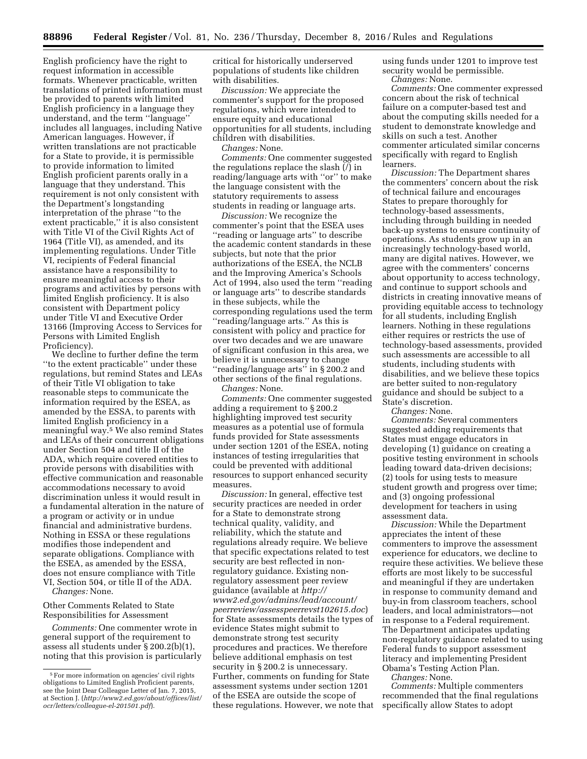English proficiency have the right to request information in accessible formats. Whenever practicable, written translations of printed information must be provided to parents with limited English proficiency in a language they understand, and the term ''language'' includes all languages, including Native American languages. However, if written translations are not practicable for a State to provide, it is permissible to provide information to limited English proficient parents orally in a language that they understand. This requirement is not only consistent with the Department's longstanding interpretation of the phrase ''to the extent practicable,'' it is also consistent with Title VI of the Civil Rights Act of 1964 (Title VI), as amended, and its implementing regulations. Under Title VI, recipients of Federal financial assistance have a responsibility to ensure meaningful access to their programs and activities by persons with limited English proficiency. It is also consistent with Department policy under Title VI and Executive Order 13166 (Improving Access to Services for Persons with Limited English Proficiency).

We decline to further define the term ''to the extent practicable'' under these regulations, but remind States and LEAs of their Title VI obligation to take reasonable steps to communicate the information required by the ESEA, as amended by the ESSA, to parents with limited English proficiency in a meaningful way.5 We also remind States and LEAs of their concurrent obligations under Section 504 and title II of the ADA, which require covered entities to provide persons with disabilities with effective communication and reasonable accommodations necessary to avoid discrimination unless it would result in a fundamental alteration in the nature of a program or activity or in undue financial and administrative burdens. Nothing in ESSA or these regulations modifies those independent and separate obligations. Compliance with the ESEA, as amended by the ESSA, does not ensure compliance with Title VI, Section 504, or title II of the ADA. *Changes:* None.

Other Comments Related to State

Responsibilities for Assessment

*Comments:* One commenter wrote in general support of the requirement to assess all students under § 200.2(b)(1), noting that this provision is particularly critical for historically underserved populations of students like children with disabilities.

*Discussion:* We appreciate the commenter's support for the proposed regulations, which were intended to ensure equity and educational opportunities for all students, including children with disabilities.

*Changes:* None.

*Comments:* One commenter suggested the regulations replace the slash (/) in reading/language arts with ''or'' to make the language consistent with the statutory requirements to assess students in reading or language arts.

*Discussion:* We recognize the commenter's point that the ESEA uses ''reading or language arts'' to describe the academic content standards in these subjects, but note that the prior authorizations of the ESEA, the NCLB and the Improving America's Schools Act of 1994, also used the term ''reading or language arts'' to describe standards in these subjects, while the corresponding regulations used the term ''reading/language arts.'' As this is consistent with policy and practice for over two decades and we are unaware of significant confusion in this area, we believe it is unnecessary to change ''reading/language arts'' in § 200.2 and other sections of the final regulations.

*Changes:* None.

*Comments:* One commenter suggested adding a requirement to § 200.2 highlighting improved test security measures as a potential use of formula funds provided for State assessments under section 1201 of the ESEA, noting instances of testing irregularities that could be prevented with additional resources to support enhanced security measures.

*Discussion:* In general, effective test security practices are needed in order for a State to demonstrate strong technical quality, validity, and reliability, which the statute and regulations already require. We believe that specific expectations related to test security are best reflected in nonregulatory guidance. Existing nonregulatory assessment peer review guidance (available at *[http://](http://www2.ed.gov/admins/lead/account/peerreview/assesspeerrevst102615.doc) [www2.ed.gov/admins/lead/account/](http://www2.ed.gov/admins/lead/account/peerreview/assesspeerrevst102615.doc) [peerreview/assesspeerrevst102615.doc](http://www2.ed.gov/admins/lead/account/peerreview/assesspeerrevst102615.doc)*) for State assessments details the types of evidence States might submit to demonstrate strong test security procedures and practices. We therefore believe additional emphasis on test security in § 200.2 is unnecessary. Further, comments on funding for State assessment systems under section 1201 of the ESEA are outside the scope of these regulations. However, we note that

using funds under 1201 to improve test security would be permissible. *Changes:* None.

*Comments:* One commenter expressed concern about the risk of technical failure on a computer-based test and about the computing skills needed for a student to demonstrate knowledge and skills on such a test. Another commenter articulated similar concerns specifically with regard to English learners.

*Discussion:* The Department shares the commenters' concern about the risk of technical failure and encourages States to prepare thoroughly for technology-based assessments, including through building in needed back-up systems to ensure continuity of operations. As students grow up in an increasingly technology-based world, many are digital natives. However, we agree with the commenters' concerns about opportunity to access technology, and continue to support schools and districts in creating innovative means of providing equitable access to technology for all students, including English learners. Nothing in these regulations either requires or restricts the use of technology-based assessments, provided such assessments are accessible to all students, including students with disabilities, and we believe these topics are better suited to non-regulatory guidance and should be subject to a State's discretion.

*Changes:* None.

*Comments:* Several commenters suggested adding requirements that States must engage educators in developing (1) guidance on creating a positive testing environment in schools leading toward data-driven decisions; (2) tools for using tests to measure student growth and progress over time; and (3) ongoing professional development for teachers in using assessment data.

*Discussion:* While the Department appreciates the intent of these commenters to improve the assessment experience for educators, we decline to require these activities. We believe these efforts are most likely to be successful and meaningful if they are undertaken in response to community demand and buy-in from classroom teachers, school leaders, and local administrators—not in response to a Federal requirement. The Department anticipates updating non-regulatory guidance related to using Federal funds to support assessment literacy and implementing President Obama's Testing Action Plan. *Changes:* None.

*Comments:* Multiple commenters recommended that the final regulations specifically allow States to adopt

<sup>5</sup>For more information on agencies' civil rights obligations to Limited English Proficient parents, see the Joint Dear Colleague Letter of Jan. 7, 2015, at Section J. (*[http://www2.ed.gov/about/offices/list/](http://www2.ed.gov/about/offices/list/ocr/letters/colleague-el-201501.pdf) [ocr/letters/colleague-el-201501.pdf](http://www2.ed.gov/about/offices/list/ocr/letters/colleague-el-201501.pdf)*).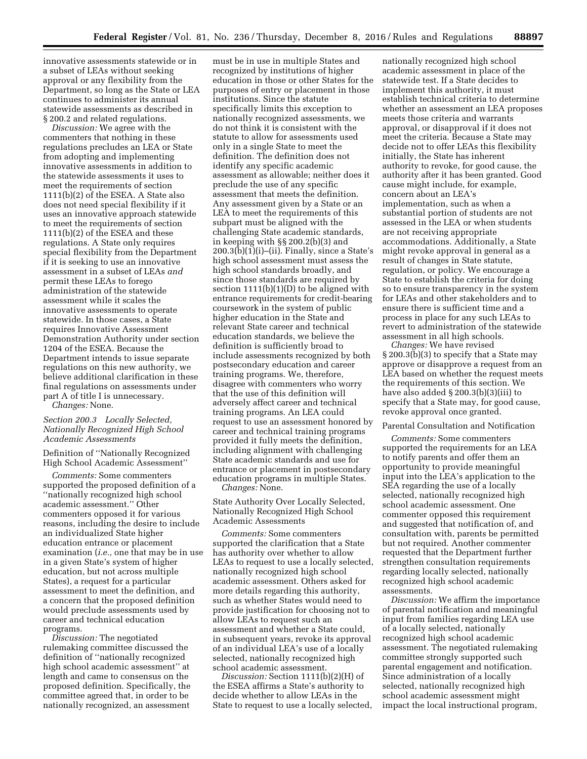innovative assessments statewide or in a subset of LEAs without seeking approval or any flexibility from the Department, so long as the State or LEA continues to administer its annual statewide assessments as described in § 200.2 and related regulations.

*Discussion:* We agree with the commenters that nothing in these regulations precludes an LEA or State from adopting and implementing innovative assessments in addition to the statewide assessments it uses to meet the requirements of section 1111(b)(2) of the ESEA. A State also does not need special flexibility if it uses an innovative approach statewide to meet the requirements of section 1111(b)(2) of the ESEA and these regulations. A State only requires special flexibility from the Department if it is seeking to use an innovative assessment in a subset of LEAs *and*  permit these LEAs to forego administration of the statewide assessment while it scales the innovative assessments to operate statewide. In those cases, a State requires Innovative Assessment Demonstration Authority under section 1204 of the ESEA. Because the Department intends to issue separate regulations on this new authority, we believe additional clarification in these final regulations on assessments under part A of title I is unnecessary.

*Changes:* None.

## *Section 200.3 Locally Selected, Nationally Recognized High School Academic Assessments*

Definition of ''Nationally Recognized High School Academic Assessment''

*Comments:* Some commenters supported the proposed definition of a ''nationally recognized high school academic assessment.'' Other commenters opposed it for various reasons, including the desire to include an individualized State higher education entrance or placement examination (*i.e.,* one that may be in use in a given State's system of higher education, but not across multiple States), a request for a particular assessment to meet the definition, and a concern that the proposed definition would preclude assessments used by career and technical education programs.

*Discussion:* The negotiated rulemaking committee discussed the definition of ''nationally recognized high school academic assessment'' at length and came to consensus on the proposed definition. Specifically, the committee agreed that, in order to be nationally recognized, an assessment

must be in use in multiple States and recognized by institutions of higher education in those or other States for the purposes of entry or placement in those institutions. Since the statute specifically limits this exception to nationally recognized assessments, we do not think it is consistent with the statute to allow for assessments used only in a single State to meet the definition. The definition does not identify any specific academic assessment as allowable; neither does it preclude the use of any specific assessment that meets the definition. Any assessment given by a State or an LEA to meet the requirements of this subpart must be aligned with the challenging State academic standards, in keeping with §§ 200.2(b)(3) and  $200.3(b)(1)(i)$ –(ii). Finally, since a State's high school assessment must assess the high school standards broadly, and since those standards are required by section  $1111(b)(1)(D)$  to be aligned with entrance requirements for credit-bearing coursework in the system of public higher education in the State and relevant State career and technical education standards, we believe the definition is sufficiently broad to include assessments recognized by both postsecondary education and career training programs. We, therefore, disagree with commenters who worry that the use of this definition will adversely affect career and technical training programs. An LEA could request to use an assessment honored by career and technical training programs provided it fully meets the definition, including alignment with challenging State academic standards and use for entrance or placement in postsecondary education programs in multiple States. *Changes:* None.

State Authority Over Locally Selected, Nationally Recognized High School Academic Assessments

*Comments:* Some commenters supported the clarification that a State has authority over whether to allow LEAs to request to use a locally selected, nationally recognized high school academic assessment. Others asked for more details regarding this authority, such as whether States would need to provide justification for choosing not to allow LEAs to request such an assessment and whether a State could, in subsequent years, revoke its approval of an individual LEA's use of a locally selected, nationally recognized high school academic assessment.

*Discussion:* Section 1111(b)(2)(H) of the ESEA affirms a State's authority to decide whether to allow LEAs in the State to request to use a locally selected,

nationally recognized high school academic assessment in place of the statewide test. If a State decides to implement this authority, it must establish technical criteria to determine whether an assessment an LEA proposes meets those criteria and warrants approval, or disapproval if it does not meet the criteria. Because a State may decide not to offer LEAs this flexibility initially, the State has inherent authority to revoke, for good cause, the authority after it has been granted. Good cause might include, for example, concern about an LEA's implementation, such as when a substantial portion of students are not assessed in the LEA or when students are not receiving appropriate accommodations. Additionally, a State might revoke approval in general as a result of changes in State statute, regulation, or policy. We encourage a State to establish the criteria for doing so to ensure transparency in the system for LEAs and other stakeholders and to ensure there is sufficient time and a process in place for any such LEAs to revert to administration of the statewide assessment in all high schools.

*Changes:* We have revised § 200.3(b)(3) to specify that a State may approve or disapprove a request from an LEA based on whether the request meets the requirements of this section. We have also added § 200.3(b)(3)(iii) to specify that a State may, for good cause, revoke approval once granted.

# Parental Consultation and Notification

*Comments:* Some commenters supported the requirements for an LEA to notify parents and offer them an opportunity to provide meaningful input into the LEA's application to the SEA regarding the use of a locally selected, nationally recognized high school academic assessment. One commenter opposed this requirement and suggested that notification of, and consultation with, parents be permitted but not required. Another commenter requested that the Department further strengthen consultation requirements regarding locally selected, nationally recognized high school academic assessments.

*Discussion:* We affirm the importance of parental notification and meaningful input from families regarding LEA use of a locally selected, nationally recognized high school academic assessment. The negotiated rulemaking committee strongly supported such parental engagement and notification. Since administration of a locally selected, nationally recognized high school academic assessment might impact the local instructional program,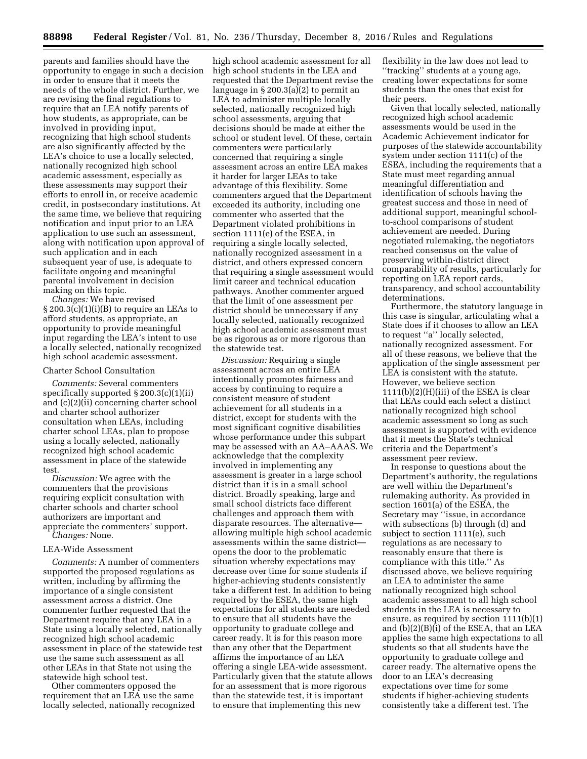parents and families should have the opportunity to engage in such a decision in order to ensure that it meets the needs of the whole district. Further, we are revising the final regulations to require that an LEA notify parents of how students, as appropriate, can be involved in providing input, recognizing that high school students are also significantly affected by the LEA's choice to use a locally selected, nationally recognized high school academic assessment, especially as these assessments may support their efforts to enroll in, or receive academic credit, in postsecondary institutions. At the same time, we believe that requiring notification and input prior to an LEA application to use such an assessment, along with notification upon approval of such application and in each subsequent year of use, is adequate to facilitate ongoing and meaningful parental involvement in decision making on this topic.

*Changes:* We have revised § 200.3(c)(1)(i)(B) to require an LEAs to afford students, as appropriate, an opportunity to provide meaningful input regarding the LEA's intent to use a locally selected, nationally recognized high school academic assessment.

#### Charter School Consultation

*Comments:* Several commenters specifically supported § 200.3(c)(1)(ii) and (c)(2)(ii) concerning charter school and charter school authorizer consultation when LEAs, including charter school LEAs, plan to propose using a locally selected, nationally recognized high school academic assessment in place of the statewide test.

*Discussion:* We agree with the commenters that the provisions requiring explicit consultation with charter schools and charter school authorizers are important and appreciate the commenters' support. *Changes:* None.

# LEA-Wide Assessment

*Comments:* A number of commenters supported the proposed regulations as written, including by affirming the importance of a single consistent assessment across a district. One commenter further requested that the Department require that any LEA in a State using a locally selected, nationally recognized high school academic assessment in place of the statewide test use the same such assessment as all other LEAs in that State not using the statewide high school test.

Other commenters opposed the requirement that an LEA use the same locally selected, nationally recognized

high school academic assessment for all high school students in the LEA and requested that the Department revise the language in § 200.3(a)(2) to permit an LEA to administer multiple locally selected, nationally recognized high school assessments, arguing that decisions should be made at either the school or student level. Of these, certain commenters were particularly concerned that requiring a single assessment across an entire LEA makes it harder for larger LEAs to take advantage of this flexibility. Some commenters argued that the Department exceeded its authority, including one commenter who asserted that the Department violated prohibitions in section 1111(e) of the ESEA, in requiring a single locally selected, nationally recognized assessment in a district, and others expressed concern that requiring a single assessment would limit career and technical education pathways. Another commenter argued that the limit of one assessment per district should be unnecessary if any locally selected, nationally recognized high school academic assessment must be as rigorous as or more rigorous than the statewide test.

*Discussion:* Requiring a single assessment across an entire LEA intentionally promotes fairness and access by continuing to require a consistent measure of student achievement for all students in a district, except for students with the most significant cognitive disabilities whose performance under this subpart may be assessed with an AA–AAAS. We acknowledge that the complexity involved in implementing any assessment is greater in a large school district than it is in a small school district. Broadly speaking, large and small school districts face different challenges and approach them with disparate resources. The alternative allowing multiple high school academic assessments within the same district opens the door to the problematic situation whereby expectations may decrease over time for some students if higher-achieving students consistently take a different test. In addition to being required by the ESEA, the same high expectations for all students are needed to ensure that all students have the opportunity to graduate college and career ready. It is for this reason more than any other that the Department affirms the importance of an LEA offering a single LEA-wide assessment. Particularly given that the statute allows for an assessment that is more rigorous than the statewide test, it is important to ensure that implementing this new

flexibility in the law does not lead to ''tracking'' students at a young age, creating lower expectations for some students than the ones that exist for their peers.

Given that locally selected, nationally recognized high school academic assessments would be used in the Academic Achievement indicator for purposes of the statewide accountability system under section 1111(c) of the ESEA, including the requirements that a State must meet regarding annual meaningful differentiation and identification of schools having the greatest success and those in need of additional support, meaningful schoolto-school comparisons of student achievement are needed. During negotiated rulemaking, the negotiators reached consensus on the value of preserving within-district direct comparability of results, particularly for reporting on LEA report cards, transparency, and school accountability determinations.

Furthermore, the statutory language in this case is singular, articulating what a State does if it chooses to allow an LEA to request ''a'' locally selected, nationally recognized assessment. For all of these reasons, we believe that the application of the single assessment per LEA is consistent with the statute. However, we believe section 1111(b)(2)(H)(iii) of the ESEA is clear that LEAs could each select a distinct nationally recognized high school academic assessment so long as such assessment is supported with evidence that it meets the State's technical criteria and the Department's assessment peer review.

In response to questions about the Department's authority, the regulations are well within the Department's rulemaking authority. As provided in section 1601(a) of the ESEA, the Secretary may ''issue, in accordance with subsections (b) through (d) and subject to section 1111(e), such regulations as are necessary to reasonably ensure that there is compliance with this title.'' As discussed above, we believe requiring an LEA to administer the same nationally recognized high school academic assessment to all high school students in the LEA is necessary to ensure, as required by section 1111(b)(1) and (b)(2)(B)(i) of the ESEA, that an LEA applies the same high expectations to all students so that all students have the opportunity to graduate college and career ready. The alternative opens the door to an LEA's decreasing expectations over time for some students if higher-achieving students consistently take a different test. The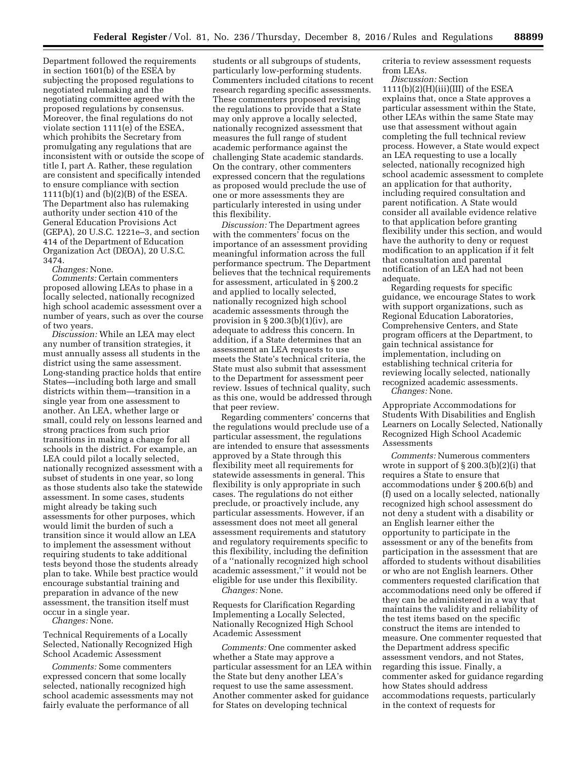Department followed the requirements in section 1601(b) of the ESEA by subjecting the proposed regulations to negotiated rulemaking and the negotiating committee agreed with the proposed regulations by consensus. Moreover, the final regulations do not violate section 1111(e) of the ESEA, which prohibits the Secretary from promulgating any regulations that are inconsistent with or outside the scope of title I, part A. Rather, these regulation are consistent and specifically intended to ensure compliance with section 1111(b)(1) and (b)(2)(B) of the ESEA. The Department also has rulemaking authority under section 410 of the General Education Provisions Act (GEPA), 20 U.S.C. 1221e–3, and section 414 of the Department of Education Organization Act (DEOA), 20 U.S.C. 3474.

*Changes:* None.

*Comments:* Certain commenters proposed allowing LEAs to phase in a locally selected, nationally recognized high school academic assessment over a number of years, such as over the course of two years.

*Discussion:* While an LEA may elect any number of transition strategies, it must annually assess all students in the district using the same assessment. Long-standing practice holds that entire States—including both large and small districts within them—transition in a single year from one assessment to another. An LEA, whether large or small, could rely on lessons learned and strong practices from such prior transitions in making a change for all schools in the district. For example, an LEA could pilot a locally selected, nationally recognized assessment with a subset of students in one year, so long as those students also take the statewide assessment. In some cases, students might already be taking such assessments for other purposes, which would limit the burden of such a transition since it would allow an LEA to implement the assessment without requiring students to take additional tests beyond those the students already plan to take. While best practice would encourage substantial training and preparation in advance of the new assessment, the transition itself must occur in a single year.

*Changes:* None.

Technical Requirements of a Locally Selected, Nationally Recognized High School Academic Assessment

*Comments:* Some commenters expressed concern that some locally selected, nationally recognized high school academic assessments may not fairly evaluate the performance of all

students or all subgroups of students, particularly low-performing students. Commenters included citations to recent research regarding specific assessments. These commenters proposed revising the regulations to provide that a State may only approve a locally selected, nationally recognized assessment that measures the full range of student academic performance against the challenging State academic standards. On the contrary, other commenters expressed concern that the regulations as proposed would preclude the use of one or more assessments they are particularly interested in using under this flexibility.

*Discussion:* The Department agrees with the commenters' focus on the importance of an assessment providing meaningful information across the full performance spectrum. The Department believes that the technical requirements for assessment, articulated in § 200.2 and applied to locally selected, nationally recognized high school academic assessments through the provision in  $\S 200.3(b)(1)(iv)$ , are adequate to address this concern. In addition, if a State determines that an assessment an LEA requests to use meets the State's technical criteria, the State must also submit that assessment to the Department for assessment peer review. Issues of technical quality, such as this one, would be addressed through that peer review.

Regarding commenters' concerns that the regulations would preclude use of a particular assessment, the regulations are intended to ensure that assessments approved by a State through this flexibility meet all requirements for statewide assessments in general. This flexibility is only appropriate in such cases. The regulations do not either preclude, or proactively include, any particular assessments. However, if an assessment does not meet all general assessment requirements and statutory and regulatory requirements specific to this flexibility, including the definition of a ''nationally recognized high school academic assessment,'' it would not be eligible for use under this flexibility.

*Changes:* None.

Requests for Clarification Regarding Implementing a Locally Selected, Nationally Recognized High School Academic Assessment

*Comments:* One commenter asked whether a State may approve a particular assessment for an LEA within the State but deny another LEA's request to use the same assessment. Another commenter asked for guidance for States on developing technical

criteria to review assessment requests from LEAs.

*Discussion:* Section  $1111(b)(2)(H)(iii)(III)$  of the ESEA explains that, once a State approves a particular assessment within the State, other LEAs within the same State may use that assessment without again completing the full technical review process. However, a State would expect an LEA requesting to use a locally selected, nationally recognized high school academic assessment to complete an application for that authority, including required consultation and parent notification. A State would consider all available evidence relative to that application before granting flexibility under this section, and would have the authority to deny or request modification to an application if it felt that consultation and parental notification of an LEA had not been adequate.

Regarding requests for specific guidance, we encourage States to work with support organizations, such as Regional Education Laboratories, Comprehensive Centers, and State program officers at the Department, to gain technical assistance for implementation, including on establishing technical criteria for reviewing locally selected, nationally recognized academic assessments. *Changes:* None.

Appropriate Accommodations for Students With Disabilities and English Learners on Locally Selected, Nationally Recognized High School Academic

Assessments

*Comments:* Numerous commenters wrote in support of  $\S 200.3(b)(2)(i)$  that requires a State to ensure that accommodations under § 200.6(b) and (f) used on a locally selected, nationally recognized high school assessment do not deny a student with a disability or an English learner either the opportunity to participate in the assessment or any of the benefits from participation in the assessment that are afforded to students without disabilities or who are not English learners. Other commenters requested clarification that accommodations need only be offered if they can be administered in a way that maintains the validity and reliability of the test items based on the specific construct the items are intended to measure. One commenter requested that the Department address specific assessment vendors, and not States, regarding this issue. Finally, a commenter asked for guidance regarding how States should address accommodations requests, particularly in the context of requests for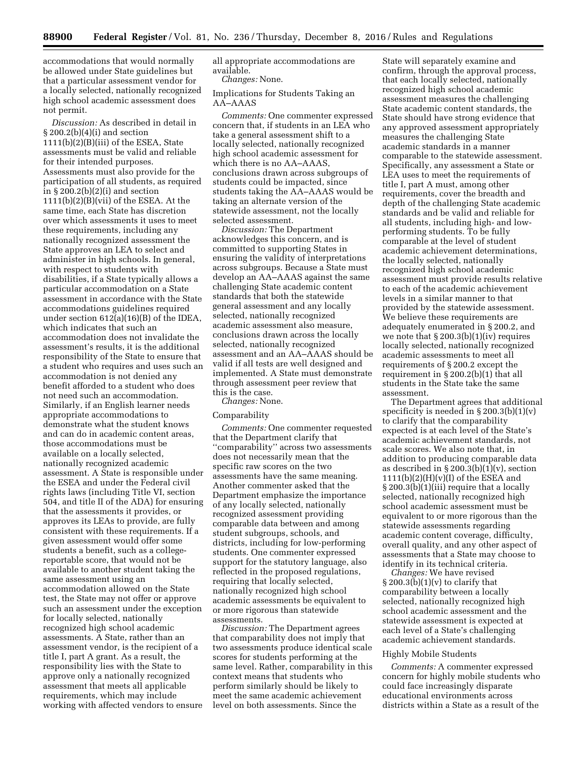accommodations that would normally be allowed under State guidelines but that a particular assessment vendor for a locally selected, nationally recognized high school academic assessment does not permit.

*Discussion:* As described in detail in § 200.2(b)(4)(i) and section 1111(b)(2)(B)(iii) of the ESEA, State assessments must be valid and reliable for their intended purposes. Assessments must also provide for the participation of all students, as required in § 200.2(b)(2)(i) and section 1111(b)(2)(B)(vii) of the ESEA. At the same time, each State has discretion over which assessments it uses to meet these requirements, including any nationally recognized assessment the State approves an LEA to select and administer in high schools. In general, with respect to students with disabilities, if a State typically allows a particular accommodation on a State assessment in accordance with the State accommodations guidelines required under section 612(a)(16)(B) of the IDEA, which indicates that such an accommodation does not invalidate the assessment's results, it is the additional responsibility of the State to ensure that a student who requires and uses such an accommodation is not denied any benefit afforded to a student who does not need such an accommodation. Similarly, if an English learner needs appropriate accommodations to demonstrate what the student knows and can do in academic content areas, those accommodations must be available on a locally selected, nationally recognized academic assessment. A State is responsible under the ESEA and under the Federal civil rights laws (including Title VI, section 504, and title II of the ADA) for ensuring that the assessments it provides, or approves its LEAs to provide, are fully consistent with these requirements. If a given assessment would offer some students a benefit, such as a collegereportable score, that would not be available to another student taking the same assessment using an accommodation allowed on the State test, the State may not offer or approve such an assessment under the exception for locally selected, nationally recognized high school academic assessments. A State, rather than an assessment vendor, is the recipient of a title I, part A grant. As a result, the responsibility lies with the State to approve only a nationally recognized assessment that meets all applicable requirements, which may include working with affected vendors to ensure

all appropriate accommodations are available.

*Changes:* None.

Implications for Students Taking an AA–AAAS

*Comments:* One commenter expressed concern that, if students in an LEA who take a general assessment shift to a locally selected, nationally recognized high school academic assessment for which there is no AA–AAAS, conclusions drawn across subgroups of students could be impacted, since students taking the AA–AAAS would be taking an alternate version of the statewide assessment, not the locally selected assessment.

*Discussion:* The Department acknowledges this concern, and is committed to supporting States in ensuring the validity of interpretations across subgroups. Because a State must develop an AA–AAAS against the same challenging State academic content standards that both the statewide general assessment and any locally selected, nationally recognized academic assessment also measure, conclusions drawn across the locally selected, nationally recognized assessment and an AA–AAAS should be valid if all tests are well designed and implemented. A State must demonstrate through assessment peer review that this is the case.

*Changes:* None.

## Comparability

*Comments:* One commenter requested that the Department clarify that ''comparability'' across two assessments does not necessarily mean that the specific raw scores on the two assessments have the same meaning. Another commenter asked that the Department emphasize the importance of any locally selected, nationally recognized assessment providing comparable data between and among student subgroups, schools, and districts, including for low-performing students. One commenter expressed support for the statutory language, also reflected in the proposed regulations, requiring that locally selected, nationally recognized high school academic assessments be equivalent to or more rigorous than statewide assessments.

*Discussion:* The Department agrees that comparability does not imply that two assessments produce identical scale scores for students performing at the same level. Rather, comparability in this context means that students who perform similarly should be likely to meet the same academic achievement level on both assessments. Since the

State will separately examine and confirm, through the approval process, that each locally selected, nationally recognized high school academic assessment measures the challenging State academic content standards, the State should have strong evidence that any approved assessment appropriately measures the challenging State academic standards in a manner comparable to the statewide assessment. Specifically, any assessment a State or LEA uses to meet the requirements of title I, part A must, among other requirements, cover the breadth and depth of the challenging State academic standards and be valid and reliable for all students, including high- and lowperforming students. To be fully comparable at the level of student academic achievement determinations, the locally selected, nationally recognized high school academic assessment must provide results relative to each of the academic achievement levels in a similar manner to that provided by the statewide assessment. We believe these requirements are adequately enumerated in § 200.2, and we note that  $\S 200.3(b)(1)(iv)$  requires locally selected, nationally recognized academic assessments to meet all requirements of § 200.2 except the requirement in § 200.2(b)(1) that all students in the State take the same assessment.

The Department agrees that additional specificity is needed in  $\S 200.3(b)(1)(v)$ to clarify that the comparability expected is at each level of the State's academic achievement standards, not scale scores. We also note that, in addition to producing comparable data as described in  $\S 200.3(b)(1)(v)$ , section  $1111(b)(2)(H)(v)(I)$  of the ESEA and § 200.3(b)(1)(iii) require that a locally selected, nationally recognized high school academic assessment must be equivalent to or more rigorous than the statewide assessments regarding academic content coverage, difficulty, overall quality, and any other aspect of assessments that a State may choose to identify in its technical criteria.

*Changes:* We have revised  $\S 200.3(b)(1)(v)$  to clarify that comparability between a locally selected, nationally recognized high school academic assessment and the statewide assessment is expected at each level of a State's challenging academic achievement standards.

#### Highly Mobile Students

*Comments:* A commenter expressed concern for highly mobile students who could face increasingly disparate educational environments across districts within a State as a result of the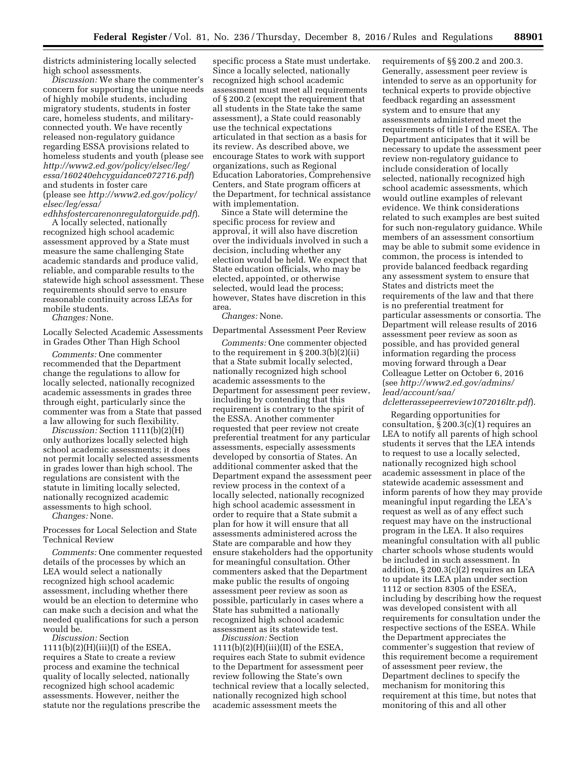districts administering locally selected high school assessments.

*Discussion:* We share the commenter's concern for supporting the unique needs of highly mobile students, including migratory students, students in foster care, homeless students, and militaryconnected youth. We have recently released non-regulatory guidance regarding ESSA provisions related to homeless students and youth (please see *[http://www2.ed.gov/policy/elsec/leg/](http://www2.ed.gov/policy/elsec/leg/essa/160240ehcyguidance072716.pdf)  [essa/160240ehcyguidance072716.pdf](http://www2.ed.gov/policy/elsec/leg/essa/160240ehcyguidance072716.pdf)*) and students in foster care (please see *[http://www2.ed.gov/policy/](http://www2.ed.gov/policy/elsec/leg/essa/edhhsfostercarenonregulatorguide.pdf) [elsec/leg/essa/](http://www2.ed.gov/policy/elsec/leg/essa/edhhsfostercarenonregulatorguide.pdf)* 

*[edhhsfostercarenonregulatorguide.pdf](http://www2.ed.gov/policy/elsec/leg/essa/edhhsfostercarenonregulatorguide.pdf)*). A locally selected, nationally recognized high school academic assessment approved by a State must measure the same challenging State academic standards and produce valid, reliable, and comparable results to the statewide high school assessment. These requirements should serve to ensure reasonable continuity across LEAs for mobile students.

*Changes:* None.

Locally Selected Academic Assessments in Grades Other Than High School

*Comments:* One commenter recommended that the Department change the regulations to allow for locally selected, nationally recognized academic assessments in grades three through eight, particularly since the commenter was from a State that passed a law allowing for such flexibility.

*Discussion:* Section 1111(b)(2)(H) only authorizes locally selected high school academic assessments; it does not permit locally selected assessments in grades lower than high school. The regulations are consistent with the statute in limiting locally selected, nationally recognized academic assessments to high school.

*Changes:* None.

Processes for Local Selection and State Technical Review

*Comments:* One commenter requested details of the processes by which an LEA would select a nationally recognized high school academic assessment, including whether there would be an election to determine who can make such a decision and what the needed qualifications for such a person would be.

*Discussion:* Section  $1111(b)(2)(H)(iii)(I)$  of the ESEA, requires a State to create a review process and examine the technical quality of locally selected, nationally recognized high school academic assessments. However, neither the statute nor the regulations prescribe the

specific process a State must undertake. Since a locally selected, nationally recognized high school academic assessment must meet all requirements of § 200.2 (except the requirement that all students in the State take the same assessment), a State could reasonably use the technical expectations articulated in that section as a basis for its review. As described above, we encourage States to work with support organizations, such as Regional Education Laboratories, Comprehensive Centers, and State program officers at the Department, for technical assistance with implementation.

Since a State will determine the specific process for review and approval, it will also have discretion over the individuals involved in such a decision, including whether any election would be held. We expect that State education officials, who may be elected, appointed, or otherwise selected, would lead the process; however, States have discretion in this area.

# *Changes:* None.

#### Departmental Assessment Peer Review

*Comments:* One commenter objected to the requirement in  $\S 200.3(b)(2)(ii)$ that a State submit locally selected, nationally recognized high school academic assessments to the Department for assessment peer review, including by contending that this requirement is contrary to the spirit of the ESSA. Another commenter requested that peer review not create preferential treatment for any particular assessments, especially assessments developed by consortia of States. An additional commenter asked that the Department expand the assessment peer review process in the context of a locally selected, nationally recognized high school academic assessment in order to require that a State submit a plan for how it will ensure that all assessments administered across the State are comparable and how they ensure stakeholders had the opportunity for meaningful consultation. Other commenters asked that the Department make public the results of ongoing assessment peer review as soon as possible, particularly in cases where a State has submitted a nationally recognized high school academic assessment as its statewide test. *Discussion:* Section

 $1111(b)(2)(H)(iii)(II)$  of the ESEA, requires each State to submit evidence to the Department for assessment peer review following the State's own technical review that a locally selected, nationally recognized high school academic assessment meets the

requirements of §§ 200.2 and 200.3. Generally, assessment peer review is intended to serve as an opportunity for technical experts to provide objective feedback regarding an assessment system and to ensure that any assessments administered meet the requirements of title I of the ESEA. The Department anticipates that it will be necessary to update the assessment peer review non-regulatory guidance to include consideration of locally selected, nationally recognized high school academic assessments, which would outline examples of relevant evidence. We think considerations related to such examples are best suited for such non-regulatory guidance. While members of an assessment consortium may be able to submit some evidence in common, the process is intended to provide balanced feedback regarding any assessment system to ensure that States and districts meet the requirements of the law and that there is no preferential treatment for particular assessments or consortia. The Department will release results of 2016 assessment peer review as soon as possible, and has provided general information regarding the process moving forward through a Dear Colleague Letter on October 6, 2016 (see *[http://www2.ed.gov/admins/](http://www2.ed.gov/admins/lead/account/saa/dcletterassepeerreview1072016ltr.pdf) [lead/account/saa/](http://www2.ed.gov/admins/lead/account/saa/dcletterassepeerreview1072016ltr.pdf) [dcletterassepeerreview1072016ltr.pdf](http://www2.ed.gov/admins/lead/account/saa/dcletterassepeerreview1072016ltr.pdf)*).

Regarding opportunities for consultation, § 200.3(c)(1) requires an LEA to notify all parents of high school students it serves that the LEA intends to request to use a locally selected, nationally recognized high school academic assessment in place of the statewide academic assessment and inform parents of how they may provide meaningful input regarding the LEA's request as well as of any effect such request may have on the instructional program in the LEA. It also requires meaningful consultation with all public charter schools whose students would be included in such assessment. In addition, § 200.3(c)(2) requires an LEA to update its LEA plan under section 1112 or section 8305 of the ESEA, including by describing how the request was developed consistent with all requirements for consultation under the respective sections of the ESEA. While the Department appreciates the commenter's suggestion that review of this requirement become a requirement of assessment peer review, the Department declines to specify the mechanism for monitoring this requirement at this time, but notes that monitoring of this and all other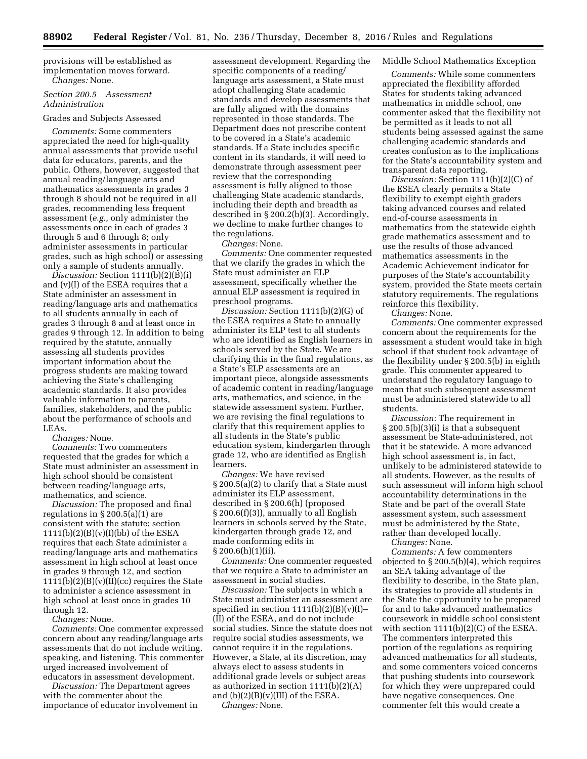provisions will be established as implementation moves forward. *Changes:* None.

#### *Section 200.5 Assessment Administration*

# Grades and Subjects Assessed

*Comments:* Some commenters appreciated the need for high-quality annual assessments that provide useful data for educators, parents, and the public. Others, however, suggested that annual reading/language arts and mathematics assessments in grades 3 through 8 should not be required in all grades, recommending less frequent assessment (*e.g.,* only administer the assessments once in each of grades 3 through 5 and 6 through 8; only administer assessments in particular grades, such as high school) or assessing only a sample of students annually.

*Discussion:* Section 1111(b)(2)(B)(i) and (v)(I) of the ESEA requires that a State administer an assessment in reading/language arts and mathematics to all students annually in each of grades 3 through 8 and at least once in grades 9 through 12. In addition to being required by the statute, annually assessing all students provides important information about the progress students are making toward achieving the State's challenging academic standards. It also provides valuable information to parents, families, stakeholders, and the public about the performance of schools and LEAs.

*Changes:* None.

*Comments:* Two commenters requested that the grades for which a State must administer an assessment in high school should be consistent between reading/language arts, mathematics, and science.

*Discussion:* The proposed and final regulations in § 200.5(a)(1) are consistent with the statute; section  $1111(b)(2)(B)(v)(I)(bb)$  of the ESEA requires that each State administer a reading/language arts and mathematics assessment in high school at least once in grades 9 through 12, and section  $1111(b)(2)(B)(v)(II)(cc)$  requires the State to administer a science assessment in high school at least once in grades 10 through 12.

*Changes:* None.

*Comments:* One commenter expressed concern about any reading/language arts assessments that do not include writing, speaking, and listening. This commenter urged increased involvement of educators in assessment development.

*Discussion:* The Department agrees with the commenter about the importance of educator involvement in

assessment development. Regarding the specific components of a reading/ language arts assessment, a State must adopt challenging State academic standards and develop assessments that are fully aligned with the domains represented in those standards. The Department does not prescribe content to be covered in a State's academic standards. If a State includes specific content in its standards, it will need to demonstrate through assessment peer review that the corresponding assessment is fully aligned to those challenging State academic standards, including their depth and breadth as described in § 200.2(b)(3). Accordingly, we decline to make further changes to the regulations.

*Changes:* None.

*Comments:* One commenter requested that we clarify the grades in which the State must administer an ELP assessment, specifically whether the annual ELP assessment is required in preschool programs.

*Discussion:* Section 1111(b)(2)(G) of the ESEA requires a State to annually administer its ELP test to all students who are identified as English learners in schools served by the State. We are clarifying this in the final regulations, as a State's ELP assessments are an important piece, alongside assessments of academic content in reading/language arts, mathematics, and science, in the statewide assessment system. Further, we are revising the final regulations to clarify that this requirement applies to all students in the State's public education system, kindergarten through grade 12, who are identified as English learners.

*Changes:* We have revised § 200.5(a)(2) to clarify that a State must administer its ELP assessment, described in § 200.6(h) (proposed § 200.6(f)(3)), annually to all English learners in schools served by the State, kindergarten through grade 12, and made conforming edits in § 200.6(h)(1)(ii).

*Comments:* One commenter requested that we require a State to administer an assessment in social studies.

*Discussion:* The subjects in which a State must administer an assessment are specified in section  $1111(b)(2)(B)(v)(I)$ (II) of the ESEA, and do not include social studies. Since the statute does not require social studies assessments, we cannot require it in the regulations. However, a State, at its discretion, may always elect to assess students in additional grade levels or subject areas as authorized in section 1111(b)(2)(A) and  $(b)(2)(B)(v)(III)$  of the ESEA.

*Changes:* None.

## Middle School Mathematics Exception

*Comments:* While some commenters appreciated the flexibility afforded States for students taking advanced mathematics in middle school, one commenter asked that the flexibility not be permitted as it leads to not all students being assessed against the same challenging academic standards and creates confusion as to the implications for the State's accountability system and transparent data reporting.

*Discussion:* Section 1111(b)(2)(C) of the ESEA clearly permits a State flexibility to exempt eighth graders taking advanced courses and related end-of-course assessments in mathematics from the statewide eighth grade mathematics assessment and to use the results of those advanced mathematics assessments in the Academic Achievement indicator for purposes of the State's accountability system, provided the State meets certain statutory requirements. The regulations reinforce this flexibility.

*Changes:* None.

*Comments:* One commenter expressed concern about the requirements for the assessment a student would take in high school if that student took advantage of the flexibility under § 200.5(b) in eighth grade. This commenter appeared to understand the regulatory language to mean that such subsequent assessment must be administered statewide to all students.

*Discussion:* The requirement in § 200.5(b)(3)(i) is that a subsequent assessment be State-administered, not that it be statewide. A more advanced high school assessment is, in fact, unlikely to be administered statewide to all students. However, as the results of such assessment will inform high school accountability determinations in the State and be part of the overall State assessment system, such assessment must be administered by the State, rather than developed locally.

*Changes:* None.

*Comments:* A few commenters objected to § 200.5(b)(4), which requires an SEA taking advantage of the flexibility to describe, in the State plan, its strategies to provide all students in the State the opportunity to be prepared for and to take advanced mathematics coursework in middle school consistent with section 1111(b)(2)(C) of the ESEA. The commenters interpreted this portion of the regulations as requiring advanced mathematics for all students, and some commenters voiced concerns that pushing students into coursework for which they were unprepared could have negative consequences. One commenter felt this would create a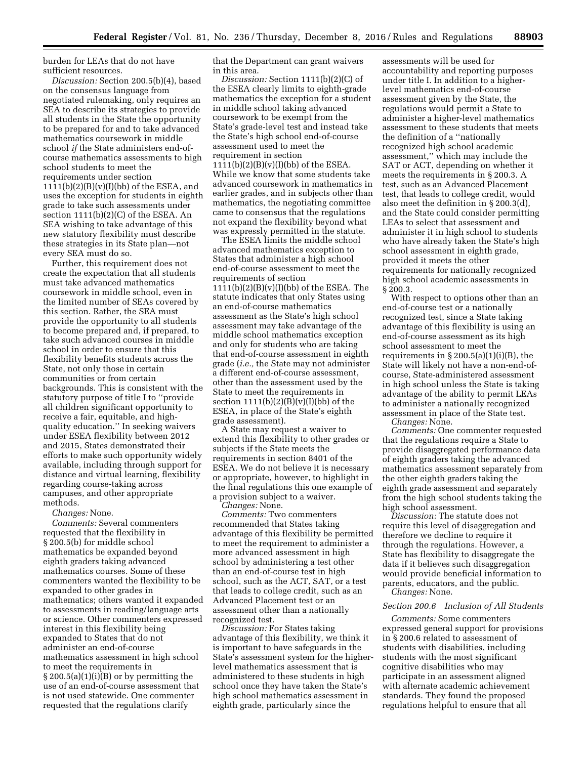burden for LEAs that do not have sufficient resources.

*Discussion:* Section 200.5(b)(4), based on the consensus language from negotiated rulemaking, only requires an SEA to describe its strategies to provide all students in the State the opportunity to be prepared for and to take advanced mathematics coursework in middle school *if* the State administers end-ofcourse mathematics assessments to high school students to meet the requirements under section  $1111(b)(2)(B)(v)(I)(bb)$  of the ESEA, and uses the exception for students in eighth grade to take such assessments under section 1111(b)(2)(C) of the ESEA. An SEA wishing to take advantage of this new statutory flexibility must describe these strategies in its State plan—not every SEA must do so.

Further, this requirement does not create the expectation that all students must take advanced mathematics coursework in middle school, even in the limited number of SEAs covered by this section. Rather, the SEA must provide the opportunity to all students to become prepared and, if prepared, to take such advanced courses in middle school in order to ensure that this flexibility benefits students across the State, not only those in certain communities or from certain backgrounds. This is consistent with the statutory purpose of title I to ''provide all children significant opportunity to receive a fair, equitable, and highquality education.'' In seeking waivers under ESEA flexibility between 2012 and 2015, States demonstrated their efforts to make such opportunity widely available, including through support for distance and virtual learning, flexibility regarding course-taking across campuses, and other appropriate methods.

*Changes:* None.

*Comments:* Several commenters requested that the flexibility in § 200.5(b) for middle school mathematics be expanded beyond eighth graders taking advanced mathematics courses. Some of these commenters wanted the flexibility to be expanded to other grades in mathematics; others wanted it expanded to assessments in reading/language arts or science. Other commenters expressed interest in this flexibility being expanded to States that do not administer an end-of-course mathematics assessment in high school to meet the requirements in § 200.5(a)(1)(i)(B) or by permitting the use of an end-of-course assessment that is not used statewide. One commenter requested that the regulations clarify

that the Department can grant waivers in this area.

*Discussion:* Section 1111(b)(2)(C) of the ESEA clearly limits to eighth-grade mathematics the exception for a student in middle school taking advanced coursework to be exempt from the State's grade-level test and instead take the State's high school end-of-course assessment used to meet the requirement in section  $1111(b)(2)(B)(v)(I)(bb)$  of the ESEA. While we know that some students take advanced coursework in mathematics in earlier grades, and in subjects other than mathematics, the negotiating committee came to consensus that the regulations not expand the flexibility beyond what was expressly permitted in the statute.

The ESEA limits the middle school advanced mathematics exception to States that administer a high school end-of-course assessment to meet the requirements of section  $1111(b)(2)(B)(v)(I)(bb)$  of the ESEA. The statute indicates that only States using an end-of-course mathematics assessment as the State's high school assessment may take advantage of the middle school mathematics exception and only for students who are taking that end-of-course assessment in eighth grade (*i.e.,* the State may not administer a different end-of-course assessment, other than the assessment used by the State to meet the requirements in section  $1111(b)(2)(B)(v)(I)(bb)$  of the ESEA, in place of the State's eighth grade assessment).

A State may request a waiver to extend this flexibility to other grades or subjects if the State meets the requirements in section 8401 of the ESEA. We do not believe it is necessary or appropriate, however, to highlight in the final regulations this one example of a provision subject to a waiver.

*Changes:* None.

*Comments:* Two commenters recommended that States taking advantage of this flexibility be permitted to meet the requirement to administer a more advanced assessment in high school by administering a test other than an end-of-course test in high school, such as the ACT, SAT, or a test that leads to college credit, such as an Advanced Placement test or an assessment other than a nationally recognized test.

*Discussion:* For States taking advantage of this flexibility, we think it is important to have safeguards in the State's assessment system for the higherlevel mathematics assessment that is administered to these students in high school once they have taken the State's high school mathematics assessment in eighth grade, particularly since the

assessments will be used for accountability and reporting purposes under title I. In addition to a higherlevel mathematics end-of-course assessment given by the State, the regulations would permit a State to administer a higher-level mathematics assessment to these students that meets the definition of a ''nationally recognized high school academic assessment,'' which may include the SAT or ACT, depending on whether it meets the requirements in § 200.3. A test, such as an Advanced Placement test, that leads to college credit, would also meet the definition in § 200.3(d), and the State could consider permitting LEAs to select that assessment and administer it in high school to students who have already taken the State's high school assessment in eighth grade, provided it meets the other requirements for nationally recognized high school academic assessments in § 200.3.

With respect to options other than an end-of-course test or a nationally recognized test, since a State taking advantage of this flexibility is using an end-of-course assessment as its high school assessment to meet the requirements in  $\S 200.5(a)(1)(i)(B)$ , the State will likely not have a non-end-ofcourse, State-administered assessment in high school unless the State is taking advantage of the ability to permit LEAs to administer a nationally recognized assessment in place of the State test. *Changes:* None.

*Comments:* One commenter requested that the regulations require a State to provide disaggregated performance data of eighth graders taking the advanced mathematics assessment separately from the other eighth graders taking the eighth grade assessment and separately from the high school students taking the high school assessment.

*Discussion:* The statute does not require this level of disaggregation and therefore we decline to require it through the regulations. However, a State has flexibility to disaggregate the data if it believes such disaggregation would provide beneficial information to parents, educators, and the public.

*Changes:* None.

#### *Section 200.6 Inclusion of All Students*

*Comments:* Some commenters expressed general support for provisions in § 200.6 related to assessment of students with disabilities, including students with the most significant cognitive disabilities who may participate in an assessment aligned with alternate academic achievement standards. They found the proposed regulations helpful to ensure that all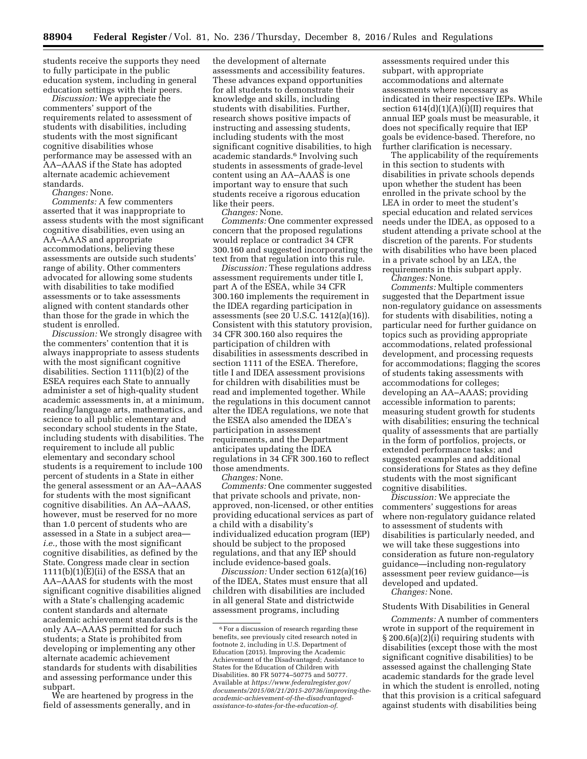students receive the supports they need to fully participate in the public education system, including in general education settings with their peers.

*Discussion:* We appreciate the commenters' support of the requirements related to assessment of students with disabilities, including students with the most significant cognitive disabilities whose performance may be assessed with an AA–AAAS if the State has adopted alternate academic achievement standards.

*Changes:* None.

*Comments:* A few commenters asserted that it was inappropriate to assess students with the most significant cognitive disabilities, even using an AA–AAAS and appropriate accommodations, believing these assessments are outside such students' range of ability. Other commenters advocated for allowing some students with disabilities to take modified assessments or to take assessments aligned with content standards other than those for the grade in which the student is enrolled.

*Discussion:* We strongly disagree with the commenters' contention that it is always inappropriate to assess students with the most significant cognitive disabilities. Section 1111(b)(2) of the ESEA requires each State to annually administer a set of high-quality student academic assessments in, at a minimum, reading/language arts, mathematics, and science to all public elementary and secondary school students in the State, including students with disabilities. The requirement to include all public elementary and secondary school students is a requirement to include 100 percent of students in a State in either the general assessment or an AA–AAAS for students with the most significant cognitive disabilities. An AA–AAAS, however, must be reserved for no more than 1.0 percent of students who are assessed in a State in a subject area *i.e.,* those with the most significant cognitive disabilities, as defined by the State. Congress made clear in section  $1111(b)(1)(E(ii))$  of the ESSA that an AA–AAAS for students with the most significant cognitive disabilities aligned with a State's challenging academic content standards and alternate academic achievement standards is the only AA–AAAS permitted for such students; a State is prohibited from developing or implementing any other alternate academic achievement standards for students with disabilities and assessing performance under this subpart.

We are heartened by progress in the field of assessments generally, and in

the development of alternate assessments and accessibility features. These advances expand opportunities for all students to demonstrate their knowledge and skills, including students with disabilities. Further, research shows positive impacts of instructing and assessing students, including students with the most significant cognitive disabilities, to high academic standards.6 Involving such students in assessments of grade-level content using an AA–AAAS is one important way to ensure that such students receive a rigorous education like their peers.

*Changes:* None.

*Comments:* One commenter expressed concern that the proposed regulations would replace or contradict 34 CFR 300.160 and suggested incorporating the text from that regulation into this rule.

*Discussion:* These regulations address assessment requirements under title I, part A of the ESEA, while 34 CFR 300.160 implements the requirement in the IDEA regarding participation in assessments (see 20 U.S.C. 1412(a)(16)). Consistent with this statutory provision, 34 CFR 300.160 also requires the participation of children with disabilities in assessments described in section 1111 of the ESEA. Therefore, title I and IDEA assessment provisions for children with disabilities must be read and implemented together. While the regulations in this document cannot alter the IDEA regulations, we note that the ESEA also amended the IDEA's participation in assessment requirements, and the Department anticipates updating the IDEA regulations in 34 CFR 300.160 to reflect those amendments.

*Changes:* None.

*Comments:* One commenter suggested that private schools and private, nonapproved, non-licensed, or other entities providing educational services as part of a child with a disability's individualized education program (IEP) should be subject to the proposed regulations, and that any IEP should include evidence-based goals.

*Discussion:* Under section 612(a)(16) of the IDEA, States must ensure that all children with disabilities are included in all general State and districtwide assessment programs, including

assessments required under this subpart, with appropriate accommodations and alternate assessments where necessary as indicated in their respective IEPs. While section  $614(d)(1)(A)(i)(II)$  requires that annual IEP goals must be measurable, it does not specifically require that IEP goals be evidence-based. Therefore, no further clarification is necessary.

The applicability of the requirements in this section to students with disabilities in private schools depends upon whether the student has been enrolled in the private school by the LEA in order to meet the student's special education and related services needs under the IDEA, as opposed to a student attending a private school at the discretion of the parents. For students with disabilities who have been placed in a private school by an LEA, the requirements in this subpart apply. *Changes:* None.

*Comments:* Multiple commenters suggested that the Department issue non-regulatory guidance on assessments for students with disabilities, noting a particular need for further guidance on topics such as providing appropriate accommodations, related professional development, and processing requests for accommodations; flagging the scores of students taking assessments with accommodations for colleges; developing an AA–AAAS; providing accessible information to parents; measuring student growth for students with disabilities; ensuring the technical quality of assessments that are partially in the form of portfolios, projects, or extended performance tasks; and suggested examples and additional considerations for States as they define students with the most significant cognitive disabilities.

*Discussion:* We appreciate the commenters' suggestions for areas where non-regulatory guidance related to assessment of students with disabilities is particularly needed, and we will take these suggestions into consideration as future non-regulatory guidance—including non-regulatory assessment peer review guidance—is developed and updated.

*Changes:* None.

#### Students With Disabilities in General

*Comments:* A number of commenters wrote in support of the requirement in § 200.6(a)(2)(i) requiring students with disabilities (except those with the most significant cognitive disabilities) to be assessed against the challenging State academic standards for the grade level in which the student is enrolled, noting that this provision is a critical safeguard against students with disabilities being

<sup>&</sup>lt;sup>6</sup> For a discussion of research regarding these benefits, see previously cited research noted in footnote 2, including in U.S. Department of Education (2015). Improving the Academic Achievement of the Disadvantaged; Assistance to States for the Education of Children with Disabilities. 80 FR 50774–50775 and 50777. Available at *https:/[/www.federalregister.gov/](http://www.federalregister.gov)  documents/2015/08/21/2015-20736/improving-theacademic-achievement-of-the-disadvantagedassistance-to-states-for-the-education-of*.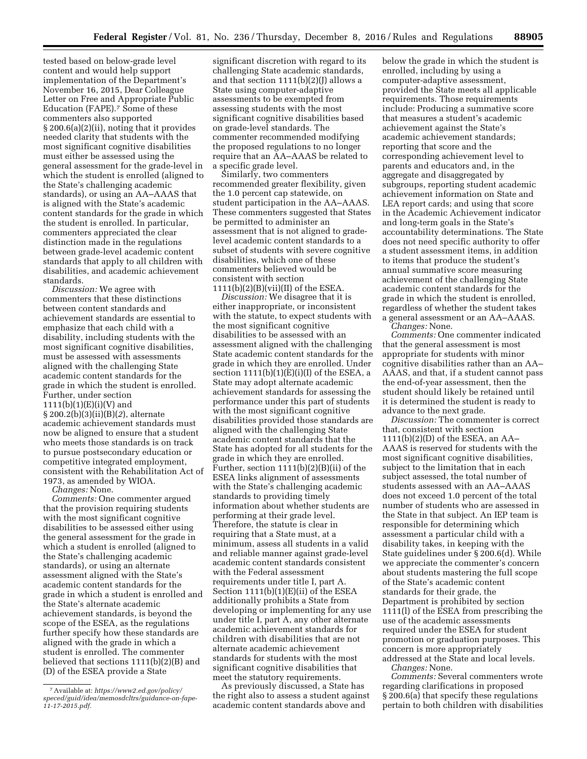tested based on below-grade level content and would help support implementation of the Department's November 16, 2015, Dear Colleague Letter on Free and Appropriate Public Education (FAPE).7 Some of these commenters also supported § 200.6(a)(2)(ii), noting that it provides needed clarity that students with the most significant cognitive disabilities must either be assessed using the general assessment for the grade-level in which the student is enrolled (aligned to the State's challenging academic standards), or using an AA–AAAS that is aligned with the State's academic content standards for the grade in which the student is enrolled. In particular, commenters appreciated the clear distinction made in the regulations between grade-level academic content standards that apply to all children with disabilities, and academic achievement standards.

*Discussion:* We agree with commenters that these distinctions between content standards and achievement standards are essential to emphasize that each child with a disability, including students with the most significant cognitive disabilities, must be assessed with assessments aligned with the challenging State academic content standards for the grade in which the student is enrolled. Further, under section  $1111(b)(1)(E)(i)(V)$  and § 200.2(b)(3)(ii)(B)(*2*), alternate academic achievement standards must now be aligned to ensure that a student who meets those standards is on track to pursue postsecondary education or competitive integrated employment, consistent with the Rehabilitation Act of 1973, as amended by WIOA.

*Changes:* None.

*Comments:* One commenter argued that the provision requiring students with the most significant cognitive disabilities to be assessed either using the general assessment for the grade in which a student is enrolled (aligned to the State's challenging academic standards), or using an alternate assessment aligned with the State's academic content standards for the grade in which a student is enrolled and the State's alternate academic achievement standards, is beyond the scope of the ESEA, as the regulations further specify how these standards are aligned with the grade in which a student is enrolled. The commenter believed that sections 1111(b)(2)(B) and (D) of the ESEA provide a State

significant discretion with regard to its challenging State academic standards, and that section  $1111(b)(2)(J)$  allows a State using computer-adaptive assessments to be exempted from assessing students with the most significant cognitive disabilities based on grade-level standards. The commenter recommended modifying the proposed regulations to no longer require that an AA–AAAS be related to a specific grade level.

Similarly, two commenters recommended greater flexibility, given the 1.0 percent cap statewide, on student participation in the AA–AAAS. These commenters suggested that States be permitted to administer an assessment that is not aligned to gradelevel academic content standards to a subset of students with severe cognitive disabilities, which one of these commenters believed would be consistent with section  $1111(b)(2)(B)(vii)(II)$  of the ESEA.

*Discussion:* We disagree that it is either inappropriate, or inconsistent with the statute, to expect students with the most significant cognitive disabilities to be assessed with an assessment aligned with the challenging State academic content standards for the grade in which they are enrolled. Under section  $1111(b)(1)(E)(i)(I)$  of the ESEA, a State may adopt alternate academic achievement standards for assessing the performance under this part of students with the most significant cognitive disabilities provided those standards are aligned with the challenging State academic content standards that the State has adopted for all students for the grade in which they are enrolled. Further, section 1111(b)(2)(B)(ii) of the ESEA links alignment of assessments with the State's challenging academic standards to providing timely information about whether students are performing at their grade level. Therefore, the statute is clear in requiring that a State must, at a minimum, assess all students in a valid and reliable manner against grade-level academic content standards consistent with the Federal assessment requirements under title I, part A. Section  $1111(b)(1)(E(i))$  of the ESEA additionally prohibits a State from developing or implementing for any use under title I, part A, any other alternate academic achievement standards for children with disabilities that are not alternate academic achievement standards for students with the most significant cognitive disabilities that meet the statutory requirements.

As previously discussed, a State has the right also to assess a student against academic content standards above and

below the grade in which the student is enrolled, including by using a computer-adaptive assessment, provided the State meets all applicable requirements. Those requirements include: Producing a summative score that measures a student's academic achievement against the State's academic achievement standards; reporting that score and the corresponding achievement level to parents and educators and, in the aggregate and disaggregated by subgroups, reporting student academic achievement information on State and LEA report cards; and using that score in the Academic Achievement indicator and long-term goals in the State's accountability determinations. The State does not need specific authority to offer a student assessment items, in addition to items that produce the student's annual summative score measuring achievement of the challenging State academic content standards for the grade in which the student is enrolled, regardless of whether the student takes a general assessment or an AA–AAAS. *Changes:* None.

*Comments:* One commenter indicated that the general assessment is most appropriate for students with minor cognitive disabilities rather than an AA– AAAS, and that, if a student cannot pass the end-of-year assessment, then the student should likely be retained until it is determined the student is ready to advance to the next grade.

*Discussion:* The commenter is correct that, consistent with section 1111(b)(2)(D) of the ESEA, an AA– AAAS is reserved for students with the most significant cognitive disabilities, subject to the limitation that in each subject assessed, the total number of students assessed with an AA–AAAS does not exceed 1.0 percent of the total number of students who are assessed in the State in that subject. An IEP team is responsible for determining which assessment a particular child with a disability takes, in keeping with the State guidelines under § 200.6(d). While we appreciate the commenter's concern about students mastering the full scope of the State's academic content standards for their grade, the Department is prohibited by section 1111(l) of the ESEA from prescribing the use of the academic assessments required under the ESEA for student promotion or graduation purposes. This concern is more appropriately addressed at the State and local levels.

*Changes:* None.

*Comments:* Several commenters wrote regarding clarifications in proposed § 200.6(a) that specify these regulations pertain to both children with disabilities

<sup>7</sup>Available at: *[https://www2.ed.gov/policy/](https://www2.ed.gov/policy/speced/guid/idea/memosdcltrs/guidance-on-fape-11-17-2015.pdf)  [speced/guid/idea/memosdcltrs/guidance-on-fape-](https://www2.ed.gov/policy/speced/guid/idea/memosdcltrs/guidance-on-fape-11-17-2015.pdf)[11-17-2015.pdf.](https://www2.ed.gov/policy/speced/guid/idea/memosdcltrs/guidance-on-fape-11-17-2015.pdf)*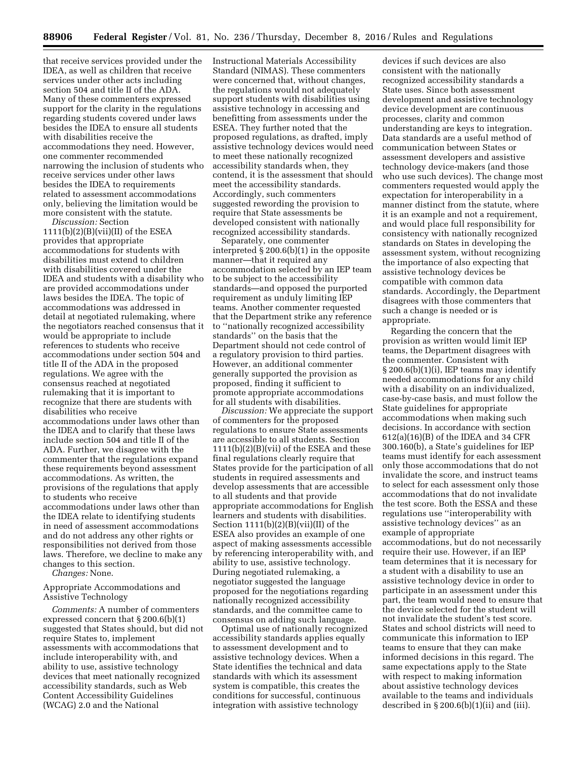that receive services provided under the IDEA, as well as children that receive services under other acts including section 504 and title II of the ADA. Many of these commenters expressed support for the clarity in the regulations regarding students covered under laws besides the IDEA to ensure all students with disabilities receive the accommodations they need. However, one commenter recommended narrowing the inclusion of students who receive services under other laws besides the IDEA to requirements related to assessment accommodations only, believing the limitation would be more consistent with the statute.

*Discussion:* Section  $1111(b)(2)(B)(vii)(II)$  of the ESEA provides that appropriate accommodations for students with disabilities must extend to children with disabilities covered under the IDEA and students with a disability who are provided accommodations under laws besides the IDEA. The topic of accommodations was addressed in detail at negotiated rulemaking, where the negotiators reached consensus that it would be appropriate to include references to students who receive accommodations under section 504 and title II of the ADA in the proposed regulations. We agree with the consensus reached at negotiated rulemaking that it is important to recognize that there are students with disabilities who receive accommodations under laws other than the IDEA and to clarify that these laws include section 504 and title II of the ADA. Further, we disagree with the commenter that the regulations expand these requirements beyond assessment accommodations. As written, the provisions of the regulations that apply to students who receive accommodations under laws other than the IDEA relate to identifying students in need of assessment accommodations and do not address any other rights or responsibilities not derived from those laws. Therefore, we decline to make any changes to this section.

*Changes:* None.

Appropriate Accommodations and Assistive Technology

*Comments:* A number of commenters expressed concern that § 200.6(b)(1) suggested that States should, but did not require States to, implement assessments with accommodations that include interoperability with, and ability to use, assistive technology devices that meet nationally recognized accessibility standards, such as Web Content Accessibility Guidelines (WCAG) 2.0 and the National

Instructional Materials Accessibility Standard (NIMAS). These commenters were concerned that, without changes, the regulations would not adequately support students with disabilities using assistive technology in accessing and benefitting from assessments under the ESEA. They further noted that the proposed regulations, as drafted, imply assistive technology devices would need to meet these nationally recognized accessibility standards when, they contend, it is the assessment that should meet the accessibility standards. Accordingly, such commenters suggested rewording the provision to require that State assessments be developed consistent with nationally recognized accessibility standards.

Separately, one commenter interpreted § 200.6(b)(1) in the opposite manner—that it required any accommodation selected by an IEP team to be subject to the accessibility standards—and opposed the purported requirement as unduly limiting IEP teams. Another commenter requested that the Department strike any reference to ''nationally recognized accessibility standards'' on the basis that the Department should not cede control of a regulatory provision to third parties. However, an additional commenter generally supported the provision as proposed, finding it sufficient to promote appropriate accommodations for all students with disabilities.

*Discussion:* We appreciate the support of commenters for the proposed regulations to ensure State assessments are accessible to all students. Section 1111(b)(2)(B)(vii) of the ESEA and these final regulations clearly require that States provide for the participation of all students in required assessments and develop assessments that are accessible to all students and that provide appropriate accommodations for English learners and students with disabilities. Section  $1111(b)(2)(B)(vii)(II)$  of the ESEA also provides an example of one aspect of making assessments accessible by referencing interoperability with, and ability to use, assistive technology. During negotiated rulemaking, a negotiator suggested the language proposed for the negotiations regarding nationally recognized accessibility standards, and the committee came to consensus on adding such language.

Optimal use of nationally recognized accessibility standards applies equally to assessment development and to assistive technology devices. When a State identifies the technical and data standards with which its assessment system is compatible, this creates the conditions for successful, continuous integration with assistive technology

devices if such devices are also consistent with the nationally recognized accessibility standards a State uses. Since both assessment development and assistive technology device development are continuous processes, clarity and common understanding are keys to integration. Data standards are a useful method of communication between States or assessment developers and assistive technology device-makers (and those who use such devices). The change most commenters requested would apply the expectation for interoperability in a manner distinct from the statute, where it is an example and not a requirement, and would place full responsibility for consistency with nationally recognized standards on States in developing the assessment system, without recognizing the importance of also expecting that assistive technology devices be compatible with common data standards. Accordingly, the Department disagrees with those commenters that such a change is needed or is appropriate.

Regarding the concern that the provision as written would limit IEP teams, the Department disagrees with the commenter. Consistent with § 200.6(b)(1)(i), IEP teams may identify needed accommodations for any child with a disability on an individualized, case-by-case basis, and must follow the State guidelines for appropriate accommodations when making such decisions. In accordance with section 612(a)(16)(B) of the IDEA and 34 CFR 300.160(b), a State's guidelines for IEP teams must identify for each assessment only those accommodations that do not invalidate the score, and instruct teams to select for each assessment only those accommodations that do not invalidate the test score. Both the ESSA and these regulations use ''interoperability with assistive technology devices'' as an example of appropriate accommodations, but do not necessarily require their use. However, if an IEP team determines that it is necessary for a student with a disability to use an assistive technology device in order to participate in an assessment under this part, the team would need to ensure that the device selected for the student will not invalidate the student's test score. States and school districts will need to communicate this information to IEP teams to ensure that they can make informed decisions in this regard. The same expectations apply to the State with respect to making information about assistive technology devices available to the teams and individuals described in  $\S 200.6(b)(1)(ii)$  and (iii).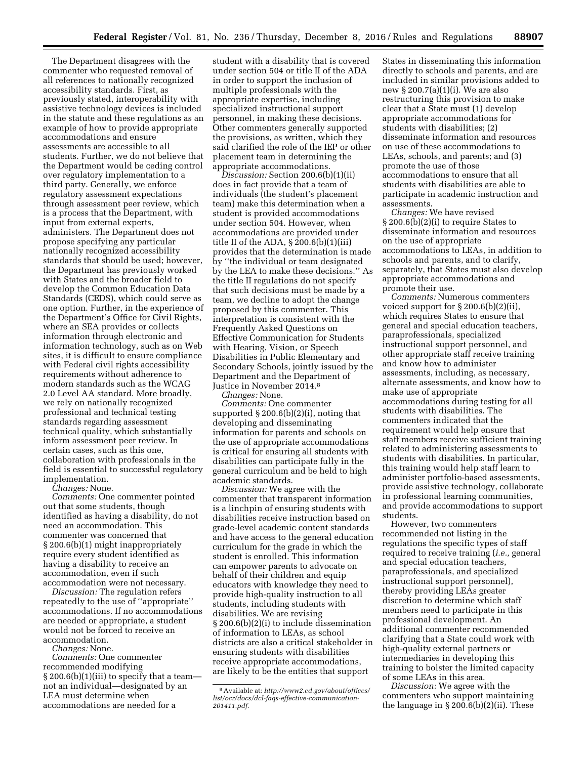The Department disagrees with the commenter who requested removal of all references to nationally recognized accessibility standards. First, as previously stated, interoperability with assistive technology devices is included in the statute and these regulations as an example of how to provide appropriate accommodations and ensure assessments are accessible to all students. Further, we do not believe that the Department would be ceding control over regulatory implementation to a third party. Generally, we enforce regulatory assessment expectations through assessment peer review, which is a process that the Department, with input from external experts, administers. The Department does not propose specifying any particular nationally recognized accessibility standards that should be used; however, the Department has previously worked with States and the broader field to develop the Common Education Data Standards (CEDS), which could serve as one option. Further, in the experience of the Department's Office for Civil Rights, where an SEA provides or collects information through electronic and information technology, such as on Web sites, it is difficult to ensure compliance with Federal civil rights accessibility requirements without adherence to modern standards such as the WCAG 2.0 Level AA standard. More broadly, we rely on nationally recognized professional and technical testing standards regarding assessment technical quality, which substantially inform assessment peer review. In certain cases, such as this one, collaboration with professionals in the field is essential to successful regulatory implementation.

*Changes:* None.

*Comments:* One commenter pointed out that some students, though identified as having a disability, do not need an accommodation. This commenter was concerned that § 200.6(b)(1) might inappropriately require every student identified as having a disability to receive an accommodation, even if such accommodation were not necessary.

*Discussion:* The regulation refers repeatedly to the use of ''appropriate'' accommodations. If no accommodations are needed or appropriate, a student would not be forced to receive an accommodation.

*Changes:* None.

*Comments:* One commenter recommended modifying  $\S 200.6(b)(1)(iii)$  to specify that a team not an individual—designated by an LEA must determine when accommodations are needed for a

student with a disability that is covered under section 504 or title II of the ADA in order to support the inclusion of multiple professionals with the appropriate expertise, including specialized instructional support personnel, in making these decisions. Other commenters generally supported the provisions, as written, which they said clarified the role of the IEP or other placement team in determining the appropriate accommodations.

*Discussion:* Section 200.6(b)(1)(ii) does in fact provide that a team of individuals (the student's placement team) make this determination when a student is provided accommodations under section 504. However, when accommodations are provided under title II of the ADA, § 200.6(b)(1)(iii) provides that the determination is made by ''the individual or team designated by the LEA to make these decisions.'' As the title II regulations do not specify that such decisions must be made by a team, we decline to adopt the change proposed by this commenter. This interpretation is consistent with the Frequently Asked Questions on Effective Communication for Students with Hearing, Vision, or Speech Disabilities in Public Elementary and Secondary Schools, jointly issued by the Department and the Department of Justice in November 2014.8

*Changes:* None.

*Comments:* One commenter supported § 200.6(b)(2)(i), noting that developing and disseminating information for parents and schools on the use of appropriate accommodations is critical for ensuring all students with disabilities can participate fully in the general curriculum and be held to high academic standards.

*Discussion:* We agree with the commenter that transparent information is a linchpin of ensuring students with disabilities receive instruction based on grade-level academic content standards and have access to the general education curriculum for the grade in which the student is enrolled. This information can empower parents to advocate on behalf of their children and equip educators with knowledge they need to provide high-quality instruction to all students, including students with disabilities. We are revising § 200.6(b)(2)(i) to include dissemination of information to LEAs, as school districts are also a critical stakeholder in ensuring students with disabilities receive appropriate accommodations, are likely to be the entities that support

States in disseminating this information directly to schools and parents, and are included in similar provisions added to new § 200.7(a)(1)(i). We are also restructuring this provision to make clear that a State must (1) develop appropriate accommodations for students with disabilities; (2) disseminate information and resources on use of these accommodations to LEAs, schools, and parents; and (3) promote the use of those accommodations to ensure that all students with disabilities are able to participate in academic instruction and assessments.

*Changes:* We have revised § 200.6(b)(2)(i) to require States to disseminate information and resources on the use of appropriate accommodations to LEAs, in addition to schools and parents, and to clarify, separately, that States must also develop appropriate accommodations and promote their use.

*Comments:* Numerous commenters voiced support for § 200.6(b)(2)(ii), which requires States to ensure that general and special education teachers, paraprofessionals, specialized instructional support personnel, and other appropriate staff receive training and know how to administer assessments, including, as necessary, alternate assessments, and know how to make use of appropriate accommodations during testing for all students with disabilities. The commenters indicated that the requirement would help ensure that staff members receive sufficient training related to administering assessments to students with disabilities. In particular, this training would help staff learn to administer portfolio-based assessments, provide assistive technology, collaborate in professional learning communities, and provide accommodations to support students.

However, two commenters recommended not listing in the regulations the specific types of staff required to receive training (*i.e.,* general and special education teachers, paraprofessionals, and specialized instructional support personnel), thereby providing LEAs greater discretion to determine which staff members need to participate in this professional development. An additional commenter recommended clarifying that a State could work with high-quality external partners or intermediaries in developing this training to bolster the limited capacity of some LEAs in this area.

*Discussion:* We agree with the commenters who support maintaining the language in  $\S 200.6(b)(2)(ii)$ . These

<sup>8</sup>Available at: *[http://www2.ed.gov/about/offices/](http://www2.ed.gov/about/offices/list/ocr/docs/dcl-faqs-effective-communication-201411.pdf)  [list/ocr/docs/dcl-faqs-effective-communication-](http://www2.ed.gov/about/offices/list/ocr/docs/dcl-faqs-effective-communication-201411.pdf)[201411.pdf](http://www2.ed.gov/about/offices/list/ocr/docs/dcl-faqs-effective-communication-201411.pdf)*.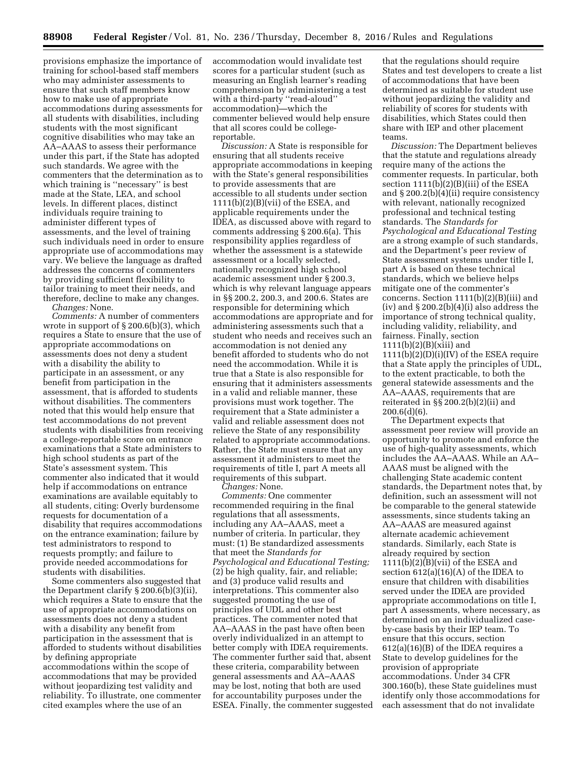provisions emphasize the importance of training for school-based staff members who may administer assessments to ensure that such staff members know how to make use of appropriate accommodations during assessments for all students with disabilities, including students with the most significant cognitive disabilities who may take an AA–AAAS to assess their performance under this part, if the State has adopted such standards. We agree with the commenters that the determination as to which training is ''necessary'' is best made at the State, LEA, and school levels. In different places, distinct individuals require training to administer different types of assessments, and the level of training such individuals need in order to ensure appropriate use of accommodations may vary. We believe the language as drafted addresses the concerns of commenters by providing sufficient flexibility to tailor training to meet their needs, and therefore, decline to make any changes.

*Changes:* None.

*Comments:* A number of commenters wrote in support of § 200.6(b)(3), which requires a State to ensure that the use of appropriate accommodations on assessments does not deny a student with a disability the ability to participate in an assessment, or any benefit from participation in the assessment, that is afforded to students without disabilities. The commenters noted that this would help ensure that test accommodations do not prevent students with disabilities from receiving a college-reportable score on entrance examinations that a State administers to high school students as part of the State's assessment system. This commenter also indicated that it would help if accommodations on entrance examinations are available equitably to all students, citing: Overly burdensome requests for documentation of a disability that requires accommodations on the entrance examination; failure by test administrators to respond to requests promptly; and failure to provide needed accommodations for students with disabilities.

Some commenters also suggested that the Department clarify § 200.6(b)(3)(ii), which requires a State to ensure that the use of appropriate accommodations on assessments does not deny a student with a disability any benefit from participation in the assessment that is afforded to students without disabilities by defining appropriate accommodations within the scope of accommodations that may be provided without jeopardizing test validity and reliability. To illustrate, one commenter cited examples where the use of an

accommodation would invalidate test scores for a particular student (such as measuring an English learner's reading comprehension by administering a test with a third-party ''read-aloud'' accommodation)—which the commenter believed would help ensure that all scores could be collegereportable.

*Discussion:* A State is responsible for ensuring that all students receive appropriate accommodations in keeping with the State's general responsibilities to provide assessments that are accessible to all students under section  $1111(b)(2)(B)(vii)$  of the ESEA, and applicable requirements under the IDEA, as discussed above with regard to comments addressing § 200.6(a). This responsibility applies regardless of whether the assessment is a statewide assessment or a locally selected, nationally recognized high school academic assessment under § 200.3, which is why relevant language appears in §§ 200.2, 200.3, and 200.6. States are responsible for determining which accommodations are appropriate and for administering assessments such that a student who needs and receives such an accommodation is not denied any benefit afforded to students who do not need the accommodation. While it is true that a State is also responsible for ensuring that it administers assessments in a valid and reliable manner, these provisions must work together. The requirement that a State administer a valid and reliable assessment does not relieve the State of any responsibility related to appropriate accommodations. Rather, the State must ensure that any assessment it administers to meet the requirements of title I, part A meets all requirements of this subpart.

*Changes:* None.

*Comments:* One commenter recommended requiring in the final regulations that all assessments, including any AA–AAAS, meet a number of criteria. In particular, they must: (1) Be standardized assessments that meet the *Standards for Psychological and Educational Testing;*  (2) be high quality, fair, and reliable; and (3) produce valid results and interpretations. This commenter also suggested promoting the use of principles of UDL and other best practices. The commenter noted that AA–AAAS in the past have often been overly individualized in an attempt to better comply with IDEA requirements. The commenter further said that, absent these criteria, comparability between general assessments and AA–AAAS may be lost, noting that both are used for accountability purposes under the ESEA. Finally, the commenter suggested

that the regulations should require States and test developers to create a list of accommodations that have been determined as suitable for student use without jeopardizing the validity and reliability of scores for students with disabilities, which States could then share with IEP and other placement teams.

*Discussion:* The Department believes that the statute and regulations already require many of the actions the commenter requests. In particular, both section 1111(b)(2)(B)(iii) of the ESEA and § 200.2(b)(4)(ii) require consistency with relevant, nationally recognized professional and technical testing standards. The *Standards for Psychological and Educational Testing*  are a strong example of such standards, and the Department's peer review of State assessment systems under title I, part A is based on these technical standards, which we believe helps mitigate one of the commenter's concerns. Section 1111(b)(2)(B)(iii) and  $(iv)$  and  $\S 200.2(b)(4)(i)$  also address the importance of strong technical quality, including validity, reliability, and fairness. Finally, section  $1111(b)(2)(B)(xiii)$  and  $1111(b)(2)(D)(i)(IV)$  of the ESEA require that a State apply the principles of UDL, to the extent practicable, to both the general statewide assessments and the AA–AAAS, requirements that are reiterated in §§ 200.2(b)(2)(ii) and  $200.6(d)(6)$ .

The Department expects that assessment peer review will provide an opportunity to promote and enforce the use of high-quality assessments, which includes the AA–AAAS. While an AA– AAAS must be aligned with the challenging State academic content standards, the Department notes that, by definition, such an assessment will not be comparable to the general statewide assessments, since students taking an AA–AAAS are measured against alternate academic achievement standards. Similarly, each State is already required by section 1111(b)(2)(B)(vii) of the ESEA and section  $612(a)(16)(A)$  of the IDEA to ensure that children with disabilities served under the IDEA are provided appropriate accommodations on title I, part A assessments, where necessary, as determined on an individualized caseby-case basis by their IEP team. To ensure that this occurs, section 612(a)(16)(B) of the IDEA requires a State to develop guidelines for the provision of appropriate accommodations. Under 34 CFR 300.160(b), these State guidelines must identify only those accommodations for each assessment that do not invalidate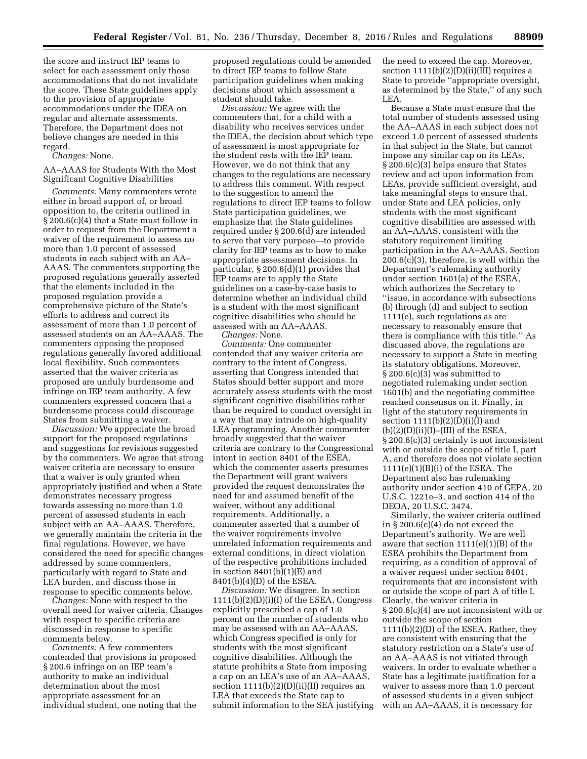the score and instruct IEP teams to select for each assessment only those accommodations that do not invalidate the score. These State guidelines apply to the provision of appropriate accommodations under the IDEA on regular and alternate assessments. Therefore, the Department does not believe changes are needed in this regard.

*Changes:* None.

AA–AAAS for Students With the Most Significant Cognitive Disabilities

*Comments:* Many commenters wrote either in broad support of, or broad opposition to, the criteria outlined in § 200.6(c)(4) that a State must follow in order to request from the Department a waiver of the requirement to assess no more than 1.0 percent of assessed students in each subject with an AA– AAAS. The commenters supporting the proposed regulations generally asserted that the elements included in the proposed regulation provide a comprehensive picture of the State's efforts to address and correct its assessment of more than 1.0 percent of assessed students on an AA–AAAS. The commenters opposing the proposed regulations generally favored additional local flexibility. Such commenters asserted that the waiver criteria as proposed are unduly burdensome and infringe on IEP team authority. A few commenters expressed concern that a burdensome process could discourage States from submitting a waiver.

*Discussion:* We appreciate the broad support for the proposed regulations and suggestions for revisions suggested by the commenters. We agree that strong waiver criteria are necessary to ensure that a waiver is only granted when appropriately justified and when a State demonstrates necessary progress towards assessing no more than 1.0 percent of assessed students in each subject with an AA–AAAS. Therefore, we generally maintain the criteria in the final regulations. However, we have considered the need for specific changes addressed by some commenters, particularly with regard to State and LEA burden, and discuss those in response to specific comments below.

*Changes:* None with respect to the overall need for waiver criteria. Changes with respect to specific criteria are discussed in response to specific comments below.

*Comments:* A few commenters contended that provisions in proposed § 200.6 infringe on an IEP team's authority to make an individual determination about the most appropriate assessment for an individual student, one noting that the

proposed regulations could be amended to direct IEP teams to follow State participation guidelines when making decisions about which assessment a student should take.

*Discussion:* We agree with the commenters that, for a child with a disability who receives services under the IDEA, the decision about which type of assessment is most appropriate for the student rests with the IEP team. However, we do not think that any changes to the regulations are necessary to address this comment. With respect to the suggestion to amend the regulations to direct IEP teams to follow State participation guidelines, we emphasize that the State guidelines required under § 200.6(d) are intended to serve that very purpose—to provide clarity for IEP teams as to how to make appropriate assessment decisions. In particular, § 200.6(d)(1) provides that IEP teams are to apply the State guidelines on a case-by-case basis to determine whether an individual child is a student with the most significant cognitive disabilities who should be assessed with an AA–AAAS. *Changes:* None.

*Comments:* One commenter contended that any waiver criteria are contrary to the intent of Congress, asserting that Congress intended that States should better support and more accurately assess students with the most significant cognitive disabilities rather than be required to conduct oversight in a way that may intrude on high-quality LEA programming. Another commenter broadly suggested that the waiver criteria are contrary to the Congressional intent in section 8401 of the ESEA, which the commenter asserts presumes the Department will grant waivers provided the request demonstrates the need for and assumed benefit of the waiver, without any additional requirements. Additionally, a commenter asserted that a number of the waiver requirements involve unrelated information requirements and external conditions, in direct violation of the respective prohibitions included in section  $8401(b)(1)(E)$  and 8401(b)(4)(D) of the ESEA.

*Discussion:* We disagree. In section 1111(b)(2)(D)(i)(I) of the ESEA, Congress explicitly prescribed a cap of 1.0 percent on the number of students who may be assessed with an AA–AAAS, which Congress specified is only for students with the most significant cognitive disabilities. Although the statute prohibits a State from imposing a cap on an LEA's use of an AA–AAAS, section 1111(b)(2)(D)(ii)(II) requires an LEA that exceeds the State cap to submit information to the SEA justifying the need to exceed the cap. Moreover, section  $1111(b)(2)(D)(ii)(III)$  requires a State to provide ''appropriate oversight, as determined by the State,'' of any such LEA.

Because a State must ensure that the total number of students assessed using the AA–AAAS in each subject does not exceed 1.0 percent of assessed students in that subject in the State, but cannot impose any similar cap on its LEAs, § 200.6(c)(3) helps ensure that States review and act upon information from LEAs, provide sufficient oversight, and take meaningful steps to ensure that, under State and LEA policies, only students with the most significant cognitive disabilities are assessed with an AA–AAAS, consistent with the statutory requirement limiting participation in the AA–AAAS. Section 200.6(c)(3), therefore, is well within the Department's rulemaking authority under section 1601(a) of the ESEA, which authorizes the Secretary to ''issue, in accordance with subsections (b) through (d) and subject to section 1111(e), such regulations as are necessary to reasonably ensure that there is compliance with this title.'' As discussed above, the regulations are necessary to support a State in meeting its statutory obligations. Moreover, § 200.6(c)(3) was submitted to negotiated rulemaking under section 1601(b) and the negotiating committee reached consensus on it. Finally, in light of the statutory requirements in section  $1111(b)(2)(D)(i)(I)$  and  $(b)(2)(D)(ii)(I)$ –(III) of the ESEA, § 200.6(c)(3) certainly is not inconsistent with or outside the scope of title I, part A, and therefore does not violate section 1111(e)(1)(B)(i) of the ESEA. The Department also has rulemaking authority under section 410 of GEPA, 20 U.S.C. 1221e–3, and section 414 of the DEOA, 20 U.S.C. 3474.

Similarly, the waiver criteria outlined in § 200.6(c)(4) do not exceed the Department's authority. We are well aware that section  $1111(e)(1)(B)$  of the ESEA prohibits the Department from requiring, as a condition of approval of a waiver request under section 8401, requirements that are inconsistent with or outside the scope of part A of title I. Clearly, the waiver criteria in § 200.6(c)(4) are not inconsistent with or outside the scope of section 1111(b)(2)(D) of the ESEA. Rather, they are consistent with ensuring that the statutory restriction on a State's use of an AA–AAAS is not vitiated through waivers. In order to evaluate whether a State has a legitimate justification for a waiver to assess more than 1.0 percent of assessed students in a given subject with an AA–AAAS, it is necessary for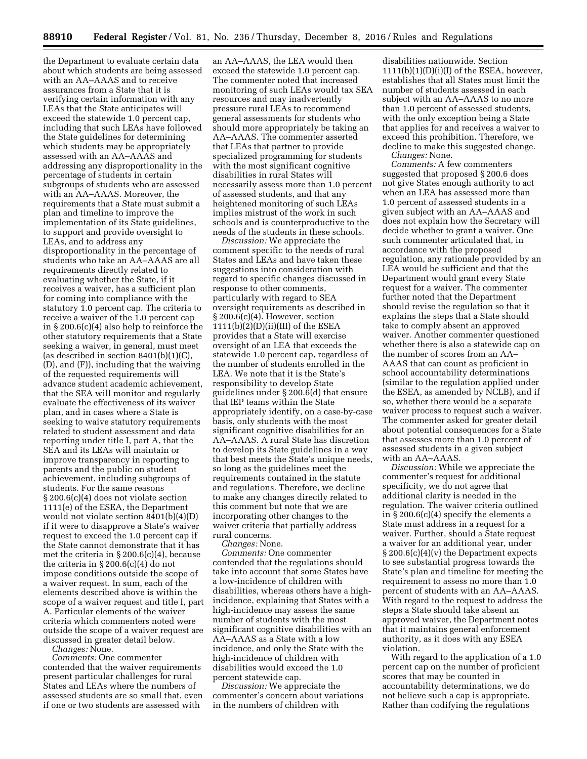the Department to evaluate certain data about which students are being assessed with an AA–AAAS and to receive assurances from a State that it is verifying certain information with any LEAs that the State anticipates will exceed the statewide 1.0 percent cap, including that such LEAs have followed the State guidelines for determining which students may be appropriately assessed with an AA–AAAS and addressing any disproportionality in the percentage of students in certain subgroups of students who are assessed with an AA–AAAS. Moreover, the requirements that a State must submit a plan and timeline to improve the implementation of its State guidelines, to support and provide oversight to LEAs, and to address any disproportionality in the percentage of students who take an AA–AAAS are all requirements directly related to evaluating whether the State, if it receives a waiver, has a sufficient plan for coming into compliance with the statutory 1.0 percent cap. The criteria to receive a waiver of the 1.0 percent cap in § 200.6(c)(4) also help to reinforce the other statutory requirements that a State seeking a waiver, in general, must meet (as described in section 8401(b)(1)(C), (D), and (F)), including that the waiving of the requested requirements will advance student academic achievement, that the SEA will monitor and regularly evaluate the effectiveness of its waiver plan, and in cases where a State is seeking to waive statutory requirements related to student assessment and data reporting under title I, part A, that the SEA and its LEAs will maintain or improve transparency in reporting to parents and the public on student achievement, including subgroups of students. For the same reasons § 200.6(c)(4) does not violate section 1111(e) of the ESEA, the Department would not violate section 8401(b)(4)(D) if it were to disapprove a State's waiver request to exceed the 1.0 percent cap if the State cannot demonstrate that it has met the criteria in § 200.6(c)(4), because the criteria in  $\S 200.6(c)(4)$  do not impose conditions outside the scope of a waiver request. In sum, each of the elements described above is within the scope of a waiver request and title I, part A. Particular elements of the waiver criteria which commenters noted were outside the scope of a waiver request are discussed in greater detail below.

*Changes:* None.

*Comments:* One commenter contended that the waiver requirements present particular challenges for rural States and LEAs where the numbers of assessed students are so small that, even if one or two students are assessed with

an AA–AAAS, the LEA would then exceed the statewide 1.0 percent cap. The commenter noted that increased monitoring of such LEAs would tax SEA resources and may inadvertently pressure rural LEAs to recommend general assessments for students who should more appropriately be taking an AA–AAAS. The commenter asserted that LEAs that partner to provide specialized programming for students with the most significant cognitive disabilities in rural States will necessarily assess more than 1.0 percent of assessed students, and that any heightened monitoring of such LEAs implies mistrust of the work in such schools and is counterproductive to the needs of the students in these schools.

*Discussion:* We appreciate the comment specific to the needs of rural States and LEAs and have taken these suggestions into consideration with regard to specific changes discussed in response to other comments, particularly with regard to SEA oversight requirements as described in § 200.6(c)(4). However, section  $1111(b)(2)(D)(ii)(III)$  of the ESEA provides that a State will exercise oversight of an LEA that exceeds the statewide 1.0 percent cap, regardless of the number of students enrolled in the LEA. We note that it is the State's responsibility to develop State guidelines under § 200.6(d) that ensure that IEP teams within the State appropriately identify, on a case-by-case basis, only students with the most significant cognitive disabilities for an AA–AAAS. A rural State has discretion to develop its State guidelines in a way that best meets the State's unique needs, so long as the guidelines meet the requirements contained in the statute and regulations. Therefore, we decline to make any changes directly related to this comment but note that we are incorporating other changes to the waiver criteria that partially address rural concerns.

*Changes:* None.

*Comments:* One commenter contended that the regulations should take into account that some States have a low-incidence of children with disabilities, whereas others have a highincidence, explaining that States with a high-incidence may assess the same number of students with the most significant cognitive disabilities with an AA–AAAS as a State with a low incidence, and only the State with the high-incidence of children with disabilities would exceed the 1.0 percent statewide cap.

*Discussion:* We appreciate the commenter's concern about variations in the numbers of children with

disabilities nationwide. Section  $1111(b)(1)(D)(i)(I)$  of the ESEA, however, establishes that all States must limit the number of students assessed in each subject with an AA–AAAS to no more than 1.0 percent of assessed students, with the only exception being a State that applies for and receives a waiver to exceed this prohibition. Therefore, we decline to make this suggested change. *Changes:* None.

*Comments:* A few commenters suggested that proposed § 200.6 does not give States enough authority to act when an LEA has assessed more than 1.0 percent of assessed students in a given subject with an AA–AAAS and does not explain how the Secretary will decide whether to grant a waiver. One such commenter articulated that, in accordance with the proposed regulation, any rationale provided by an LEA would be sufficient and that the Department would grant every State request for a waiver. The commenter further noted that the Department should revise the regulation so that it explains the steps that a State should take to comply absent an approved waiver. Another commenter questioned whether there is also a statewide cap on the number of scores from an AA– AAAS that can count as proficient in school accountability determinations (similar to the regulation applied under the ESEA, as amended by NCLB), and if so, whether there would be a separate waiver process to request such a waiver. The commenter asked for greater detail about potential consequences for a State that assesses more than 1.0 percent of assessed students in a given subject with an AA–AAAS.

*Discussion:* While we appreciate the commenter's request for additional specificity, we do not agree that additional clarity is needed in the regulation. The waiver criteria outlined in § 200.6(c)(4) specify the elements a State must address in a request for a waiver. Further, should a State request a waiver for an additional year, under § 200.6(c)(4)(v) the Department expects to see substantial progress towards the State's plan and timeline for meeting the requirement to assess no more than 1.0 percent of students with an AA–AAAS. With regard to the request to address the steps a State should take absent an approved waiver, the Department notes that it maintains general enforcement authority, as it does with any ESEA violation.

With regard to the application of a 1.0 percent cap on the number of proficient scores that may be counted in accountability determinations, we do not believe such a cap is appropriate. Rather than codifying the regulations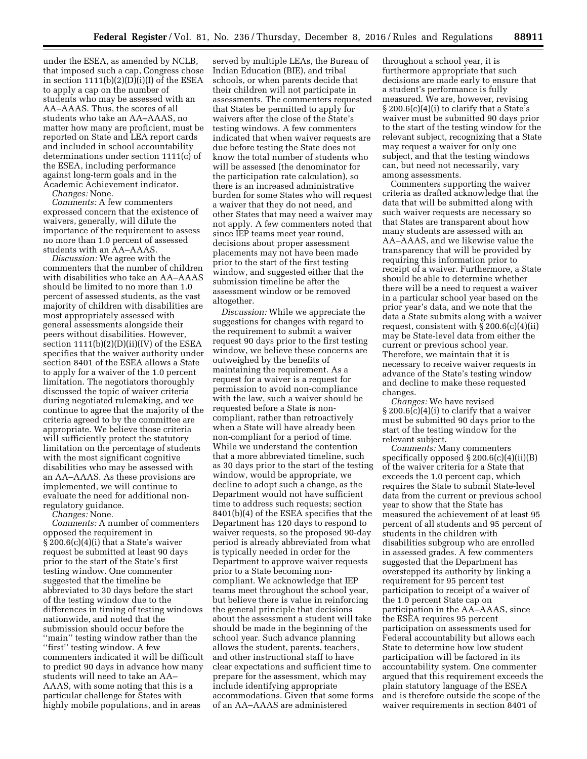under the ESEA, as amended by NCLB, that imposed such a cap, Congress chose in section  $1111(b)(2)(D)(i)(I)$  of the ESEA to apply a cap on the number of students who may be assessed with an AA–AAAS. Thus, the scores of all students who take an AA–AAAS, no matter how many are proficient, must be reported on State and LEA report cards and included in school accountability determinations under section 1111(c) of the ESEA, including performance against long-term goals and in the Academic Achievement indicator.

*Changes:* None.

*Comments:* A few commenters expressed concern that the existence of waivers, generally, will dilute the importance of the requirement to assess no more than 1.0 percent of assessed students with an AA–AAAS.

*Discussion:* We agree with the commenters that the number of children with disabilities who take an AA–AAAS should be limited to no more than 1.0 percent of assessed students, as the vast majority of children with disabilities are most appropriately assessed with general assessments alongside their peers without disabilities. However, section  $1111(b)(2)(D)(ii)(IV)$  of the ESEA specifies that the waiver authority under section 8401 of the ESEA allows a State to apply for a waiver of the 1.0 percent limitation. The negotiators thoroughly discussed the topic of waiver criteria during negotiated rulemaking, and we continue to agree that the majority of the criteria agreed to by the committee are appropriate. We believe those criteria will sufficiently protect the statutory limitation on the percentage of students with the most significant cognitive disabilities who may be assessed with an AA–AAAS. As these provisions are implemented, we will continue to evaluate the need for additional nonregulatory guidance.

*Changes:* None.

*Comments:* A number of commenters opposed the requirement in § 200.6(c)(4)(i) that a State's waiver request be submitted at least 90 days prior to the start of the State's first testing window. One commenter suggested that the timeline be abbreviated to 30 days before the start of the testing window due to the differences in timing of testing windows nationwide, and noted that the submission should occur before the ''main'' testing window rather than the ''first'' testing window. A few commenters indicated it will be difficult to predict 90 days in advance how many students will need to take an AA– AAAS, with some noting that this is a particular challenge for States with highly mobile populations, and in areas

served by multiple LEAs, the Bureau of Indian Education (BIE), and tribal schools, or when parents decide that their children will not participate in assessments. The commenters requested that States be permitted to apply for waivers after the close of the State's testing windows. A few commenters indicated that when waiver requests are due before testing the State does not know the total number of students who will be assessed (the denominator for the participation rate calculation), so there is an increased administrative burden for some States who will request a waiver that they do not need, and other States that may need a waiver may not apply. A few commenters noted that since IEP teams meet year round, decisions about proper assessment placements may not have been made prior to the start of the first testing window, and suggested either that the submission timeline be after the assessment window or be removed altogether.

*Discussion:* While we appreciate the suggestions for changes with regard to the requirement to submit a waiver request 90 days prior to the first testing window, we believe these concerns are outweighed by the benefits of maintaining the requirement. As a request for a waiver is a request for permission to avoid non-compliance with the law, such a waiver should be requested before a State is noncompliant, rather than retroactively when a State will have already been non-compliant for a period of time. While we understand the contention that a more abbreviated timeline, such as 30 days prior to the start of the testing window, would be appropriate, we decline to adopt such a change, as the Department would not have sufficient time to address such requests; section 8401(b)(4) of the ESEA specifies that the Department has 120 days to respond to waiver requests, so the proposed 90-day period is already abbreviated from what is typically needed in order for the Department to approve waiver requests prior to a State becoming noncompliant. We acknowledge that IEP teams meet throughout the school year, but believe there is value in reinforcing the general principle that decisions about the assessment a student will take should be made in the beginning of the school year. Such advance planning allows the student, parents, teachers, and other instructional staff to have clear expectations and sufficient time to prepare for the assessment, which may include identifying appropriate accommodations. Given that some forms of an AA–AAAS are administered

throughout a school year, it is furthermore appropriate that such decisions are made early to ensure that a student's performance is fully measured. We are, however, revising § 200.6(c)(4)(i) to clarify that a State's waiver must be submitted 90 days prior to the start of the testing window for the relevant subject, recognizing that a State may request a waiver for only one subject, and that the testing windows can, but need not necessarily, vary among assessments.

Commenters supporting the waiver criteria as drafted acknowledge that the data that will be submitted along with such waiver requests are necessary so that States are transparent about how many students are assessed with an AA–AAAS, and we likewise value the transparency that will be provided by requiring this information prior to receipt of a waiver. Furthermore, a State should be able to determine whether there will be a need to request a waiver in a particular school year based on the prior year's data, and we note that the data a State submits along with a waiver request, consistent with  $\S 200.6(c)(4)(ii)$ may be State-level data from either the current or previous school year. Therefore, we maintain that it is necessary to receive waiver requests in advance of the State's testing window and decline to make these requested changes.

*Changes:* We have revised § 200.6(c)(4)(i) to clarify that a waiver must be submitted 90 days prior to the start of the testing window for the relevant subject.

*Comments:* Many commenters specifically opposed  $\S 200.6(c)(4)(ii)(B)$ of the waiver criteria for a State that exceeds the 1.0 percent cap, which requires the State to submit State-level data from the current or previous school year to show that the State has measured the achievement of at least 95 percent of all students and 95 percent of students in the children with disabilities subgroup who are enrolled in assessed grades. A few commenters suggested that the Department has overstepped its authority by linking a requirement for 95 percent test participation to receipt of a waiver of the 1.0 percent State cap on participation in the AA–AAAS, since the ESEA requires 95 percent participation on assessments used for Federal accountability but allows each State to determine how low student participation will be factored in its accountability system. One commenter argued that this requirement exceeds the plain statutory language of the ESEA and is therefore outside the scope of the waiver requirements in section 8401 of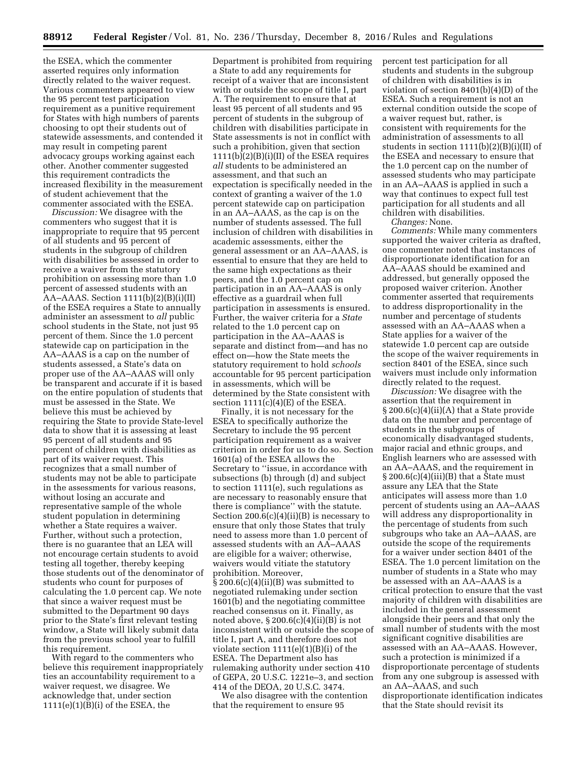the ESEA, which the commenter asserted requires only information directly related to the waiver request. Various commenters appeared to view the 95 percent test participation requirement as a punitive requirement for States with high numbers of parents choosing to opt their students out of statewide assessments, and contended it may result in competing parent advocacy groups working against each other. Another commenter suggested this requirement contradicts the increased flexibility in the measurement of student achievement that the commenter associated with the ESEA.

*Discussion:* We disagree with the commenters who suggest that it is inappropriate to require that 95 percent of all students and 95 percent of students in the subgroup of children with disabilities be assessed in order to receive a waiver from the statutory prohibition on assessing more than 1.0 percent of assessed students with an AA–AAAS. Section  $1111(b)(2)(B)(i)(II)$ of the ESEA requires a State to annually administer an assessment to *all* public school students in the State, not just 95 percent of them. Since the 1.0 percent statewide cap on participation in the AA–AAAS is a cap on the number of students assessed, a State's data on proper use of the AA–AAAS will only be transparent and accurate if it is based on the entire population of students that must be assessed in the State. We believe this must be achieved by requiring the State to provide State-level data to show that it is assessing at least 95 percent of all students and 95 percent of children with disabilities as part of its waiver request. This recognizes that a small number of students may not be able to participate in the assessments for various reasons, without losing an accurate and representative sample of the whole student population in determining whether a State requires a waiver. Further, without such a protection, there is no guarantee that an LEA will not encourage certain students to avoid testing all together, thereby keeping those students out of the denominator of students who count for purposes of calculating the 1.0 percent cap. We note that since a waiver request must be submitted to the Department 90 days prior to the State's first relevant testing window, a State will likely submit data from the previous school year to fulfill this requirement.

With regard to the commenters who believe this requirement inappropriately ties an accountability requirement to a waiver request, we disagree. We acknowledge that, under section 1111(e)(1)(B)(i) of the ESEA, the

Department is prohibited from requiring a State to add any requirements for receipt of a waiver that are inconsistent with or outside the scope of title I, part A. The requirement to ensure that at least 95 percent of all students and 95 percent of students in the subgroup of children with disabilities participate in State assessments is not in conflict with such a prohibition, given that section  $1111(b)(2)(B)(i)(II)$  of the ESEA requires *all* students to be administered an assessment, and that such an expectation is specifically needed in the context of granting a waiver of the 1.0 percent statewide cap on participation in an AA–AAAS, as the cap is on the number of students assessed. The full inclusion of children with disabilities in academic assessments, either the general assessment or an AA–AAAS, is essential to ensure that they are held to the same high expectations as their peers, and the 1.0 percent cap on participation in an AA–AAAS is only effective as a guardrail when full participation in assessments is ensured. Further, the waiver criteria for a *State*  related to the 1.0 percent cap on participation in the AA–AAAS is separate and distinct from—and has no effect on—how the State meets the statutory requirement to hold *schools*  accountable for 95 percent participation in assessments, which will be determined by the State consistent with section  $1111(c)(4)(E)$  of the ESEA.

Finally, it is not necessary for the ESEA to specifically authorize the Secretary to include the 95 percent participation requirement as a waiver criterion in order for us to do so. Section 1601(a) of the ESEA allows the Secretary to ''issue, in accordance with subsections (b) through (d) and subject to section 1111(e), such regulations as are necessary to reasonably ensure that there is compliance'' with the statute. Section  $200.6(c)(4)(ii)(B)$  is necessary to ensure that only those States that truly need to assess more than 1.0 percent of assessed students with an AA–AAAS are eligible for a waiver; otherwise, waivers would vitiate the statutory prohibition. Moreover, § 200.6(c)(4)(ii)(B) was submitted to negotiated rulemaking under section 1601(b) and the negotiating committee reached consensus on it. Finally, as noted above,  $\S 200.6(c)(4)(ii)(B)$  is not inconsistent with or outside the scope of title I, part A, and therefore does not violate section  $1111(e)(1)(B)(i)$  of the ESEA. The Department also has rulemaking authority under section 410 of GEPA, 20 U.S.C. 1221e–3, and section 414 of the DEOA, 20 U.S.C. 3474.

We also disagree with the contention that the requirement to ensure 95

percent test participation for all students and students in the subgroup of children with disabilities is in violation of section 8401(b)(4)(D) of the ESEA. Such a requirement is not an external condition outside the scope of a waiver request but, rather, is consistent with requirements for the administration of assessments to all students in section  $1111(b)(2)(B)(i)(II)$  of the ESEA and necessary to ensure that the 1.0 percent cap on the number of assessed students who may participate in an AA–AAAS is applied in such a way that continues to expect full test participation for all students and all children with disabilities.

*Changes:* None.

*Comments:* While many commenters supported the waiver criteria as drafted, one commenter noted that instances of disproportionate identification for an AA–AAAS should be examined and addressed, but generally opposed the proposed waiver criterion. Another commenter asserted that requirements to address disproportionality in the number and percentage of students assessed with an AA–AAAS when a State applies for a waiver of the statewide 1.0 percent cap are outside the scope of the waiver requirements in section 8401 of the ESEA, since such waivers must include only information directly related to the request.

*Discussion:* We disagree with the assertion that the requirement in § 200.6(c)(4)(ii)(A) that a State provide data on the number and percentage of students in the subgroups of economically disadvantaged students, major racial and ethnic groups, and English learners who are assessed with an AA–AAAS, and the requirement in  $\S 200.6(c)(4)(iii)(B)$  that a State must assure any LEA that the State anticipates will assess more than 1.0 percent of students using an AA–AAAS will address any disproportionality in the percentage of students from such subgroups who take an AA–AAAS, are outside the scope of the requirements for a waiver under section 8401 of the ESEA. The 1.0 percent limitation on the number of students in a State who may be assessed with an AA–AAAS is a critical protection to ensure that the vast majority of children with disabilities are included in the general assessment alongside their peers and that only the small number of students with the most significant cognitive disabilities are assessed with an AA–AAAS. However, such a protection is minimized if a disproportionate percentage of students from any one subgroup is assessed with an AA–AAAS, and such disproportionate identification indicates that the State should revisit its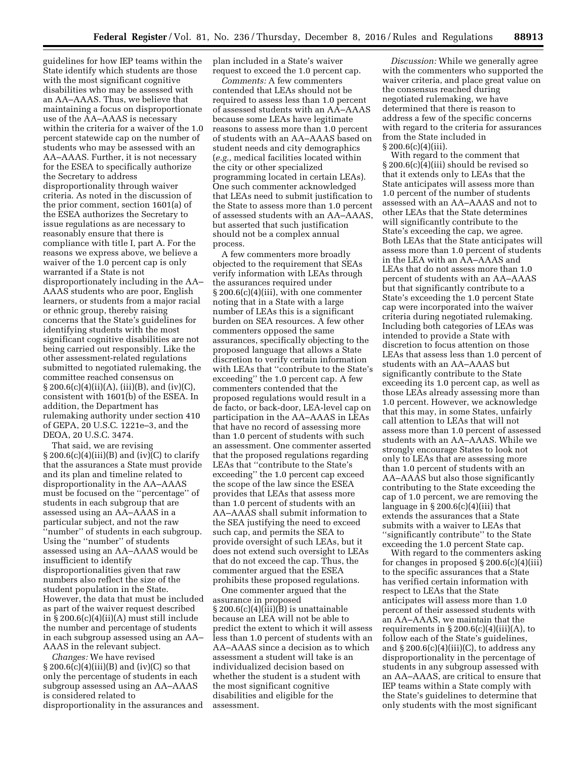guidelines for how IEP teams within the State identify which students are those with the most significant cognitive disabilities who may be assessed with an AA–AAAS. Thus, we believe that maintaining a focus on disproportionate use of the AA–AAAS is necessary within the criteria for a waiver of the 1.0 percent statewide cap on the number of students who may be assessed with an AA–AAAS. Further, it is not necessary for the ESEA to specifically authorize the Secretary to address disproportionality through waiver criteria. As noted in the discussion of the prior comment, section 1601(a) of the ESEA authorizes the Secretary to issue regulations as are necessary to reasonably ensure that there is compliance with title I, part A. For the reasons we express above, we believe a waiver of the 1.0 percent cap is only warranted if a State is not disproportionately including in the AA– AAAS students who are poor, English learners, or students from a major racial or ethnic group, thereby raising concerns that the State's guidelines for identifying students with the most significant cognitive disabilities are not being carried out responsibly. Like the other assessment-related regulations submitted to negotiated rulemaking, the committee reached consensus on  $\S 200.6(c)(4)(ii)(A), (iii)(B), and (iv)(C),$ consistent with 1601(b) of the ESEA. In addition, the Department has rulemaking authority under section 410 of GEPA, 20 U.S.C. 1221e–3, and the DEOA, 20 U.S.C. 3474.

That said, we are revising  $\S 200.6(c)(4)(iii)(B)$  and  $(iv)(C)$  to clarify that the assurances a State must provide and its plan and timeline related to disproportionality in the AA–AAAS must be focused on the ''percentage'' of students in each subgroup that are assessed using an AA–AAAS in a particular subject, and not the raw ''number'' of students in each subgroup. Using the ''number'' of students assessed using an AA–AAAS would be insufficient to identify disproportionalities given that raw numbers also reflect the size of the student population in the State. However, the data that must be included as part of the waiver request described in § 200.6(c)(4)(ii)(A) must still include the number and percentage of students in each subgroup assessed using an AA– AAAS in the relevant subject.

*Changes:* We have revised  $\S 200.6(c)(4)(iii)(B)$  and  $(iv)(C)$  so that only the percentage of students in each subgroup assessed using an AA–AAAS is considered related to disproportionality in the assurances and plan included in a State's waiver request to exceed the 1.0 percent cap.

*Comments:* A few commenters contended that LEAs should not be required to assess less than 1.0 percent of assessed students with an AA–AAAS because some LEAs have legitimate reasons to assess more than 1.0 percent of students with an AA–AAAS based on student needs and city demographics (*e.g.,* medical facilities located within the city or other specialized programming located in certain LEAs). One such commenter acknowledged that LEAs need to submit justification to the State to assess more than 1.0 percent of assessed students with an AA–AAAS, but asserted that such justification should not be a complex annual process.

A few commenters more broadly objected to the requirement that SEAs verify information with LEAs through the assurances required under § 200.6(c)(4)(iii), with one commenter noting that in a State with a large number of LEAs this is a significant burden on SEA resources. A few other commenters opposed the same assurances, specifically objecting to the proposed language that allows a State discretion to verify certain information with LEAs that ''contribute to the State's exceeding'' the 1.0 percent cap. A few commenters contended that the proposed regulations would result in a de facto, or back-door, LEA-level cap on participation in the AA–AAAS in LEAs that have no record of assessing more than 1.0 percent of students with such an assessment. One commenter asserted that the proposed regulations regarding LEAs that ''contribute to the State's exceeding'' the 1.0 percent cap exceed the scope of the law since the ESEA provides that LEAs that assess more than 1.0 percent of students with an AA–AAAS shall submit information to the SEA justifying the need to exceed such cap, and permits the SEA to provide oversight of such LEAs, but it does not extend such oversight to LEAs that do not exceed the cap. Thus, the commenter argued that the ESEA prohibits these proposed regulations.

One commenter argued that the assurance in proposed § 200.6(c)(4)(iii)(B) is unattainable because an LEA will not be able to predict the extent to which it will assess less than 1.0 percent of students with an AA–AAAS since a decision as to which assessment a student will take is an individualized decision based on whether the student is a student with the most significant cognitive disabilities and eligible for the assessment.

*Discussion:* While we generally agree with the commenters who supported the waiver criteria, and place great value on the consensus reached during negotiated rulemaking, we have determined that there is reason to address a few of the specific concerns with regard to the criteria for assurances from the State included in  $§ 200.6(c)(4)(iii).$ 

With regard to the comment that § 200.6(c)(4)(iii) should be revised so that it extends only to LEAs that the State anticipates will assess more than 1.0 percent of the number of students assessed with an AA–AAAS and not to other LEAs that the State determines will significantly contribute to the State's exceeding the cap, we agree. Both LEAs that the State anticipates will assess more than 1.0 percent of students in the LEA with an AA–AAAS and LEAs that do not assess more than 1.0 percent of students with an AA–AAAS but that significantly contribute to a State's exceeding the 1.0 percent State cap were incorporated into the waiver criteria during negotiated rulemaking. Including both categories of LEAs was intended to provide a State with discretion to focus attention on those LEAs that assess less than 1.0 percent of students with an AA–AAAS but significantly contribute to the State exceeding its 1.0 percent cap, as well as those LEAs already assessing more than 1.0 percent. However, we acknowledge that this may, in some States, unfairly call attention to LEAs that will not assess more than 1.0 percent of assessed students with an AA–AAAS. While we strongly encourage States to look not only to LEAs that are assessing more than 1.0 percent of students with an AA–AAAS but also those significantly contributing to the State exceeding the cap of 1.0 percent, we are removing the language in  $\S 200.6(c)(4)(iii)$  that extends the assurances that a State submits with a waiver to LEAs that ''significantly contribute'' to the State exceeding the 1.0 percent State cap.

With regard to the commenters asking for changes in proposed § 200.6(c)(4)(iii) to the specific assurances that a State has verified certain information with respect to LEAs that the State anticipates will assess more than 1.0 percent of their assessed students with an AA–AAAS, we maintain that the requirements in  $\S 200.6(c)(4)(iii)(A)$ , to follow each of the State's guidelines, and  $\S 200.6(c)(4)(iii)(C)$ , to address any disproportionality in the percentage of students in any subgroup assessed with an AA–AAAS, are critical to ensure that IEP teams within a State comply with the State's guidelines to determine that only students with the most significant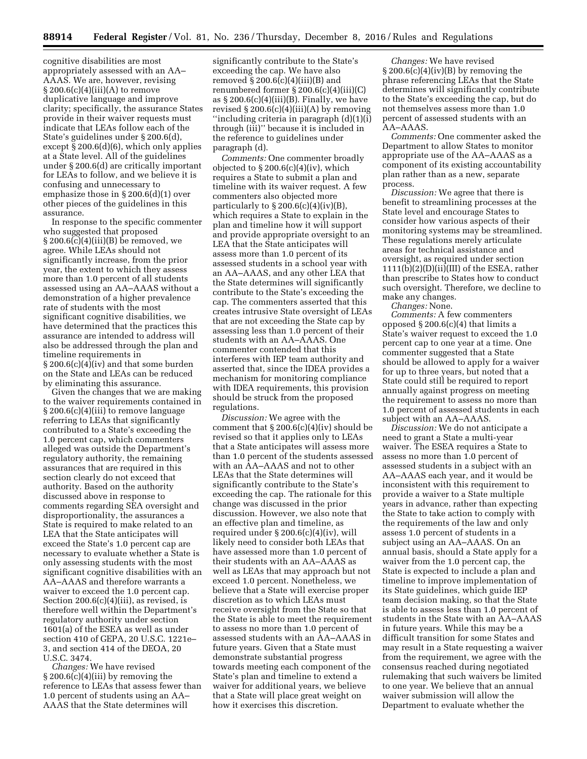cognitive disabilities are most appropriately assessed with an AA– AAAS. We are, however, revising  $\S 200.6(c)(4)(iii)(A)$  to remove duplicative language and improve clarity; specifically, the assurance States provide in their waiver requests must indicate that LEAs follow each of the State's guidelines under § 200.6(d), except § 200.6(d)(6), which only applies at a State level. All of the guidelines under § 200.6(d) are critically important for LEAs to follow, and we believe it is confusing and unnecessary to emphasize those in § 200.6(d)(1) over other pieces of the guidelines in this assurance.

In response to the specific commenter who suggested that proposed  $\S 200.6(c)(4)(iii)(B)$  be removed, we agree. While LEAs should not significantly increase, from the prior year, the extent to which they assess more than 1.0 percent of all students assessed using an AA–AAAS without a demonstration of a higher prevalence rate of students with the most significant cognitive disabilities, we have determined that the practices this assurance are intended to address will also be addressed through the plan and timeline requirements in § 200.6(c)(4)(iv) and that some burden on the State and LEAs can be reduced by eliminating this assurance.

Given the changes that we are making to the waiver requirements contained in § 200.6(c)(4)(iii) to remove language referring to LEAs that significantly contributed to a State's exceeding the 1.0 percent cap, which commenters alleged was outside the Department's regulatory authority, the remaining assurances that are required in this section clearly do not exceed that authority. Based on the authority discussed above in response to comments regarding SEA oversight and disproportionality, the assurances a State is required to make related to an LEA that the State anticipates will exceed the State's 1.0 percent cap are necessary to evaluate whether a State is only assessing students with the most significant cognitive disabilities with an AA–AAAS and therefore warrants a waiver to exceed the 1.0 percent cap. Section 200.6(c)(4)(iii), as revised, is therefore well within the Department's regulatory authority under section 1601(a) of the ESEA as well as under section 410 of GEPA, 20 U.S.C. 1221e– 3, and section 414 of the DEOA, 20 U.S.C. 3474.

*Changes:* We have revised  $\S 200.6(c)(4)(iii)$  by removing the reference to LEAs that assess fewer than 1.0 percent of students using an AA– AAAS that the State determines will

significantly contribute to the State's exceeding the cap. We have also removed  $\S 200.6(c)(4)(iii)(B)$  and renumbered former § 200.6(c)(4)(iii)(C) as  $\S 200.6(c)(4)(iii)(B)$ . Finally, we have revised  $\S 200.6(c)(4)(iii)(A)$  by removing ''including criteria in paragraph (d)(1)(i) through (iii)'' because it is included in the reference to guidelines under paragraph (d).

*Comments:* One commenter broadly objected to  $\S 200.6(c)(4)(iv)$ , which requires a State to submit a plan and timeline with its waiver request. A few commenters also objected more particularly to  $\S 200.6(c)(4)(iv)(B)$ , which requires a State to explain in the plan and timeline how it will support and provide appropriate oversight to an LEA that the State anticipates will assess more than 1.0 percent of its assessed students in a school year with an AA–AAAS, and any other LEA that the State determines will significantly contribute to the State's exceeding the cap. The commenters asserted that this creates intrusive State oversight of LEAs that are not exceeding the State cap by assessing less than 1.0 percent of their students with an AA–AAAS. One commenter contended that this interferes with IEP team authority and asserted that, since the IDEA provides a mechanism for monitoring compliance with IDEA requirements, this provision should be struck from the proposed regulations.

*Discussion:* We agree with the comment that  $\S 200.6(c)(4)(iv)$  should be revised so that it applies only to LEAs that a State anticipates will assess more than 1.0 percent of the students assessed with an AA–AAAS and not to other LEAs that the State determines will significantly contribute to the State's exceeding the cap. The rationale for this change was discussed in the prior discussion. However, we also note that an effective plan and timeline, as required under § 200.6(c)(4)(iv), will likely need to consider both LEAs that have assessed more than 1.0 percent of their students with an AA–AAAS as well as LEAs that may approach but not exceed 1.0 percent. Nonetheless, we believe that a State will exercise proper discretion as to which LEAs must receive oversight from the State so that the State is able to meet the requirement to assess no more than 1.0 percent of assessed students with an AA–AAAS in future years. Given that a State must demonstrate substantial progress towards meeting each component of the State's plan and timeline to extend a waiver for additional years, we believe that a State will place great weight on how it exercises this discretion.

*Changes:* We have revised  $\S 200.6(c)(4)(iv)(B)$  by removing the phrase referencing LEAs that the State determines will significantly contribute to the State's exceeding the cap, but do not themselves assess more than 1.0 percent of assessed students with an AA–AAAS.

*Comments:* One commenter asked the Department to allow States to monitor appropriate use of the AA–AAAS as a component of its existing accountability plan rather than as a new, separate process.

*Discussion:* We agree that there is benefit to streamlining processes at the State level and encourage States to consider how various aspects of their monitoring systems may be streamlined. These regulations merely articulate areas for technical assistance and oversight, as required under section  $1111(b)(2)(D)(ii)(III)$  of the ESEA, rather than prescribe to States how to conduct such oversight. Therefore, we decline to make any changes.

*Changes:* None.

*Comments:* A few commenters opposed § 200.6(c)(4) that limits a State's waiver request to exceed the 1.0 percent cap to one year at a time. One commenter suggested that a State should be allowed to apply for a waiver for up to three years, but noted that a State could still be required to report annually against progress on meeting the requirement to assess no more than 1.0 percent of assessed students in each subject with an AA–AAAS.

*Discussion:* We do not anticipate a need to grant a State a multi-year waiver. The ESEA requires a State to assess no more than 1.0 percent of assessed students in a subject with an AA–AAAS each year, and it would be inconsistent with this requirement to provide a waiver to a State multiple years in advance, rather than expecting the State to take action to comply with the requirements of the law and only assess 1.0 percent of students in a subject using an AA–AAAS. On an annual basis, should a State apply for a waiver from the 1.0 percent cap, the State is expected to include a plan and timeline to improve implementation of its State guidelines, which guide IEP team decision making, so that the State is able to assess less than 1.0 percent of students in the State with an AA–AAAS in future years. While this may be a difficult transition for some States and may result in a State requesting a waiver from the requirement, we agree with the consensus reached during negotiated rulemaking that such waivers be limited to one year. We believe that an annual waiver submission will allow the Department to evaluate whether the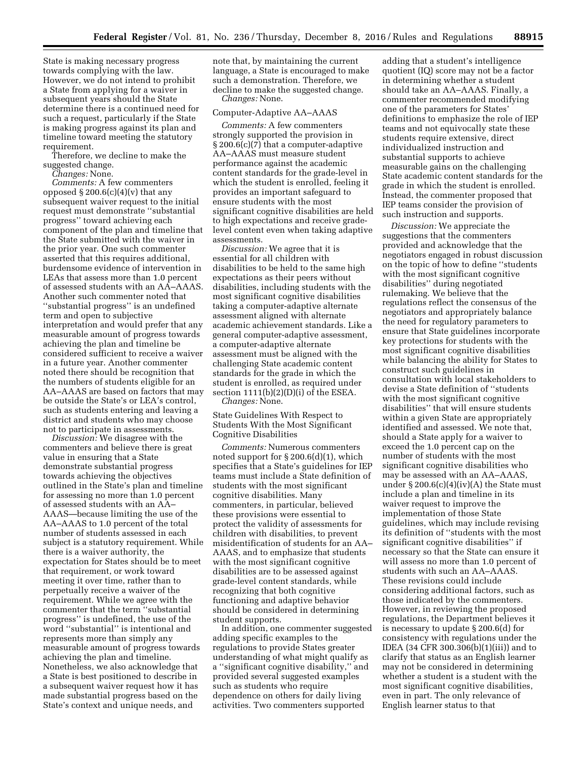State is making necessary progress towards complying with the law. However, we do not intend to prohibit a State from applying for a waiver in subsequent years should the State determine there is a continued need for such a request, particularly if the State is making progress against its plan and timeline toward meeting the statutory requirement.

Therefore, we decline to make the suggested change.

*Changes:* None.

*Comments:* A few commenters opposed  $\S 200.6(c)(4)(v)$  that any subsequent waiver request to the initial request must demonstrate ''substantial progress'' toward achieving each component of the plan and timeline that the State submitted with the waiver in the prior year. One such commenter asserted that this requires additional, burdensome evidence of intervention in LEAs that assess more than 1.0 percent of assessed students with an AA–AAAS. Another such commenter noted that ''substantial progress'' is an undefined term and open to subjective interpretation and would prefer that any measurable amount of progress towards achieving the plan and timeline be considered sufficient to receive a waiver in a future year. Another commenter noted there should be recognition that the numbers of students eligible for an AA–AAAS are based on factors that may be outside the State's or LEA's control, such as students entering and leaving a district and students who may choose not to participate in assessments.

*Discussion:* We disagree with the commenters and believe there is great value in ensuring that a State demonstrate substantial progress towards achieving the objectives outlined in the State's plan and timeline for assessing no more than 1.0 percent of assessed students with an AA– AAAS—because limiting the use of the AA–AAAS to 1.0 percent of the total number of students assessed in each subject is a statutory requirement. While there is a waiver authority, the expectation for States should be to meet that requirement, or work toward meeting it over time, rather than to perpetually receive a waiver of the requirement. While we agree with the commenter that the term ''substantial progress'' is undefined, the use of the word ''substantial'' is intentional and represents more than simply any measurable amount of progress towards achieving the plan and timeline. Nonetheless, we also acknowledge that a State is best positioned to describe in a subsequent waiver request how it has made substantial progress based on the State's context and unique needs, and

note that, by maintaining the current language, a State is encouraged to make such a demonstration. Therefore, we decline to make the suggested change. *Changes:* None.

#### Computer-Adaptive AA–AAAS

*Comments:* A few commenters strongly supported the provision in § 200.6(c)(7) that a computer-adaptive AA–AAAS must measure student performance against the academic content standards for the grade-level in which the student is enrolled, feeling it provides an important safeguard to ensure students with the most significant cognitive disabilities are held to high expectations and receive gradelevel content even when taking adaptive assessments.

*Discussion:* We agree that it is essential for all children with disabilities to be held to the same high expectations as their peers without disabilities, including students with the most significant cognitive disabilities taking a computer-adaptive alternate assessment aligned with alternate academic achievement standards. Like a general computer-adaptive assessment, a computer-adaptive alternate assessment must be aligned with the challenging State academic content standards for the grade in which the student is enrolled, as required under section  $1111(b)(2)(D)(i)$  of the ESEA.

*Changes:* None.

State Guidelines With Respect to Students With the Most Significant Cognitive Disabilities

*Comments:* Numerous commenters noted support for § 200.6(d)(1), which specifies that a State's guidelines for IEP teams must include a State definition of students with the most significant cognitive disabilities. Many commenters, in particular, believed these provisions were essential to protect the validity of assessments for children with disabilities, to prevent misidentification of students for an AA– AAAS, and to emphasize that students with the most significant cognitive disabilities are to be assessed against grade-level content standards, while recognizing that both cognitive functioning and adaptive behavior should be considered in determining student supports.

In addition, one commenter suggested adding specific examples to the regulations to provide States greater understanding of what might qualify as a ''significant cognitive disability,'' and provided several suggested examples such as students who require dependence on others for daily living activities. Two commenters supported

adding that a student's intelligence quotient (IQ) score may not be a factor in determining whether a student should take an AA–AAAS. Finally, a commenter recommended modifying one of the parameters for States' definitions to emphasize the role of IEP teams and not equivocally state these students require extensive, direct individualized instruction and substantial supports to achieve measurable gains on the challenging State academic content standards for the grade in which the student is enrolled. Instead, the commenter proposed that IEP teams consider the provision of such instruction and supports.

*Discussion:* We appreciate the suggestions that the commenters provided and acknowledge that the negotiators engaged in robust discussion on the topic of how to define ''students with the most significant cognitive disabilities'' during negotiated rulemaking. We believe that the regulations reflect the consensus of the negotiators and appropriately balance the need for regulatory parameters to ensure that State guidelines incorporate key protections for students with the most significant cognitive disabilities while balancing the ability for States to construct such guidelines in consultation with local stakeholders to devise a State definition of ''students with the most significant cognitive disabilities'' that will ensure students within a given State are appropriately identified and assessed. We note that, should a State apply for a waiver to exceed the 1.0 percent cap on the number of students with the most significant cognitive disabilities who may be assessed with an AA–AAAS, under  $\S 200.6(c)(4)(iv)(A)$  the State must include a plan and timeline in its waiver request to improve the implementation of those State guidelines, which may include revising its definition of ''students with the most significant cognitive disabilities'' if necessary so that the State can ensure it will assess no more than 1.0 percent of students with such an AA–AAAS. These revisions could include considering additional factors, such as those indicated by the commenters. However, in reviewing the proposed regulations, the Department believes it is necessary to update § 200.6(d) for consistency with regulations under the IDEA (34 CFR 300.306(b)(1)(iii)) and to clarify that status as an English learner may not be considered in determining whether a student is a student with the most significant cognitive disabilities, even in part. The only relevance of English learner status to that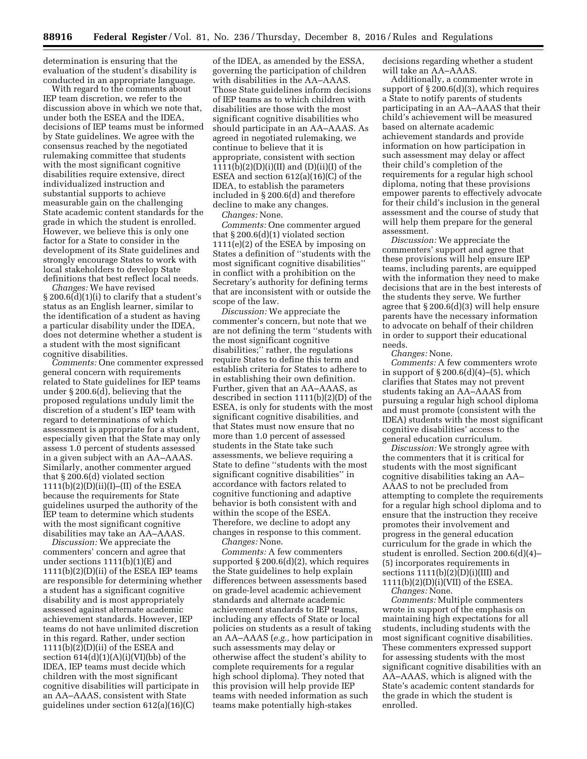determination is ensuring that the evaluation of the student's disability is conducted in an appropriate language.

With regard to the comments about IEP team discretion, we refer to the discussion above in which we note that, under both the ESEA and the IDEA, decisions of IEP teams must be informed by State guidelines. We agree with the consensus reached by the negotiated rulemaking committee that students with the most significant cognitive disabilities require extensive, direct individualized instruction and substantial supports to achieve measurable gain on the challenging State academic content standards for the grade in which the student is enrolled. However, we believe this is only one factor for a State to consider in the development of its State guidelines and strongly encourage States to work with local stakeholders to develop State definitions that best reflect local needs.

*Changes:* We have revised § 200.6(d)(1)(i) to clarify that a student's status as an English learner, similar to the identification of a student as having a particular disability under the IDEA, does not determine whether a student is a student with the most significant cognitive disabilities.

*Comments:* One commenter expressed general concern with requirements related to State guidelines for IEP teams under § 200.6(d), believing that the proposed regulations unduly limit the discretion of a student's IEP team with regard to determinations of which assessment is appropriate for a student, especially given that the State may only assess 1.0 percent of students assessed in a given subject with an AA–AAAS. Similarly, another commenter argued that § 200.6(d) violated section  $1111(b)(2)(D)(ii)(I)–(II)$  of the ESEA because the requirements for State guidelines usurped the authority of the IEP team to determine which students with the most significant cognitive disabilities may take an AA–AAAS.

*Discussion:* We appreciate the commenters' concern and agree that under sections 1111(b)(1)(E) and 1111(b)(2)(D)(ii) of the ESEA IEP teams are responsible for determining whether a student has a significant cognitive disability and is most appropriately assessed against alternate academic achievement standards. However, IEP teams do not have unlimited discretion in this regard. Rather, under section  $1111(b)(2)$ (D)(ii) of the ESEA and section  $614(d)(1)(A)(i)(V)(bb)$  of the IDEA, IEP teams must decide which children with the most significant cognitive disabilities will participate in an AA–AAAS, consistent with State guidelines under section 612(a)(16)(C)

of the IDEA, as amended by the ESSA, governing the participation of children with disabilities in the AA–AAAS. Those State guidelines inform decisions of IEP teams as to which children with disabilities are those with the most significant cognitive disabilities who should participate in an AA–AAAS. As agreed in negotiated rulemaking, we continue to believe that it is appropriate, consistent with section 1111(b)(2)(D)(i)(II) and (D)(ii)(I) of the ESEA and section 612(a)(16)(C) of the IDEA, to establish the parameters included in § 200.6(d) and therefore decline to make any changes.

*Changes:* None.

*Comments:* One commenter argued that § 200.6(d)(1) violated section 1111(e)(2) of the ESEA by imposing on States a definition of ''students with the most significant cognitive disabilities'' in conflict with a prohibition on the Secretary's authority for defining terms that are inconsistent with or outside the scope of the law.

*Discussion:* We appreciate the commenter's concern, but note that we are not defining the term ''students with the most significant cognitive disabilities;'' rather, the regulations require States to define this term and establish criteria for States to adhere to in establishing their own definition. Further, given that an AA–AAAS, as described in section 1111(b)(2)(D) of the ESEA, is only for students with the most significant cognitive disabilities, and that States must now ensure that no more than 1.0 percent of assessed students in the State take such assessments, we believe requiring a State to define ''students with the most significant cognitive disabilities'' in accordance with factors related to cognitive functioning and adaptive behavior is both consistent with and within the scope of the ESEA. Therefore, we decline to adopt any changes in response to this comment.

*Changes:* None.

*Comments:* A few commenters supported § 200.6(d)(2), which requires the State guidelines to help explain differences between assessments based on grade-level academic achievement standards and alternate academic achievement standards to IEP teams, including any effects of State or local policies on students as a result of taking an AA–AAAS (*e.g.,* how participation in such assessments may delay or otherwise affect the student's ability to complete requirements for a regular high school diploma). They noted that this provision will help provide IEP teams with needed information as such teams make potentially high-stakes

decisions regarding whether a student will take an AA–AAAS.

Additionally, a commenter wrote in support of § 200.6(d)(3), which requires a State to notify parents of students participating in an AA–AAAS that their child's achievement will be measured based on alternate academic achievement standards and provide information on how participation in such assessment may delay or affect their child's completion of the requirements for a regular high school diploma, noting that these provisions empower parents to effectively advocate for their child's inclusion in the general assessment and the course of study that will help them prepare for the general assessment.

*Discussion:* We appreciate the commenters' support and agree that these provisions will help ensure IEP teams, including parents, are equipped with the information they need to make decisions that are in the best interests of the students they serve. We further agree that § 200.6(d)(3) will help ensure parents have the necessary information to advocate on behalf of their children in order to support their educational needs.

*Changes:* None.

*Comments:* A few commenters wrote in support of  $\S 200.6(d)(4)$ –(5), which clarifies that States may not prevent students taking an AA–AAAS from pursuing a regular high school diploma and must promote (consistent with the IDEA) students with the most significant cognitive disabilities' access to the general education curriculum.

*Discussion:* We strongly agree with the commenters that it is critical for students with the most significant cognitive disabilities taking an AA– AAAS to not be precluded from attempting to complete the requirements for a regular high school diploma and to ensure that the instruction they receive promotes their involvement and progress in the general education curriculum for the grade in which the student is enrolled. Section 200.6(d)(4)– (5) incorporates requirements in sections  $1111(b)(2)(D)(i)(III)$  and 1111(b)(2)(D)(i)(VII) of the ESEA.

*Changes:* None.

*Comments:* Multiple commenters wrote in support of the emphasis on maintaining high expectations for all students, including students with the most significant cognitive disabilities. These commenters expressed support for assessing students with the most significant cognitive disabilities with an AA–AAAS, which is aligned with the State's academic content standards for the grade in which the student is enrolled.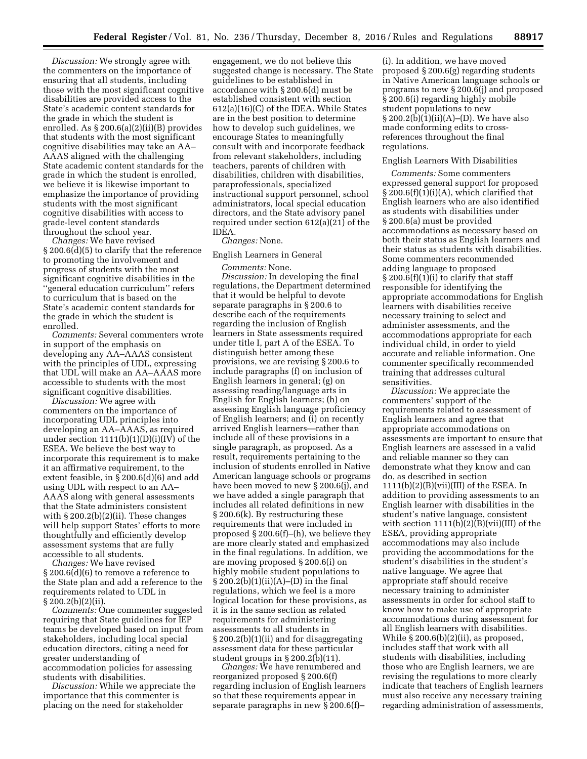*Discussion:* We strongly agree with the commenters on the importance of ensuring that all students, including those with the most significant cognitive disabilities are provided access to the State's academic content standards for the grade in which the student is enrolled. As § 200.6(a)(2)(ii)(B) provides that students with the most significant cognitive disabilities may take an AA– AAAS aligned with the challenging State academic content standards for the grade in which the student is enrolled, we believe it is likewise important to emphasize the importance of providing students with the most significant cognitive disabilities with access to grade-level content standards throughout the school year.

*Changes:* We have revised § 200.6(d)(5) to clarify that the reference to promoting the involvement and progress of students with the most significant cognitive disabilities in the ''general education curriculum'' refers to curriculum that is based on the State's academic content standards for the grade in which the student is enrolled.

*Comments:* Several commenters wrote in support of the emphasis on developing any AA–AAAS consistent with the principles of UDL, expressing that UDL will make an AA–AAAS more accessible to students with the most significant cognitive disabilities.

*Discussion:* We agree with commenters on the importance of incorporating UDL principles into developing an AA–AAAS, as required under section  $1111(b)(1)(D)(i)(IV)$  of the ESEA. We believe the best way to incorporate this requirement is to make it an affirmative requirement, to the extent feasible, in § 200.6(d)(6) and add using UDL with respect to an AA– AAAS along with general assessments that the State administers consistent with  $\S 200.2(b)(2)(ii)$ . These changes will help support States' efforts to more thoughtfully and efficiently develop assessment systems that are fully accessible to all students.

*Changes:* We have revised § 200.6(d)(6) to remove a reference to the State plan and add a reference to the requirements related to UDL in § 200.2(b)(2)(ii).

*Comments:* One commenter suggested requiring that State guidelines for IEP teams be developed based on input from stakeholders, including local special education directors, citing a need for greater understanding of accommodation policies for assessing students with disabilities.

*Discussion:* While we appreciate the importance that this commenter is placing on the need for stakeholder

engagement, we do not believe this suggested change is necessary. The State guidelines to be established in accordance with § 200.6(d) must be established consistent with section 612(a)(16)(C) of the IDEA. While States are in the best position to determine how to develop such guidelines, we encourage States to meaningfully consult with and incorporate feedback from relevant stakeholders, including teachers, parents of children with disabilities, children with disabilities, paraprofessionals, specialized instructional support personnel, school administrators, local special education directors, and the State advisory panel required under section 612(a)(21) of the IDEA.

#### *Changes:* None.

#### English Learners in General

*Comments:* None. *Discussion:* In developing the final regulations, the Department determined that it would be helpful to devote separate paragraphs in § 200.6 to describe each of the requirements regarding the inclusion of English learners in State assessments required under title I, part A of the ESEA. To distinguish better among these provisions, we are revising § 200.6 to include paragraphs (f) on inclusion of English learners in general; (g) on assessing reading/language arts in English for English learners; (h) on assessing English language proficiency of English learners; and (i) on recently arrived English learners—rather than include all of these provisions in a single paragraph, as proposed. As a result, requirements pertaining to the inclusion of students enrolled in Native American language schools or programs have been moved to new § 200.6(j), and we have added a single paragraph that includes all related definitions in new § 200.6(k). By restructuring these requirements that were included in proposed § 200.6(f)–(h), we believe they are more clearly stated and emphasized in the final regulations. In addition, we are moving proposed § 200.6(i) on highly mobile student populations to § 200.2(b)(1)(ii)(A)–(D) in the final regulations, which we feel is a more logical location for these provisions, as it is in the same section as related requirements for administering assessments to all students in § 200.2(b)(1)(ii) and for disaggregating assessment data for these particular student groups in  $\S 200.2(b)(11)$ .

*Changes:* We have renumbered and reorganized proposed § 200.6(f) regarding inclusion of English learners so that these requirements appear in separate paragraphs in new § 200.6(f)–

(i). In addition, we have moved proposed § 200.6(g) regarding students in Native American language schools or programs to new § 200.6(j) and proposed § 200.6(i) regarding highly mobile student populations to new § 200.2(b)(1)(ii)(A)–(D). We have also made conforming edits to crossreferences throughout the final regulations.

#### English Learners With Disabilities

*Comments:* Some commenters expressed general support for proposed  $\S 200.6(f)(1)(i)(A)$ , which clarified that English learners who are also identified as students with disabilities under § 200.6(a) must be provided accommodations as necessary based on both their status as English learners and their status as students with disabilities. Some commenters recommended adding language to proposed  $\S 200.6(f)(1)(i)$  to clarify that staff responsible for identifying the appropriate accommodations for English learners with disabilities receive necessary training to select and administer assessments, and the accommodations appropriate for each individual child, in order to yield accurate and reliable information. One commenter specifically recommended training that addresses cultural sensitivities.

*Discussion:* We appreciate the commenters' support of the requirements related to assessment of English learners and agree that appropriate accommodations on assessments are important to ensure that English learners are assessed in a valid and reliable manner so they can demonstrate what they know and can do, as described in section 1111(b)(2)(B)(vii)(III) of the ESEA. In addition to providing assessments to an English learner with disabilities in the student's native language, consistent with section  $1111(b)(2)(B)(vii)(III)$  of the ESEA, providing appropriate accommodations may also include providing the accommodations for the student's disabilities in the student's native language. We agree that appropriate staff should receive necessary training to administer assessments in order for school staff to know how to make use of appropriate accommodations during assessment for all English learners with disabilities. While  $\S 200.6(b)(2)(ii)$ , as proposed, includes staff that work with all students with disabilities, including those who are English learners, we are revising the regulations to more clearly indicate that teachers of English learners must also receive any necessary training regarding administration of assessments,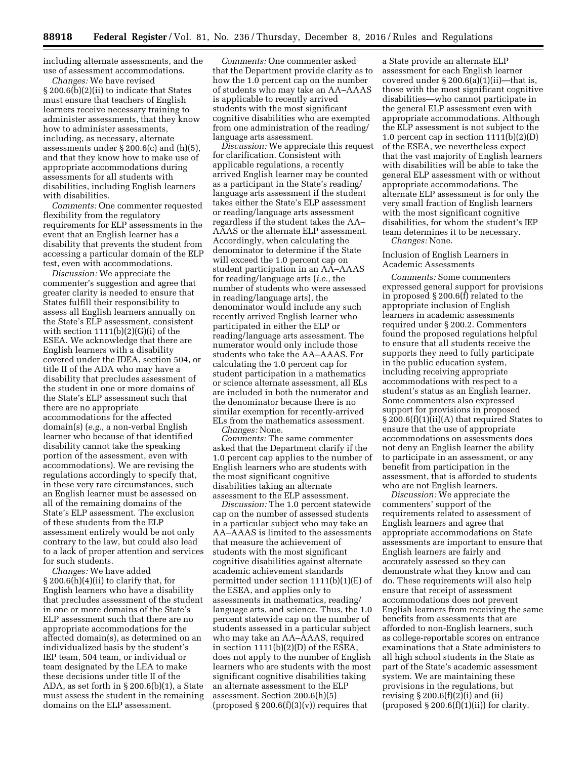including alternate assessments, and the use of assessment accommodations.

*Changes:* We have revised § 200.6(b)(2)(ii) to indicate that States must ensure that teachers of English learners receive necessary training to administer assessments, that they know how to administer assessments, including, as necessary, alternate assessments under § 200.6(c) and (h)(5), and that they know how to make use of appropriate accommodations during assessments for all students with disabilities, including English learners with disabilities.

*Comments:* One commenter requested flexibility from the regulatory requirements for ELP assessments in the event that an English learner has a disability that prevents the student from accessing a particular domain of the ELP test, even with accommodations.

*Discussion:* We appreciate the commenter's suggestion and agree that greater clarity is needed to ensure that States fulfill their responsibility to assess all English learners annually on the State's ELP assessment, consistent with section  $1111(b)(2)(G)(i)$  of the ESEA. We acknowledge that there are English learners with a disability covered under the IDEA, section 504, or title II of the ADA who may have a disability that precludes assessment of the student in one or more domains of the State's ELP assessment such that there are no appropriate accommodations for the affected domain(s) (*e.g.,* a non-verbal English learner who because of that identified disability cannot take the speaking portion of the assessment, even with accommodations). We are revising the regulations accordingly to specify that, in these very rare circumstances, such an English learner must be assessed on all of the remaining domains of the State's ELP assessment. The exclusion of these students from the ELP assessment entirely would be not only contrary to the law, but could also lead to a lack of proper attention and services for such students.

*Changes:* We have added  $\S 200.6(h)(4)(ii)$  to clarify that, for English learners who have a disability that precludes assessment of the student in one or more domains of the State's ELP assessment such that there are no appropriate accommodations for the affected domain(s), as determined on an individualized basis by the student's IEP team, 504 team, or individual or team designated by the LEA to make these decisions under title II of the ADA, as set forth in § 200.6(b)(1), a State must assess the student in the remaining domains on the ELP assessment.

*Comments:* One commenter asked that the Department provide clarity as to how the 1.0 percent cap on the number of students who may take an AA–AAAS is applicable to recently arrived students with the most significant cognitive disabilities who are exempted from one administration of the reading/ language arts assessment.

*Discussion:* We appreciate this request for clarification. Consistent with applicable regulations, a recently arrived English learner may be counted as a participant in the State's reading/ language arts assessment if the student takes either the State's ELP assessment or reading/language arts assessment regardless if the student takes the AA– AAAS or the alternate ELP assessment. Accordingly, when calculating the denominator to determine if the State will exceed the 1.0 percent cap on student participation in an AA–AAAS for reading/language arts (*i.e.,* the number of students who were assessed in reading/language arts), the denominator would include any such recently arrived English learner who participated in either the ELP or reading/language arts assessment. The numerator would only include those students who take the AA–AAAS. For calculating the 1.0 percent cap for student participation in a mathematics or science alternate assessment, all ELs are included in both the numerator and the denominator because there is no similar exemption for recently-arrived ELs from the mathematics assessment.

*Changes:* None.

*Comments:* The same commenter asked that the Department clarify if the 1.0 percent cap applies to the number of English learners who are students with the most significant cognitive disabilities taking an alternate assessment to the ELP assessment.

*Discussion:* The 1.0 percent statewide cap on the number of assessed students in a particular subject who may take an AA–AAAS is limited to the assessments that measure the achievement of students with the most significant cognitive disabilities against alternate academic achievement standards permitted under section 1111(b)(1)(E) of the ESEA, and applies only to assessments in mathematics, reading/ language arts, and science. Thus, the 1.0 percent statewide cap on the number of students assessed in a particular subject who may take an AA–AAAS, required in section 1111(b)(2)(D) of the ESEA, does not apply to the number of English learners who are students with the most significant cognitive disabilities taking an alternate assessment to the ELP assessment. Section 200.6(h)(5) (proposed  $\S 200.6(f)(3)(v)$ ) requires that

a State provide an alternate ELP assessment for each English learner covered under  $\S 200.6(a)(1)(ii)$ —that is, those with the most significant cognitive disabilities—who cannot participate in the general ELP assessment even with appropriate accommodations. Although the ELP assessment is not subject to the 1.0 percent cap in section 1111(b)(2)(D) of the ESEA, we nevertheless expect that the vast majority of English learners with disabilities will be able to take the general ELP assessment with or without appropriate accommodations. The alternate ELP assessment is for only the very small fraction of English learners with the most significant cognitive disabilities, for whom the student's IEP team determines it to be necessary. *Changes:* None.

Inclusion of English Learners in Academic Assessments

*Comments:* Some commenters expressed general support for provisions in proposed § 200.6(f) related to the appropriate inclusion of English learners in academic assessments required under § 200.2. Commenters found the proposed regulations helpful to ensure that all students receive the supports they need to fully participate in the public education system, including receiving appropriate accommodations with respect to a student's status as an English learner. Some commenters also expressed support for provisions in proposed § 200.6(f)(1)(ii)(A) that required States to ensure that the use of appropriate accommodations on assessments does not deny an English learner the ability to participate in an assessment, or any benefit from participation in the assessment, that is afforded to students who are not English learners.

*Discussion:* We appreciate the commenters' support of the requirements related to assessment of English learners and agree that appropriate accommodations on State assessments are important to ensure that English learners are fairly and accurately assessed so they can demonstrate what they know and can do. These requirements will also help ensure that receipt of assessment accommodations does not prevent English learners from receiving the same benefits from assessments that are afforded to non-English learners, such as college-reportable scores on entrance examinations that a State administers to all high school students in the State as part of the State's academic assessment system. We are maintaining these provisions in the regulations, but revising  $\S 200.6(f)(2)(i)$  and (ii) (proposed  $\S 200.6(f)(1)(ii)$ ) for clarity.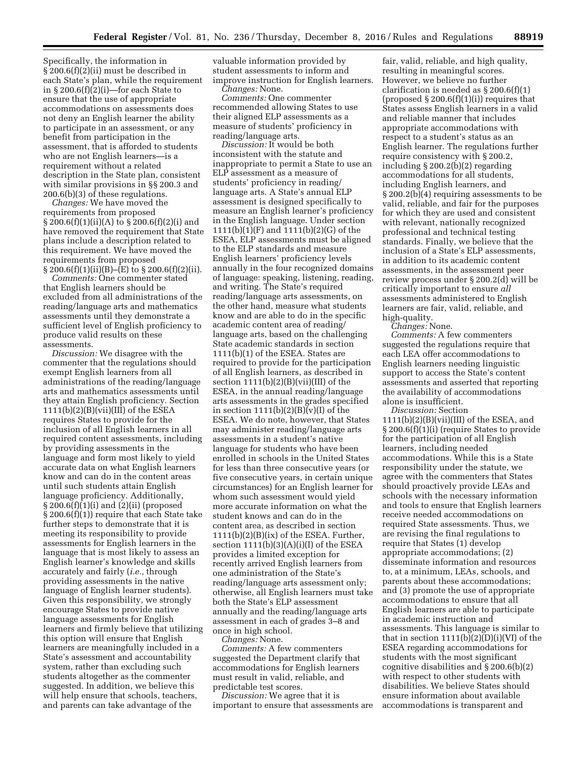Specifically, the information in § 200.6(f)(2)(ii) must be described in each State's plan, while the requirement in § 200.6(f)(2)(i)—for each State to ensure that the use of appropriate accommodations on assessments does not deny an English learner the ability to participate in an assessment, or any benefit from participation in the assessment, that is afforded to students who are not English learners—is a requirement without a related description in the State plan, consistent with similar provisions in §§ 200.3 and 200.6(b)(3) of these regulations.

*Changes:* We have moved the requirements from proposed § 200.6(f)(1)(ii)(A) to § 200.6(f)(2)(i) and have removed the requirement that State plans include a description related to this requirement. We have moved the requirements from proposed  $\S 200.6(f)(1)(ii)(B)$ –(E) to  $\S 200.6(f)(2)(ii)$ .

*Comments:* One commenter stated that English learners should be excluded from all administrations of the reading/language arts and mathematics assessments until they demonstrate a sufficient level of English proficiency to produce valid results on these assessments.

*Discussion:* We disagree with the commenter that the regulations should exempt English learners from all administrations of the reading/language arts and mathematics assessments until they attain English proficiency. Section  $1111(b)(2)(B)(vii)(III)$  of the ESEA requires States to provide for the inclusion of all English learners in all required content assessments, including by providing assessments in the language and form most likely to yield accurate data on what English learners know and can do in the content areas until such students attain English language proficiency. Additionally, § 200.6(f)(1)(i) and (2)(ii) (proposed § 200.6(f)(1)) require that each State take further steps to demonstrate that it is meeting its responsibility to provide assessments for English learners in the language that is most likely to assess an English learner's knowledge and skills accurately and fairly (*i.e.,* through providing assessments in the native language of English learner students). Given this responsibility, we strongly encourage States to provide native language assessments for English learners and firmly believe that utilizing this option will ensure that English learners are meaningfully included in a State's assessment and accountability system, rather than excluding such students altogether as the commenter suggested. In addition, we believe this will help ensure that schools, teachers, and parents can take advantage of the

valuable information provided by student assessments to inform and improve instruction for English learners. *Changes:* None.

*Comments:* One commenter recommended allowing States to use their aligned ELP assessments as a measure of students' proficiency in reading/language arts.

*Discussion:* It would be both inconsistent with the statute and inappropriate to permit a State to use an ELP assessment as a measure of students' proficiency in reading/ language arts. A State's annual ELP assessment is designed specifically to measure an English learner's proficiency in the English language. Under section 1111(b)(1)(F) and 1111(b)(2)(G) of the ESEA, ELP assessments must be aligned to the ELP standards and measure English learners' proficiency levels annually in the four recognized domains of language: speaking, listening, reading, and writing. The State's required reading/language arts assessments, on the other hand, measure what students know and are able to do in the specific academic content area of reading/ language arts, based on the challenging State academic standards in section 1111(b)(1) of the ESEA. States are required to provide for the participation of all English learners, as described in section 1111(b)(2)(B)(vii)(III) of the ESEA, in the annual reading/language arts assessments in the grades specified in section  $1111(b)(2)(B)(v)(I)$  of the ESEA. We do note, however, that States may administer reading/language arts assessments in a student's native language for students who have been enrolled in schools in the United States for less than three consecutive years (or five consecutive years, in certain unique circumstances) for an English learner for whom such assessment would yield more accurate information on what the student knows and can do in the content area, as described in section  $1111(b)(2)(B)(ix)$  of the ESEA. Further, section  $1111(b)(3)(A)(i)(I)$  of the ESEA provides a limited exception for recently arrived English learners from one administration of the State's reading/language arts assessment only; otherwise, all English learners must take both the State's ELP assessment annually and the reading/language arts assessment in each of grades 3–8 and once in high school.

*Changes:* None.

*Comments:* A few commenters suggested the Department clarify that accommodations for English learners must result in valid, reliable, and predictable test scores.

*Discussion:* We agree that it is important to ensure that assessments are

fair, valid, reliable, and high quality, resulting in meaningful scores. However, we believe no further clarification is needed as § 200.6(f)(1) (proposed  $\S 200.6(f)(1)(i)$ ) requires that States assess English learners in a valid and reliable manner that includes appropriate accommodations with respect to a student's status as an English learner. The regulations further require consistency with § 200.2, including § 200.2(b)(2) regarding accommodations for all students, including English learners, and § 200.2(b)(4) requiring assessments to be valid, reliable, and fair for the purposes for which they are used and consistent with relevant, nationally recognized professional and technical testing standards. Finally, we believe that the inclusion of a State's ELP assessments, in addition to its academic content assessments, in the assessment peer review process under § 200.2(d) will be critically important to ensure *all*  assessments administered to English learners are fair, valid, reliable, and high-quality.

*Changes:* None.

*Comments:* A few commenters suggested the regulations require that each LEA offer accommodations to English learners needing linguistic support to access the State's content assessments and asserted that reporting the availability of accommodations alone is insufficient.

*Discussion:* Section

 $1111(b)(2)(B)(vii)(III)$  of the ESEA, and § 200.6(f)(1)(i) (require States to provide for the participation of all English learners, including needed accommodations. While this is a State responsibility under the statute, we agree with the commenters that States should proactively provide LEAs and schools with the necessary information and tools to ensure that English learners receive needed accommodations on required State assessments. Thus, we are revising the final regulations to require that States (1) develop appropriate accommodations; (2) disseminate information and resources to, at a minimum, LEAs, schools, and parents about these accommodations; and (3) promote the use of appropriate accommodations to ensure that all English learners are able to participate in academic instruction and assessments. This language is similar to that in section  $1111(b)(2)(D)(i)(V)$  of the ESEA regarding accommodations for students with the most significant cognitive disabilities and § 200.6(b)(2) with respect to other students with disabilities. We believe States should ensure information about available accommodations is transparent and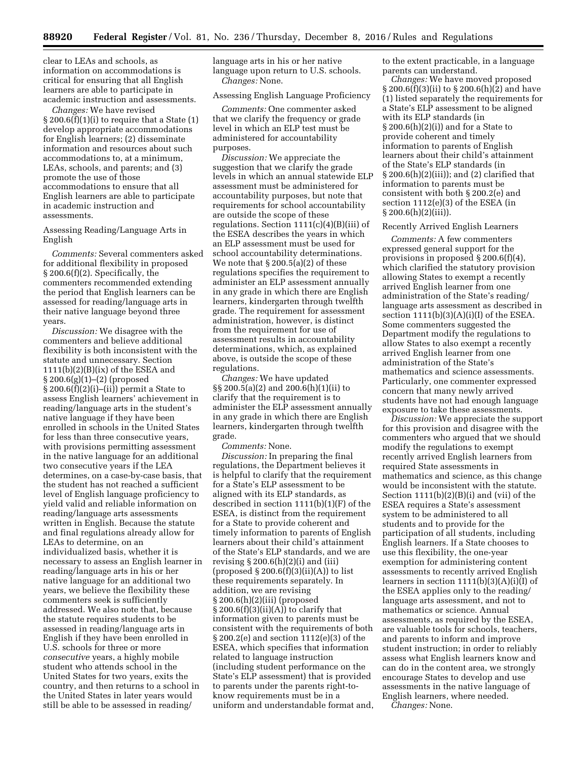clear to LEAs and schools, as information on accommodations is critical for ensuring that all English learners are able to participate in academic instruction and assessments.

*Changes:* We have revised  $\S 200.6(f)(1)(i)$  to require that a State (1) develop appropriate accommodations for English learners; (2) disseminate information and resources about such accommodations to, at a minimum, LEAs, schools, and parents; and (3) promote the use of those accommodations to ensure that all English learners are able to participate in academic instruction and assessments.

# Assessing Reading/Language Arts in English

*Comments:* Several commenters asked for additional flexibility in proposed § 200.6(f)(2). Specifically, the commenters recommended extending the period that English learners can be assessed for reading/language arts in their native language beyond three years.

*Discussion:* We disagree with the commenters and believe additional flexibility is both inconsistent with the statute and unnecessary. Section  $1111(b)(2)(B)(ix)$  of the ESEA and § 200.6(g)(1)–(2) (proposed  $§ 200.6(f)(2)(i)–(ii))$  permit a State to assess English learners' achievement in reading/language arts in the student's native language if they have been enrolled in schools in the United States for less than three consecutive years, with provisions permitting assessment in the native language for an additional two consecutive years if the LEA determines, on a case-by-case basis, that the student has not reached a sufficient level of English language proficiency to yield valid and reliable information on reading/language arts assessments written in English. Because the statute and final regulations already allow for LEAs to determine, on an individualized basis, whether it is necessary to assess an English learner in reading/language arts in his or her native language for an additional two years, we believe the flexibility these commenters seek is sufficiently addressed. We also note that, because the statute requires students to be assessed in reading/language arts in English if they have been enrolled in U.S. schools for three or more *consecutive* years, a highly mobile student who attends school in the United States for two years, exits the country, and then returns to a school in the United States in later years would still be able to be assessed in reading/

language arts in his or her native language upon return to U.S. schools. *Changes:* None.

#### Assessing English Language Proficiency

*Comments:* One commenter asked that we clarify the frequency or grade level in which an ELP test must be administered for accountability purposes.

*Discussion:* We appreciate the suggestion that we clarify the grade levels in which an annual statewide ELP assessment must be administered for accountability purposes, but note that requirements for school accountability are outside the scope of these regulations. Section 1111(c)(4)(B)(iii) of the ESEA describes the years in which an ELP assessment must be used for school accountability determinations. We note that  $\S 200.5(a)(2)$  of these regulations specifies the requirement to administer an ELP assessment annually in any grade in which there are English learners, kindergarten through twelfth grade. The requirement for assessment administration, however, is distinct from the requirement for use of assessment results in accountability determinations, which, as explained above, is outside the scope of these regulations.

*Changes:* We have updated §§ 200.5(a)(2) and 200.6(h)(1)(ii) to clarify that the requirement is to administer the ELP assessment annually in any grade in which there are English learners, kindergarten through twelfth grade.

*Comments:* None.

*Discussion:* In preparing the final regulations, the Department believes it is helpful to clarify that the requirement for a State's ELP assessment to be aligned with its ELP standards, as described in section 1111(b)(1)(F) of the ESEA, is distinct from the requirement for a State to provide coherent and timely information to parents of English learners about their child's attainment of the State's ELP standards, and we are revising  $\S 200.6(h)(2)(i)$  and (iii) (proposed  $\S 200.6(f)(3)(ii)(A)$ ) to list these requirements separately. In addition, we are revising § 200.6(h)(2)(iii) (proposed  $\S 200.6(f)(3)(ii)(A))$  to clarify that information given to parents must be consistent with the requirements of both § 200.2(e) and section 1112(e)(3) of the ESEA, which specifies that information related to language instruction (including student performance on the State's ELP assessment) that is provided to parents under the parents right-toknow requirements must be in a uniform and understandable format and, to the extent practicable, in a language parents can understand.

*Changes:* We have moved proposed  $\S 200.6(f)(3)(ii)$  to  $\S 200.6(h)(2)$  and have (1) listed separately the requirements for a State's ELP assessment to be aligned with its ELP standards (in § 200.6(h)(2)(i)) and for a State to provide coherent and timely information to parents of English learners about their child's attainment of the State's ELP standards (in  $\S 200.6(h)(2)(iii)$ ; and (2) clarified that information to parents must be consistent with both § 200.2(e) and section 1112(e)(3) of the ESEA (in § 200.6(h)(2)(iii)).

#### Recently Arrived English Learners

*Comments:* A few commenters expressed general support for the provisions in proposed § 200.6(f)(4), which clarified the statutory provision allowing States to exempt a recently arrived English learner from one administration of the State's reading/ language arts assessment as described in section  $1111(b)(3)(A)(i)(I)$  of the ESEA. Some commenters suggested the Department modify the regulations to allow States to also exempt a recently arrived English learner from one administration of the State's mathematics and science assessments. Particularly, one commenter expressed concern that many newly arrived students have not had enough language exposure to take these assessments.

*Discussion:* We appreciate the support for this provision and disagree with the commenters who argued that we should modify the regulations to exempt recently arrived English learners from required State assessments in mathematics and science, as this change would be inconsistent with the statute. Section  $1111(b)(2)(B)(i)$  and (vii) of the ESEA requires a State's assessment system to be administered to all students and to provide for the participation of all students, including English learners. If a State chooses to use this flexibility, the one-year exemption for administering content assessments to recently arrived English learners in section  $1111(b)(3)(A)(i)(I)$  of the ESEA applies only to the reading/ language arts assessment, and not to mathematics or science. Annual assessments, as required by the ESEA, are valuable tools for schools, teachers, and parents to inform and improve student instruction; in order to reliably assess what English learners know and can do in the content area, we strongly encourage States to develop and use assessments in the native language of English learners, where needed.

*Changes:* None.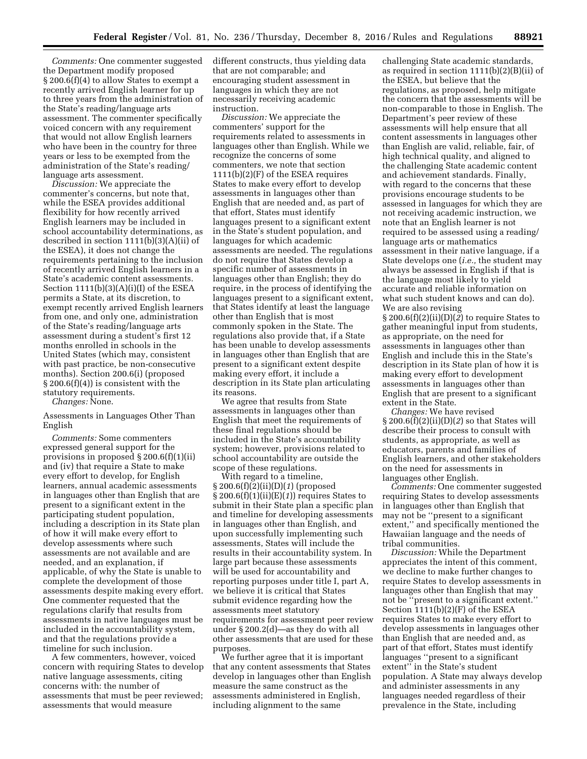*Comments:* One commenter suggested the Department modify proposed § 200.6(f)(4) to allow States to exempt a recently arrived English learner for up to three years from the administration of the State's reading/language arts assessment. The commenter specifically voiced concern with any requirement that would not allow English learners who have been in the country for three years or less to be exempted from the administration of the State's reading/ language arts assessment.

*Discussion:* We appreciate the commenter's concerns, but note that, while the ESEA provides additional flexibility for how recently arrived English learners may be included in school accountability determinations, as described in section  $1111(b)(3)(A)(ii)$  of the ESEA), it does not change the requirements pertaining to the inclusion of recently arrived English learners in a State's academic content assessments. Section  $1111(b)(3)(A)(i)(I)$  of the ESEA permits a State, at its discretion, to exempt recently arrived English learners from one, and only one, administration of the State's reading/language arts assessment during a student's first 12 months enrolled in schools in the United States (which may, consistent with past practice, be non-consecutive months). Section 200.6(i) (proposed § 200.6(f)(4)) is consistent with the statutory requirements.

*Changes:* None.

Assessments in Languages Other Than English

*Comments:* Some commenters expressed general support for the provisions in proposed § 200.6(f)(1)(ii) and (iv) that require a State to make every effort to develop, for English learners, annual academic assessments in languages other than English that are present to a significant extent in the participating student population, including a description in its State plan of how it will make every effort to develop assessments where such assessments are not available and are needed, and an explanation, if applicable, of why the State is unable to complete the development of those assessments despite making every effort. One commenter requested that the regulations clarify that results from assessments in native languages must be included in the accountability system, and that the regulations provide a timeline for such inclusion.

A few commenters, however, voiced concern with requiring States to develop native language assessments, citing concerns with: the number of assessments that must be peer reviewed; assessments that would measure

different constructs, thus yielding data that are not comparable; and encouraging student assessment in languages in which they are not necessarily receiving academic instruction.

*Discussion:* We appreciate the commenters' support for the requirements related to assessments in languages other than English. While we recognize the concerns of some commenters, we note that section 1111(b)(2)(F) of the ESEA requires States to make every effort to develop assessments in languages other than English that are needed and, as part of that effort, States must identify languages present to a significant extent in the State's student population, and languages for which academic assessments are needed. The regulations do not require that States develop a specific number of assessments in languages other than English; they do require, in the process of identifying the languages present to a significant extent, that States identify at least the language other than English that is most commonly spoken in the State. The regulations also provide that, if a State has been unable to develop assessments in languages other than English that are present to a significant extent despite making every effort, it include a description in its State plan articulating its reasons.

We agree that results from State assessments in languages other than English that meet the requirements of these final regulations should be included in the State's accountability system; however, provisions related to school accountability are outside the scope of these regulations.

With regard to a timeline, § 200.6(f)(2)(ii)(D)(*1*) (proposed § 200.6(f)(1)(ii)(E)(*1*)) requires States to submit in their State plan a specific plan and timeline for developing assessments in languages other than English, and upon successfully implementing such assessments, States will include the results in their accountability system. In large part because these assessments will be used for accountability and reporting purposes under title I, part A, we believe it is critical that States submit evidence regarding how the assessments meet statutory requirements for assessment peer review under § 200.2(d)—as they do with all other assessments that are used for these purposes.

We further agree that it is important that any content assessments that States develop in languages other than English measure the same construct as the assessments administered in English, including alignment to the same

challenging State academic standards, as required in section 1111(b)(2)(B)(ii) of the ESEA, but believe that the regulations, as proposed, help mitigate the concern that the assessments will be non-comparable to those in English. The Department's peer review of these assessments will help ensure that all content assessments in languages other than English are valid, reliable, fair, of high technical quality, and aligned to the challenging State academic content and achievement standards. Finally, with regard to the concerns that these provisions encourage students to be assessed in languages for which they are not receiving academic instruction, we note that an English learner is not required to be assessed using a reading/ language arts or mathematics assessment in their native language, if a State develops one (*i.e.,* the student may always be assessed in English if that is the language most likely to yield accurate and reliable information on what such student knows and can do). We are also revising § 200.6(f)(2)(ii)(D)(*2*) to require States to gather meaningful input from students, as appropriate, on the need for assessments in languages other than English and include this in the State's

§ 200.6(f)(2)(ii)(D)(*2*) so that States will describe their process to consult with students, as appropriate, as well as educators, parents and families of English learners, and other stakeholders on the need for assessments in languages other English. *Comments:* One commenter suggested requiring States to develop assessments

description in its State plan of how it is making every effort to development assessments in languages other than English that are present to a significant

extent in the State.

*Changes:* We have revised

in languages other than English that may not be ''present to a significant extent,'' and specifically mentioned the Hawaiian language and the needs of tribal communities.

*Discussion:* While the Department appreciates the intent of this comment, we decline to make further changes to require States to develop assessments in languages other than English that may not be ''present to a significant extent.'' Section 1111(b)(2)(F) of the ESEA requires States to make every effort to develop assessments in languages other than English that are needed and, as part of that effort, States must identify languages ''present to a significant extent'' in the State's student population. A State may always develop and administer assessments in any languages needed regardless of their prevalence in the State, including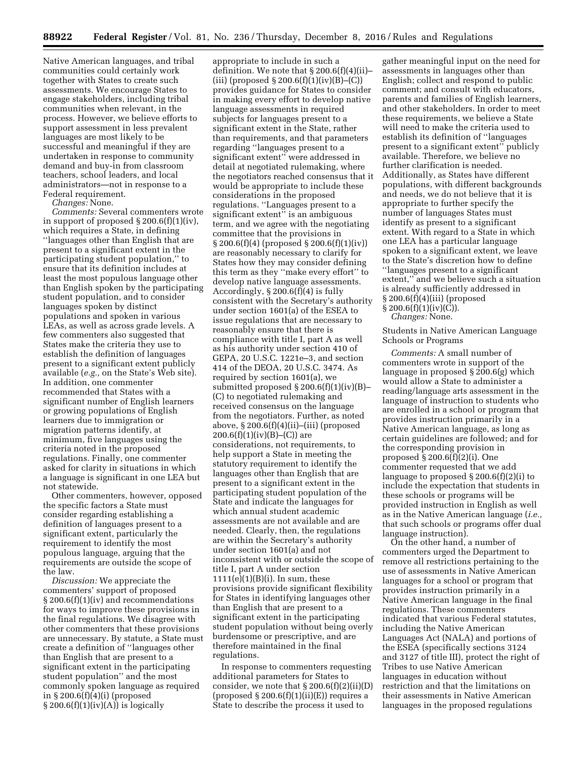Native American languages, and tribal communities could certainly work together with States to create such assessments. We encourage States to engage stakeholders, including tribal communities when relevant, in the process. However, we believe efforts to support assessment in less prevalent languages are most likely to be successful and meaningful if they are undertaken in response to community demand and buy-in from classroom teachers, school leaders, and local administrators—not in response to a Federal requirement.

*Changes:* None.

*Comments:* Several commenters wrote in support of proposed § 200.6(f)(1)(iv), which requires a State, in defining ''languages other than English that are present to a significant extent in the participating student population,'' to ensure that its definition includes at least the most populous language other than English spoken by the participating student population, and to consider languages spoken by distinct populations and spoken in various LEAs, as well as across grade levels. A few commenters also suggested that States make the criteria they use to establish the definition of languages present to a significant extent publicly available (*e.g.,* on the State's Web site). In addition, one commenter recommended that States with a significant number of English learners or growing populations of English learners due to immigration or migration patterns identify, at minimum, five languages using the criteria noted in the proposed regulations. Finally, one commenter asked for clarity in situations in which a language is significant in one LEA but not statewide.

Other commenters, however, opposed the specific factors a State must consider regarding establishing a definition of languages present to a significant extent, particularly the requirement to identify the most populous language, arguing that the requirements are outside the scope of the law.

*Discussion:* We appreciate the commenters' support of proposed § 200.6(f)(1)(iv) and recommendations for ways to improve these provisions in the final regulations. We disagree with other commenters that these provisions are unnecessary. By statute, a State must create a definition of ''languages other than English that are present to a significant extent in the participating student population'' and the most commonly spoken language as required in § 200.6(f)(4)(i) (proposed  $\S 200.6(f)(1)(iv)(A))$  is logically

appropriate to include in such a definition. We note that § 200.6(f)(4)(ii)– (iii) (proposed  $\S 200.6(f)(1)(iv)(B)$ –(C)) provides guidance for States to consider in making every effort to develop native language assessments in required subjects for languages present to a significant extent in the State, rather than requirements, and that parameters regarding ''languages present to a significant extent'' were addressed in detail at negotiated rulemaking, where the negotiators reached consensus that it would be appropriate to include these considerations in the proposed regulations. ''Languages present to a significant extent" is an ambiguous term, and we agree with the negotiating committee that the provisions in § 200.6(f)(4) (proposed § 200.6(f)(1)(iv)) are reasonably necessary to clarify for States how they may consider defining this term as they ''make every effort'' to develop native language assessments. Accordingly,  $\S 200.6(f)(4)$  is fully consistent with the Secretary's authority under section 1601(a) of the ESEA to issue regulations that are necessary to reasonably ensure that there is compliance with title I, part A as well as his authority under section 410 of GEPA, 20 U.S.C. 1221e–3, and section 414 of the DEOA, 20 U.S.C. 3474. As required by section 1601(a), we submitted proposed § 200.6(f)(1)(iv)(B)– (C) to negotiated rulemaking and received consensus on the language from the negotiators. Further, as noted above, § 200.6(f)(4)(ii)–(iii) (proposed  $200.6(f)(1)(iv)(B)$ –(C)) are considerations, not requirements, to help support a State in meeting the statutory requirement to identify the languages other than English that are present to a significant extent in the participating student population of the State and indicate the languages for which annual student academic assessments are not available and are needed. Clearly, then, the regulations are within the Secretary's authority under section 1601(a) and not inconsistent with or outside the scope of title I, part A under section  $1111(e)(1)(B)(i)$ . In sum, these provisions provide significant flexibility for States in identifying languages other than English that are present to a significant extent in the participating student population without being overly burdensome or prescriptive, and are therefore maintained in the final regulations.

In response to commenters requesting additional parameters for States to consider, we note that  $\S 200.6(f)(2)(ii)(D)$ (proposed  $\S 200.6(f)(1)(ii)(E)$ ) requires a State to describe the process it used to

gather meaningful input on the need for assessments in languages other than English; collect and respond to public comment; and consult with educators, parents and families of English learners, and other stakeholders. In order to meet these requirements, we believe a State will need to make the criteria used to establish its definition of ''languages present to a significant extent'' publicly available. Therefore, we believe no further clarification is needed. Additionally, as States have different populations, with different backgrounds and needs, we do not believe that it is appropriate to further specify the number of languages States must identify as present to a significant extent. With regard to a State in which one LEA has a particular language spoken to a significant extent, we leave to the State's discretion how to define ''languages present to a significant extent,'' and we believe such a situation is already sufficiently addressed in § 200.6(f)(4)(iii) (proposed  $\S 200.6(f)(1)(iv)(C)$ .

*Changes:* None.

Students in Native American Language Schools or Programs

*Comments:* A small number of commenters wrote in support of the language in proposed § 200.6(g) which would allow a State to administer a reading/language arts assessment in the language of instruction to students who are enrolled in a school or program that provides instruction primarily in a Native American language, as long as certain guidelines are followed; and for the corresponding provision in proposed § 200.6(f)(2)(i). One commenter requested that we add language to proposed § 200.6(f)(2)(i) to include the expectation that students in these schools or programs will be provided instruction in English as well as in the Native American language (*i.e.,*  that such schools or programs offer dual language instruction).

On the other hand, a number of commenters urged the Department to remove all restrictions pertaining to the use of assessments in Native American languages for a school or program that provides instruction primarily in a Native American language in the final regulations. These commenters indicated that various Federal statutes, including the Native American Languages Act (NALA) and portions of the ESEA (specifically sections 3124 and 3127 of title III), protect the right of Tribes to use Native American languages in education without restriction and that the limitations on their assessments in Native American languages in the proposed regulations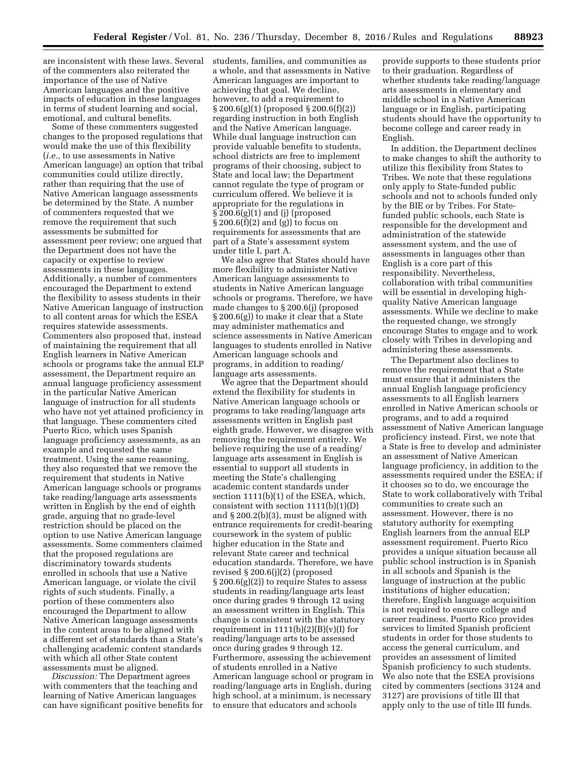are inconsistent with these laws. Several of the commenters also reiterated the importance of the use of Native American languages and the positive impacts of education in these languages in terms of student learning and social, emotional, and cultural benefits.

Some of these commenters suggested changes to the proposed regulations that would make the use of this flexibility (*i.e.,* to use assessments in Native American language) an option that tribal communities could utilize directly, rather than requiring that the use of Native American language assessments be determined by the State. A number of commenters requested that we remove the requirement that such assessments be submitted for assessment peer review; one argued that the Department does not have the capacity or expertise to review assessments in these languages. Additionally, a number of commenters encouraged the Department to extend the flexibility to assess students in their Native American language of instruction to all content areas for which the ESEA requires statewide assessments. Commenters also proposed that, instead of maintaining the requirement that all English learners in Native American schools or programs take the annual ELP assessment, the Department require an annual language proficiency assessment in the particular Native American language of instruction for all students who have not yet attained proficiency in that language. These commenters cited Puerto Rico, which uses Spanish language proficiency assessments, as an example and requested the same treatment. Using the same reasoning, they also requested that we remove the requirement that students in Native American language schools or programs take reading/language arts assessments written in English by the end of eighth grade, arguing that no grade-level restriction should be placed on the option to use Native American language assessments. Some commenters claimed that the proposed regulations are discriminatory towards students enrolled in schools that use a Native American language, or violate the civil rights of such students. Finally, a portion of these commenters also encouraged the Department to allow Native American language assessments in the content areas to be aligned with a different set of standards than a State's challenging academic content standards with which all other State content assessments must be aligned.

*Discussion:* The Department agrees with commenters that the teaching and learning of Native American languages can have significant positive benefits for students, families, and communities as a whole, and that assessments in Native American languages are important to achieving that goal. We decline, however, to add a requirement to § 200.6(g)(1) (proposed § 200.6(f)(2)) regarding instruction in both English and the Native American language. While dual language instruction can provide valuable benefits to students, school districts are free to implement programs of their choosing, subject to State and local law; the Department cannot regulate the type of program or curriculum offered. We believe it is appropriate for the regulations in § 200.6(g)(1) and (j) (proposed § 200.6(f)(2) and (g)) to focus on requirements for assessments that are part of a State's assessment system under title I, part A.

We also agree that States should have more flexibility to administer Native American language assessments to students in Native American language schools or programs. Therefore, we have made changes to § 200.6(j) (proposed § 200.6(g)) to make it clear that a State may administer mathematics and science assessments in Native American languages to students enrolled in Native American language schools and programs, in addition to reading/ language arts assessments.

We agree that the Department should extend the flexibility for students in Native American language schools or programs to take reading/language arts assessments written in English past eighth grade. However, we disagree with removing the requirement entirely. We believe requiring the use of a reading/ language arts assessment in English is essential to support all students in meeting the State's challenging academic content standards under section 1111(b)(1) of the ESEA, which, consistent with section 1111(b)(1)(D) and § 200.2(b)(3), must be aligned with entrance requirements for credit-bearing coursework in the system of public higher education in the State and relevant State career and technical education standards. Therefore, we have revised § 200.6(j)(2) (proposed  $\S 200.6(g)(2)$  to require States to assess students in reading/language arts least once during grades 9 through 12 using an assessment written in English. This change is consistent with the statutory requirement in  $1111(b)(2)(B)(v)(I)$  for reading/language arts to be assessed once during grades 9 through 12. Furthermore, assessing the achievement of students enrolled in a Native American language school or program in reading/language arts in English, during high school, at a minimum, is necessary to ensure that educators and schools

provide supports to these students prior to their graduation. Regardless of whether students take reading/language arts assessments in elementary and middle school in a Native American language or in English, participating students should have the opportunity to become college and career ready in English.

In addition, the Department declines to make changes to shift the authority to utilize this flexibility from States to Tribes. We note that these regulations only apply to State-funded public schools and not to schools funded only by the BIE or by Tribes. For Statefunded public schools, each State is responsible for the development and administration of the statewide assessment system, and the use of assessments in languages other than English is a core part of this responsibility. Nevertheless, collaboration with tribal communities will be essential in developing highquality Native American language assessments. While we decline to make the requested change, we strongly encourage States to engage and to work closely with Tribes in developing and administering these assessments.

The Department also declines to remove the requirement that a State must ensure that it administers the annual English language proficiency assessments to all English learners enrolled in Native American schools or programs, and to add a required assessment of Native American language proficiency instead. First, we note that a State is free to develop and administer an assessment of Native American language proficiency, in addition to the assessments required under the ESEA; if it chooses so to do, we encourage the State to work collaboratively with Tribal communities to create such an assessment. However, there is no statutory authority for exempting English learners from the annual ELP assessment requirement. Puerto Rico provides a unique situation because all public school instruction is in Spanish in all schools and Spanish is the language of instruction at the public institutions of higher education; therefore, English language acquisition is not required to ensure college and career readiness. Puerto Rico provides services to limited Spanish proficient students in order for those students to access the general curriculum, and provides an assessment of limited Spanish proficiency to such students. We also note that the ESEA provisions cited by commenters (sections 3124 and 3127) are provisions of title III that apply only to the use of title III funds.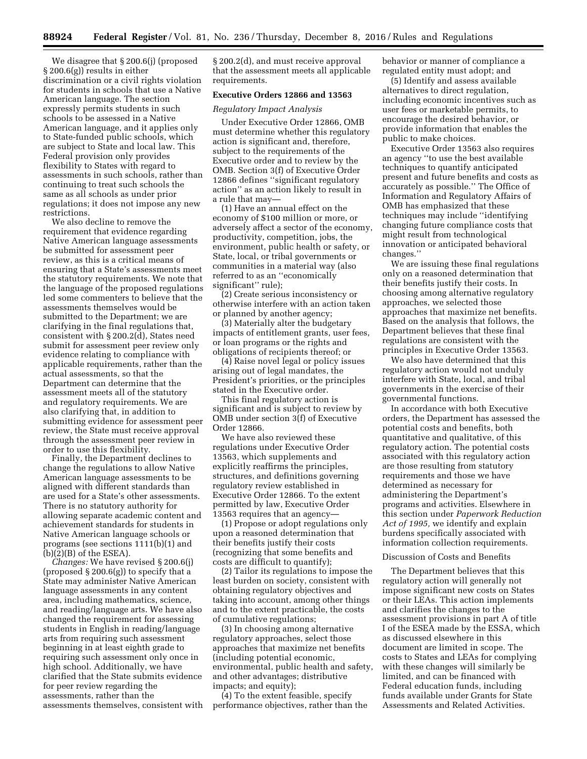We disagree that § 200.6(j) (proposed § 200.6(g)) results in either discrimination or a civil rights violation for students in schools that use a Native American language. The section expressly permits students in such schools to be assessed in a Native American language, and it applies only to State-funded public schools, which are subject to State and local law. This Federal provision only provides flexibility to States with regard to assessments in such schools, rather than continuing to treat such schools the same as all schools as under prior regulations; it does not impose any new restrictions.

We also decline to remove the requirement that evidence regarding Native American language assessments be submitted for assessment peer review, as this is a critical means of ensuring that a State's assessments meet the statutory requirements. We note that the language of the proposed regulations led some commenters to believe that the assessments themselves would be submitted to the Department; we are clarifying in the final regulations that, consistent with § 200.2(d), States need submit for assessment peer review only evidence relating to compliance with applicable requirements, rather than the actual assessments, so that the Department can determine that the assessment meets all of the statutory and regulatory requirements. We are also clarifying that, in addition to submitting evidence for assessment peer review, the State must receive approval through the assessment peer review in order to use this flexibility.

Finally, the Department declines to change the regulations to allow Native American language assessments to be aligned with different standards than are used for a State's other assessments. There is no statutory authority for allowing separate academic content and achievement standards for students in Native American language schools or programs (see sections 1111(b)(1) and  $(b)(2)(B)$  of the ESEA).

*Changes:* We have revised § 200.6(j) (proposed  $\S 200.6(g)$ ) to specify that a State may administer Native American language assessments in any content area, including mathematics, science, and reading/language arts. We have also changed the requirement for assessing students in English in reading/language arts from requiring such assessment beginning in at least eighth grade to requiring such assessment only once in high school. Additionally, we have clarified that the State submits evidence for peer review regarding the assessments, rather than the assessments themselves, consistent with

§ 200.2(d), and must receive approval that the assessment meets all applicable requirements.

#### **Executive Orders 12866 and 13563**

#### *Regulatory Impact Analysis*

Under Executive Order 12866, OMB must determine whether this regulatory action is significant and, therefore, subject to the requirements of the Executive order and to review by the OMB. Section 3(f) of Executive Order 12866 defines ''significant regulatory action'' as an action likely to result in a rule that may—

(1) Have an annual effect on the economy of \$100 million or more, or adversely affect a sector of the economy, productivity, competition, jobs, the environment, public health or safety, or State, local, or tribal governments or communities in a material way (also referred to as an ''economically significant'' rule);

(2) Create serious inconsistency or otherwise interfere with an action taken or planned by another agency;

(3) Materially alter the budgetary impacts of entitlement grants, user fees, or loan programs or the rights and obligations of recipients thereof; or

(4) Raise novel legal or policy issues arising out of legal mandates, the President's priorities, or the principles stated in the Executive order.

This final regulatory action is significant and is subject to review by OMB under section 3(f) of Executive Order 12866.

We have also reviewed these regulations under Executive Order 13563, which supplements and explicitly reaffirms the principles, structures, and definitions governing regulatory review established in Executive Order 12866. To the extent permitted by law, Executive Order 13563 requires that an agency—

(1) Propose or adopt regulations only upon a reasoned determination that their benefits justify their costs (recognizing that some benefits and costs are difficult to quantify);

(2) Tailor its regulations to impose the least burden on society, consistent with obtaining regulatory objectives and taking into account, among other things and to the extent practicable, the costs of cumulative regulations;

(3) In choosing among alternative regulatory approaches, select those approaches that maximize net benefits (including potential economic, environmental, public health and safety, and other advantages; distributive impacts; and equity);

(4) To the extent feasible, specify performance objectives, rather than the behavior or manner of compliance a regulated entity must adopt; and

(5) Identify and assess available alternatives to direct regulation, including economic incentives such as user fees or marketable permits, to encourage the desired behavior, or provide information that enables the public to make choices.

Executive Order 13563 also requires an agency ''to use the best available techniques to quantify anticipated present and future benefits and costs as accurately as possible.'' The Office of Information and Regulatory Affairs of OMB has emphasized that these techniques may include ''identifying changing future compliance costs that might result from technological innovation or anticipated behavioral changes.''

We are issuing these final regulations only on a reasoned determination that their benefits justify their costs. In choosing among alternative regulatory approaches, we selected those approaches that maximize net benefits. Based on the analysis that follows, the Department believes that these final regulations are consistent with the principles in Executive Order 13563.

We also have determined that this regulatory action would not unduly interfere with State, local, and tribal governments in the exercise of their governmental functions.

In accordance with both Executive orders, the Department has assessed the potential costs and benefits, both quantitative and qualitative, of this regulatory action. The potential costs associated with this regulatory action are those resulting from statutory requirements and those we have determined as necessary for administering the Department's programs and activities. Elsewhere in this section under *Paperwork Reduction Act of 1995,* we identify and explain burdens specifically associated with information collection requirements.

#### Discussion of Costs and Benefits

The Department believes that this regulatory action will generally not impose significant new costs on States or their LEAs. This action implements and clarifies the changes to the assessment provisions in part A of title I of the ESEA made by the ESSA, which as discussed elsewhere in this document are limited in scope. The costs to States and LEAs for complying with these changes will similarly be limited, and can be financed with Federal education funds, including funds available under Grants for State Assessments and Related Activities.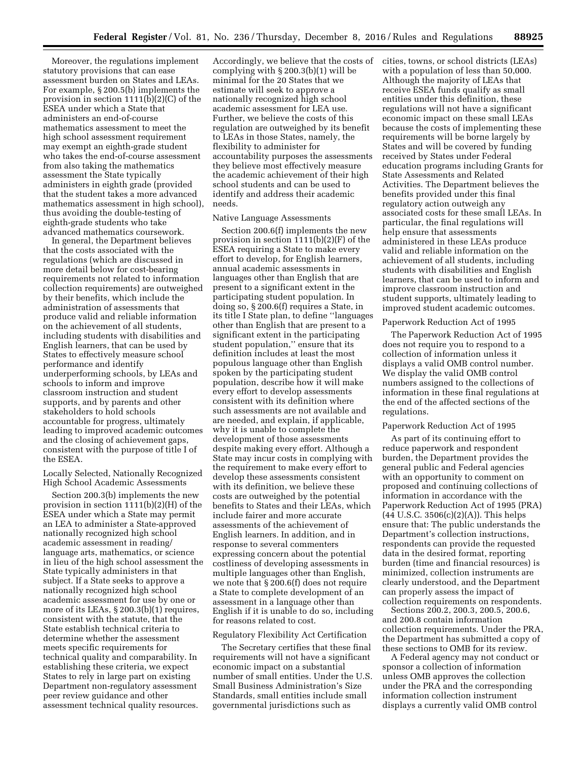Moreover, the regulations implement statutory provisions that can ease assessment burden on States and LEAs. For example, § 200.5(b) implements the provision in section 1111(b)(2)(C) of the ESEA under which a State that administers an end-of-course mathematics assessment to meet the high school assessment requirement may exempt an eighth-grade student who takes the end-of-course assessment from also taking the mathematics assessment the State typically administers in eighth grade (provided that the student takes a more advanced mathematics assessment in high school), thus avoiding the double-testing of eighth-grade students who take advanced mathematics coursework.

In general, the Department believes that the costs associated with the regulations (which are discussed in more detail below for cost-bearing requirements not related to information collection requirements) are outweighed by their benefits, which include the administration of assessments that produce valid and reliable information on the achievement of all students, including students with disabilities and English learners, that can be used by States to effectively measure school performance and identify underperforming schools, by LEAs and schools to inform and improve classroom instruction and student supports, and by parents and other stakeholders to hold schools accountable for progress, ultimately leading to improved academic outcomes and the closing of achievement gaps, consistent with the purpose of title I of the ESEA.

Locally Selected, Nationally Recognized High School Academic Assessments

Section 200.3(b) implements the new provision in section 1111(b)(2)(H) of the ESEA under which a State may permit an LEA to administer a State-approved nationally recognized high school academic assessment in reading/ language arts, mathematics, or science in lieu of the high school assessment the State typically administers in that subject. If a State seeks to approve a nationally recognized high school academic assessment for use by one or more of its LEAs, § 200.3(b)(1) requires, consistent with the statute, that the State establish technical criteria to determine whether the assessment meets specific requirements for technical quality and comparability. In establishing these criteria, we expect States to rely in large part on existing Department non-regulatory assessment peer review guidance and other assessment technical quality resources.

Accordingly, we believe that the costs of complying with § 200.3(b)(1) will be minimal for the 20 States that we estimate will seek to approve a nationally recognized high school academic assessment for LEA use. Further, we believe the costs of this regulation are outweighed by its benefit to LEAs in those States, namely, the flexibility to administer for accountability purposes the assessments they believe most effectively measure the academic achievement of their high school students and can be used to identify and address their academic needs.

# Native Language Assessments

Section 200.6(f) implements the new provision in section 1111(b)(2)(F) of the ESEA requiring a State to make every effort to develop, for English learners, annual academic assessments in languages other than English that are present to a significant extent in the participating student population. In doing so, § 200.6(f) requires a State, in its title I State plan, to define ''languages other than English that are present to a significant extent in the participating student population,'' ensure that its definition includes at least the most populous language other than English spoken by the participating student population, describe how it will make every effort to develop assessments consistent with its definition where such assessments are not available and are needed, and explain, if applicable, why it is unable to complete the development of those assessments despite making every effort. Although a State may incur costs in complying with the requirement to make every effort to develop these assessments consistent with its definition, we believe these costs are outweighed by the potential benefits to States and their LEAs, which include fairer and more accurate assessments of the achievement of English learners. In addition, and in response to several commenters expressing concern about the potential costliness of developing assessments in multiple languages other than English, we note that § 200.6(f) does not require a State to complete development of an assessment in a language other than English if it is unable to do so, including for reasons related to cost.

# Regulatory Flexibility Act Certification

The Secretary certifies that these final requirements will not have a significant economic impact on a substantial number of small entities. Under the U.S. Small Business Administration's Size Standards, small entities include small governmental jurisdictions such as

cities, towns, or school districts (LEAs) with a population of less than 50,000. Although the majority of LEAs that receive ESEA funds qualify as small entities under this definition, these regulations will not have a significant economic impact on these small LEAs because the costs of implementing these requirements will be borne largely by States and will be covered by funding received by States under Federal education programs including Grants for State Assessments and Related Activities. The Department believes the benefits provided under this final regulatory action outweigh any associated costs for these small LEAs. In particular, the final regulations will help ensure that assessments administered in these LEAs produce valid and reliable information on the achievement of all students, including students with disabilities and English learners, that can be used to inform and improve classroom instruction and student supports, ultimately leading to improved student academic outcomes.

#### Paperwork Reduction Act of 1995

The Paperwork Reduction Act of 1995 does not require you to respond to a collection of information unless it displays a valid OMB control number. We display the valid OMB control numbers assigned to the collections of information in these final regulations at the end of the affected sections of the regulations.

#### Paperwork Reduction Act of 1995

As part of its continuing effort to reduce paperwork and respondent burden, the Department provides the general public and Federal agencies with an opportunity to comment on proposed and continuing collections of information in accordance with the Paperwork Reduction Act of 1995 (PRA) (44 U.S.C. 3506(c)(2)(A)). This helps ensure that: The public understands the Department's collection instructions, respondents can provide the requested data in the desired format, reporting burden (time and financial resources) is minimized, collection instruments are clearly understood, and the Department can properly assess the impact of collection requirements on respondents.

Sections 200.2, 200.3, 200.5, 200.6, and 200.8 contain information collection requirements. Under the PRA, the Department has submitted a copy of these sections to OMB for its review.

A Federal agency may not conduct or sponsor a collection of information unless OMB approves the collection under the PRA and the corresponding information collection instrument displays a currently valid OMB control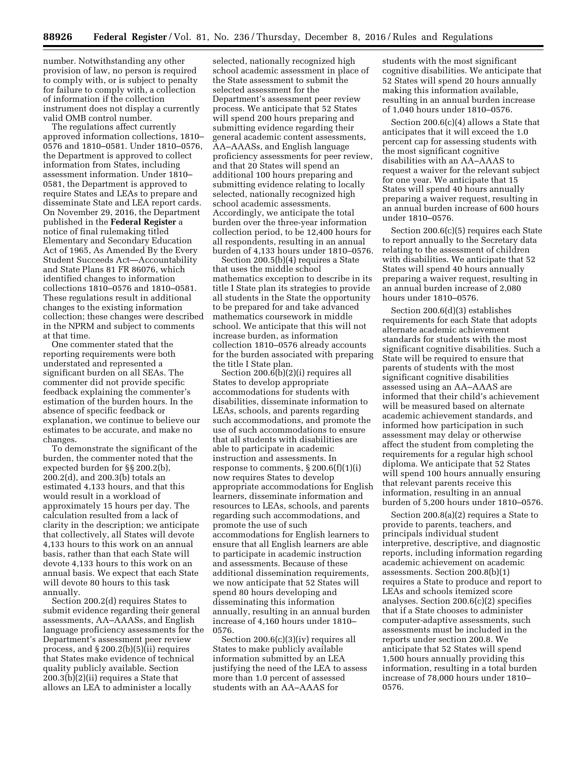number. Notwithstanding any other provision of law, no person is required to comply with, or is subject to penalty for failure to comply with, a collection of information if the collection instrument does not display a currently valid OMB control number.

The regulations affect currently approved information collections, 1810– 0576 and 1810–0581. Under 1810–0576, the Department is approved to collect information from States, including assessment information. Under 1810– 0581, the Department is approved to require States and LEAs to prepare and disseminate State and LEA report cards. On November 29, 2016, the Department published in the **Federal Register** a notice of final rulemaking titled Elementary and Secondary Education Act of 1965, As Amended By the Every Student Succeeds Act—Accountability and State Plans 81 FR 86076, which identified changes to information collections 1810–0576 and 1810–0581. These regulations result in additional changes to the existing information collection; these changes were described in the NPRM and subject to comments at that time.

One commenter stated that the reporting requirements were both understated and represented a significant burden on all SEAs. The commenter did not provide specific feedback explaining the commenter's estimation of the burden hours. In the absence of specific feedback or explanation, we continue to believe our estimates to be accurate, and make no changes.

To demonstrate the significant of the burden, the commenter noted that the expected burden for §§ 200.2(b), 200.2(d), and 200.3(b) totals an estimated 4,133 hours, and that this would result in a workload of approximately 15 hours per day. The calculation resulted from a lack of clarity in the description; we anticipate that collectively, all States will devote 4,133 hours to this work on an annual basis, rather than that each State will devote 4,133 hours to this work on an annual basis. We expect that each State will devote 80 hours to this task annually.

Section 200.2(d) requires States to submit evidence regarding their general assessments, AA–AAASs, and English language proficiency assessments for the Department's assessment peer review process, and § 200.2(b)(5)(ii) requires that States make evidence of technical quality publicly available. Section 200.3(b)(2)(ii) requires a State that allows an LEA to administer a locally

selected, nationally recognized high school academic assessment in place of the State assessment to submit the selected assessment for the Department's assessment peer review process. We anticipate that 52 States will spend 200 hours preparing and submitting evidence regarding their general academic content assessments, AA–AAASs, and English language proficiency assessments for peer review, and that 20 States will spend an additional 100 hours preparing and submitting evidence relating to locally selected, nationally recognized high school academic assessments. Accordingly, we anticipate the total burden over the three-year information collection period, to be 12,400 hours for all respondents, resulting in an annual burden of 4,133 hours under 1810–0576.

Section 200.5(b)(4) requires a State that uses the middle school mathematics exception to describe in its title I State plan its strategies to provide all students in the State the opportunity to be prepared for and take advanced mathematics coursework in middle school. We anticipate that this will not increase burden, as information collection 1810–0576 already accounts for the burden associated with preparing the title I State plan.

Section 200.6(b)(2)(i) requires all States to develop appropriate accommodations for students with disabilities, disseminate information to LEAs, schools, and parents regarding such accommodations, and promote the use of such accommodations to ensure that all students with disabilities are able to participate in academic instruction and assessments. In response to comments,  $\S 200.6(f)(1)(i)$ now requires States to develop appropriate accommodations for English learners, disseminate information and resources to LEAs, schools, and parents regarding such accommodations, and promote the use of such accommodations for English learners to ensure that all English learners are able to participate in academic instruction and assessments. Because of these additional dissemination requirements, we now anticipate that 52 States will spend 80 hours developing and disseminating this information annually, resulting in an annual burden increase of 4,160 hours under 1810– 0576.

Section 200.6(c)(3)(iv) requires all States to make publicly available information submitted by an LEA justifying the need of the LEA to assess more than 1.0 percent of assessed students with an AA–AAAS for

students with the most significant cognitive disabilities. We anticipate that 52 States will spend 20 hours annually making this information available, resulting in an annual burden increase of 1,040 hours under 1810–0576.

Section 200.6(c)(4) allows a State that anticipates that it will exceed the 1.0 percent cap for assessing students with the most significant cognitive disabilities with an AA–AAAS to request a waiver for the relevant subject for one year. We anticipate that 15 States will spend 40 hours annually preparing a waiver request, resulting in an annual burden increase of 600 hours under 1810–0576.

Section 200.6(c)(5) requires each State to report annually to the Secretary data relating to the assessment of children with disabilities. We anticipate that 52 States will spend 40 hours annually preparing a waiver request, resulting in an annual burden increase of 2,080 hours under 1810–0576.

Section 200.6(d)(3) establishes requirements for each State that adopts alternate academic achievement standards for students with the most significant cognitive disabilities. Such a State will be required to ensure that parents of students with the most significant cognitive disabilities assessed using an AA–AAAS are informed that their child's achievement will be measured based on alternate academic achievement standards, and informed how participation in such assessment may delay or otherwise affect the student from completing the requirements for a regular high school diploma. We anticipate that 52 States will spend 100 hours annually ensuring that relevant parents receive this information, resulting in an annual burden of 5,200 hours under 1810–0576.

Section 200.8(a)(2) requires a State to provide to parents, teachers, and principals individual student interpretive, descriptive, and diagnostic reports, including information regarding academic achievement on academic assessments. Section 200.8(b)(1) requires a State to produce and report to LEAs and schools itemized score analyses. Section 200.6(c)(2) specifies that if a State chooses to administer computer-adaptive assessments, such assessments must be included in the reports under section 200.8. We anticipate that 52 States will spend 1,500 hours annually providing this information, resulting in a total burden increase of 78,000 hours under 1810– 0576.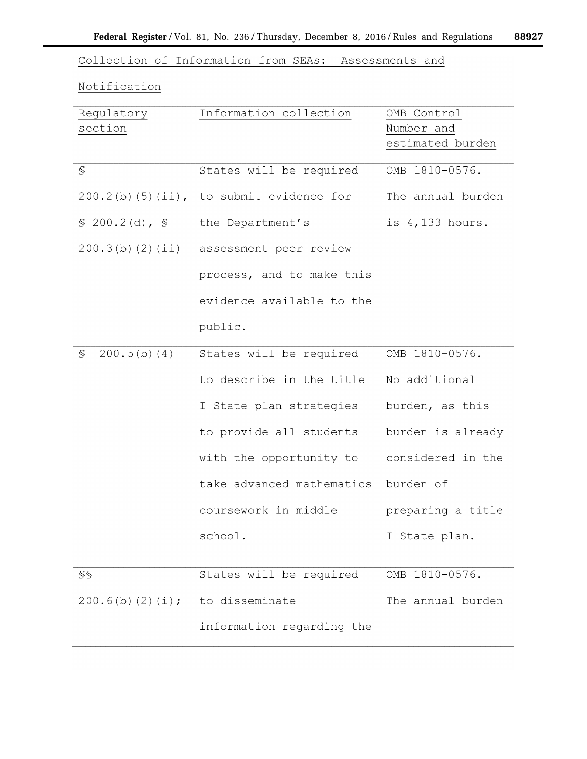$\equiv$ 

Collection of Information from SEAs: Assessments and

# Notification

| Regulatory              | Information collection                     | OMB Control       |
|-------------------------|--------------------------------------------|-------------------|
| section                 |                                            | Number and        |
|                         |                                            | estimated burden  |
|                         |                                            |                   |
| S                       | States will be required                    | OMB 1810-0576.    |
|                         | $200.2(b)$ (5)(ii), to submit evidence for | The annual burden |
| \$200.2(d), \$          | the Department's                           | is 4,133 hours.   |
| 200.3(b) (2) (ii)       | assessment peer review                     |                   |
|                         | process, and to make this                  |                   |
|                         | evidence available to the                  |                   |
|                         | public.                                    |                   |
| 200.5(b) (4)<br>S       | States will be required                    | OMB 1810-0576.    |
|                         | to describe in the title                   | No additional     |
|                         | I State plan strategies                    | burden, as this   |
|                         | to provide all students                    | burden is already |
|                         | with the opportunity to                    | considered in the |
|                         | take advanced mathematics                  | burden of         |
|                         | coursework in middle                       | preparing a title |
|                         | school.                                    | I State plan.     |
|                         |                                            |                   |
| SS                      | States will be required                    | OMB 1810-0576.    |
| $200.6(b)$ $(2)$ $(i);$ | to disseminate                             | The annual burden |
|                         | information regarding the                  |                   |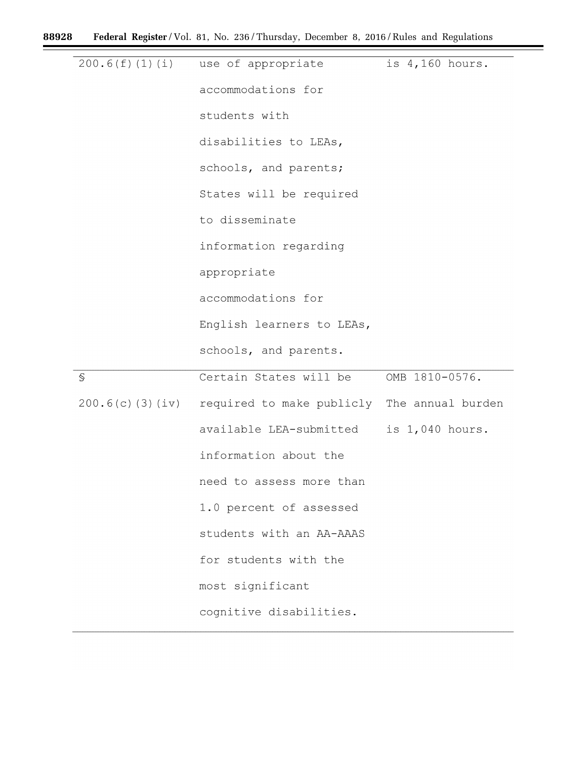۲

 $\equiv$ 

| 200.6(f)(1)(i)      | use of appropriate                          | is 4,160 hours. |
|---------------------|---------------------------------------------|-----------------|
|                     |                                             |                 |
|                     | accommodations for                          |                 |
|                     | students with                               |                 |
|                     | disabilities to LEAs,                       |                 |
|                     | schools, and parents;                       |                 |
|                     | States will be required                     |                 |
|                     | to disseminate                              |                 |
|                     | information regarding                       |                 |
|                     | appropriate                                 |                 |
|                     | accommodations for                          |                 |
|                     | English learners to LEAs,                   |                 |
|                     | schools, and parents.                       |                 |
| $\mathbb S$         | Certain States will be                      | OMB 1810-0576.  |
| $200.6(c)$ (3) (iv) | required to make publicly The annual burden |                 |
|                     | available LEA-submitted                     | is 1,040 hours. |
|                     | information about the                       |                 |
|                     | need to assess more than                    |                 |
|                     | 1.0 percent of assessed                     |                 |
|                     |                                             |                 |
|                     | students with an AA-AAAS                    |                 |
|                     | for students with the                       |                 |
|                     | most significant                            |                 |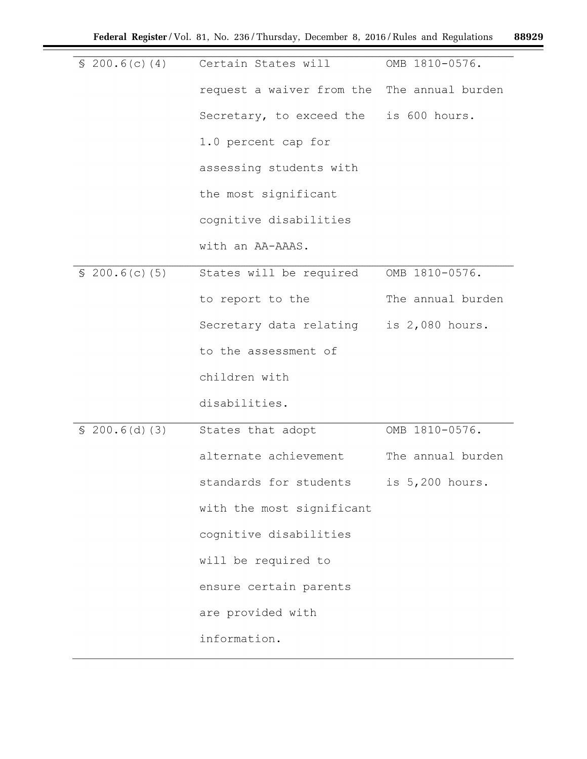| \$200.6(c)(4) | Certain States will                         | OMB 1810-0576.    |
|---------------|---------------------------------------------|-------------------|
|               |                                             |                   |
|               | request a waiver from the The annual burden |                   |
|               | Secretary, to exceed the is 600 hours.      |                   |
|               | 1.0 percent cap for                         |                   |
|               | assessing students with                     |                   |
|               | the most significant                        |                   |
|               | cognitive disabilities                      |                   |
|               | with an AA-AAAS.                            |                   |
| \$200.6(c)(5) | States will be required                     | OMB 1810-0576.    |
|               | to report to the                            | The annual burden |
|               | Secretary data relating                     | is 2,080 hours.   |
|               | to the assessment of                        |                   |
|               | children with                               |                   |
|               | disabilities.                               |                   |
| \$200.6(d)(3) | States that adopt                           | OMB 1810-0576.    |
|               | alternate achievement                       | The annual burden |
|               | standards for students is 5,200 hours.      |                   |
|               | with the most significant                   |                   |
|               | cognitive disabilities                      |                   |
|               | will be required to                         |                   |
|               | ensure certain parents                      |                   |
|               | are provided with                           |                   |
|               | information.                                |                   |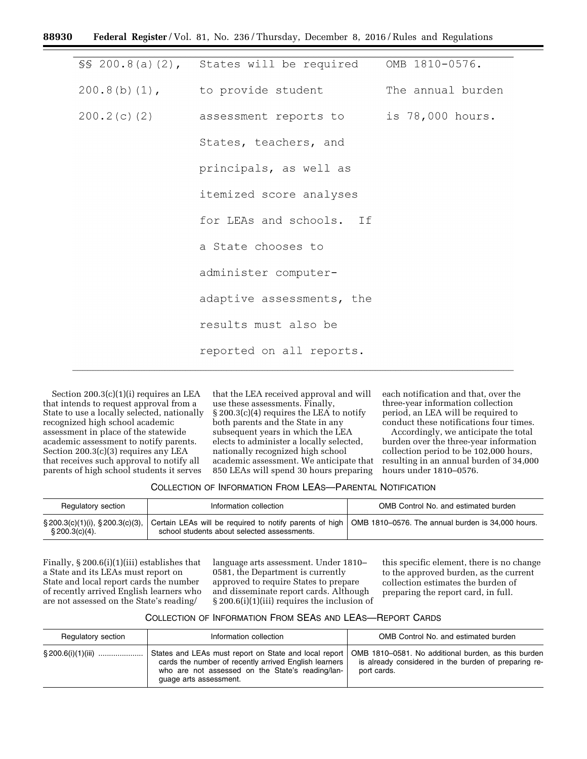| $\S$ 200.8(a)(2), States will be required          | OMB 1810-0576.    |
|----------------------------------------------------|-------------------|
| $200.8(b)$ $(1)$ , to provide student              | The annual burden |
| 200.2(c)(2) assessment reports to is 78,000 hours. |                   |
| States, teachers, and                              |                   |
| principals, as well as                             |                   |
| itemized score analyses                            |                   |
| for LEAs and schools. If                           |                   |
| a State chooses to                                 |                   |
| administer computer-                               |                   |
| adaptive assessments, the                          |                   |
| results must also be                               |                   |
| reported on all reports.                           |                   |
|                                                    |                   |

Section 200.3(c)(1)(i) requires an LEA that intends to request approval from a State to use a locally selected, nationally recognized high school academic assessment in place of the statewide academic assessment to notify parents. Section 200.3(c)(3) requires any LEA that receives such approval to notify all parents of high school students it serves

that the LEA received approval and will use these assessments. Finally, § 200.3(c)(4) requires the LEA to notify both parents and the State in any subsequent years in which the LEA elects to administer a locally selected, nationally recognized high school academic assessment. We anticipate that 850 LEAs will spend 30 hours preparing

each notification and that, over the three-year information collection period, an LEA will be required to conduct these notifications four times.

Accordingly, we anticipate the total burden over the three-year information collection period to be 102,000 hours, resulting in an annual burden of 34,000 hours under 1810–0576.

#### COLLECTION OF INFORMATION FROM LEAS—PARENTAL NOTIFICATION

| Regulatory section                                             | Information collection                                                                                 | OMB Control No. and estimated burden                    |
|----------------------------------------------------------------|--------------------------------------------------------------------------------------------------------|---------------------------------------------------------|
| $\S 200.3(c)(1)(i)$ , $\S 200.3(c)(3)$ ,<br>$\S 200.3(c)(4)$ . | Certain LEAs will be required to notify parents of high<br>school students about selected assessments. | $\pm$ OMB 1810–0576. The annual burden is 34,000 hours. |

Finally, § 200.6(i)(1)(iii) establishes that a State and its LEAs must report on State and local report cards the number of recently arrived English learners who are not assessed on the State's reading/

language arts assessment. Under 1810– 0581, the Department is currently approved to require States to prepare and disseminate report cards. Although § 200.6(i)(1)(iii) requires the inclusion of

this specific element, there is no change to the approved burden, as the current collection estimates the burden of preparing the report card, in full.

# COLLECTION OF INFORMATION FROM SEAS AND LEAS—REPORT CARDS

| Regulatory section    | Information collection                                                                                                                                                                                                                             | OMB Control No. and estimated burden                                |
|-----------------------|----------------------------------------------------------------------------------------------------------------------------------------------------------------------------------------------------------------------------------------------------|---------------------------------------------------------------------|
| $\S 200.6(i)(1)(iii)$ | States and LEAs must report on State and local report   OMB 1810-0581. No additional burden, as this burden<br>cards the number of recently arrived English learners<br>who are not assessed on the State's reading/lan-<br>guage arts assessment. | is already considered in the burden of preparing re-<br>port cards. |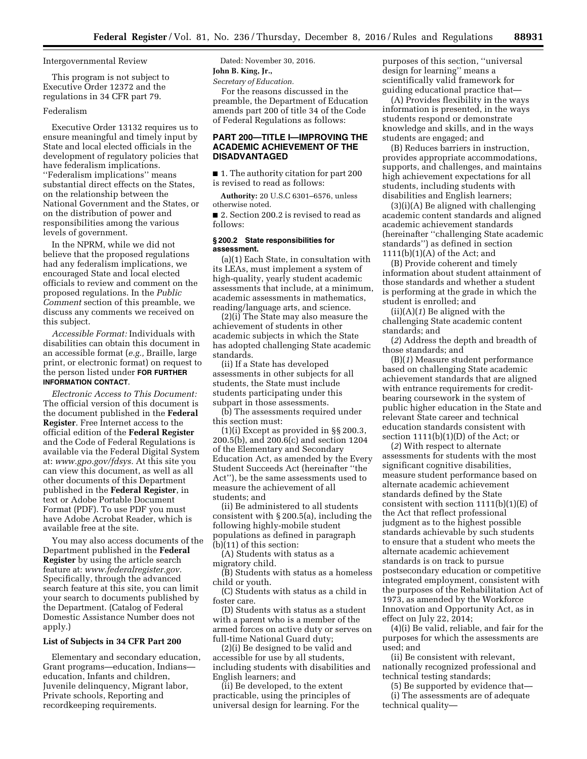Intergovernmental Review

This program is not subject to Executive Order 12372 and the regulations in 34 CFR part 79.

#### Federalism

Executive Order 13132 requires us to ensure meaningful and timely input by State and local elected officials in the development of regulatory policies that have federalism implications. ''Federalism implications'' means substantial direct effects on the States, on the relationship between the National Government and the States, or on the distribution of power and responsibilities among the various levels of government.

In the NPRM, while we did not believe that the proposed regulations had any federalism implications, we encouraged State and local elected officials to review and comment on the proposed regulations. In the *Public Comment* section of this preamble, we discuss any comments we received on this subject.

*Accessible Format:* Individuals with disabilities can obtain this document in an accessible format (*e.g.,* Braille, large print, or electronic format) on request to the person listed under **FOR FURTHER INFORMATION CONTACT**.

*Electronic Access to This Document:*  The official version of this document is the document published in the **Federal Register**. Free Internet access to the official edition of the **Federal Register**  and the Code of Federal Regulations is available via the Federal Digital System at: *[www.gpo.gov/fdsys.](http://www.gpo.gov/fdsys)* At this site you can view this document, as well as all other documents of this Department published in the **Federal Register**, in text or Adobe Portable Document Format (PDF). To use PDF you must have Adobe Acrobat Reader, which is available free at the site.

You may also access documents of the Department published in the **Federal Register** by using the article search feature at: *[www.federalregister.gov.](http://www.federalregister.gov)*  Specifically, through the advanced search feature at this site, you can limit your search to documents published by the Department. (Catalog of Federal Domestic Assistance Number does not apply.)

## **List of Subjects in 34 CFR Part 200**

Elementary and secondary education, Grant programs—education, Indians education, Infants and children, Juvenile delinquency, Migrant labor, Private schools, Reporting and recordkeeping requirements.

Dated: November 30, 2016. **John B. King, Jr.,** 

*Secretary of Education.* 

For the reasons discussed in the preamble, the Department of Education amends part 200 of title 34 of the Code of Federal Regulations as follows:

# **PART 200—TITLE I—IMPROVING THE ACADEMIC ACHIEVEMENT OF THE DISADVANTAGED**

■ 1. The authority citation for part 200 is revised to read as follows:

**Authority:** 20 U.S.C 6301–6576, unless otherwise noted.

■ 2. Section 200.2 is revised to read as follows:

#### **§ 200.2 State responsibilities for assessment.**

(a)(1) Each State, in consultation with its LEAs, must implement a system of high-quality, yearly student academic assessments that include, at a minimum, academic assessments in mathematics, reading/language arts, and science.

(2)(i) The State may also measure the achievement of students in other academic subjects in which the State has adopted challenging State academic standards.

(ii) If a State has developed assessments in other subjects for all students, the State must include students participating under this subpart in those assessments.

(b) The assessments required under this section must:

(1)(i) Except as provided in §§ 200.3, 200.5(b), and 200.6(c) and section 1204 of the Elementary and Secondary Education Act, as amended by the Every Student Succeeds Act (hereinafter ''the Act''), be the same assessments used to measure the achievement of all students; and

(ii) Be administered to all students consistent with § 200.5(a), including the following highly-mobile student populations as defined in paragraph (b)(11) of this section:

(A) Students with status as a migratory child.

(B) Students with status as a homeless child or youth.

(C) Students with status as a child in foster care.

(D) Students with status as a student with a parent who is a member of the armed forces on active duty or serves on full-time National Guard duty;

(2)(i) Be designed to be valid and accessible for use by all students, including students with disabilities and English learners; and

(ii) Be developed, to the extent practicable, using the principles of universal design for learning. For the purposes of this section, ''universal design for learning'' means a scientifically valid framework for guiding educational practice that—

(A) Provides flexibility in the ways information is presented, in the ways students respond or demonstrate knowledge and skills, and in the ways students are engaged; and

(B) Reduces barriers in instruction, provides appropriate accommodations, supports, and challenges, and maintains high achievement expectations for all students, including students with disabilities and English learners;

(3)(i)(A) Be aligned with challenging academic content standards and aligned academic achievement standards (hereinafter ''challenging State academic standards'') as defined in section 1111(b)(1)(A) of the Act; and

(B) Provide coherent and timely information about student attainment of those standards and whether a student is performing at the grade in which the student is enrolled; and

(ii)(A)(*1*) Be aligned with the challenging State academic content standards; and

(*2*) Address the depth and breadth of those standards; and

(B)(*1*) Measure student performance based on challenging State academic achievement standards that are aligned with entrance requirements for creditbearing coursework in the system of public higher education in the State and relevant State career and technical education standards consistent with section  $1111(b)(1)(D)$  of the Act; or

(*2*) With respect to alternate assessments for students with the most significant cognitive disabilities, measure student performance based on alternate academic achievement standards defined by the State consistent with section  $1111(b)(1)(E)$  of the Act that reflect professional judgment as to the highest possible standards achievable by such students to ensure that a student who meets the alternate academic achievement standards is on track to pursue postsecondary education or competitive integrated employment, consistent with the purposes of the Rehabilitation Act of 1973, as amended by the Workforce Innovation and Opportunity Act, as in effect on July 22, 2014;

(4)(i) Be valid, reliable, and fair for the purposes for which the assessments are used; and

(ii) Be consistent with relevant, nationally recognized professional and technical testing standards;

(5) Be supported by evidence that— (i) The assessments are of adequate technical quality—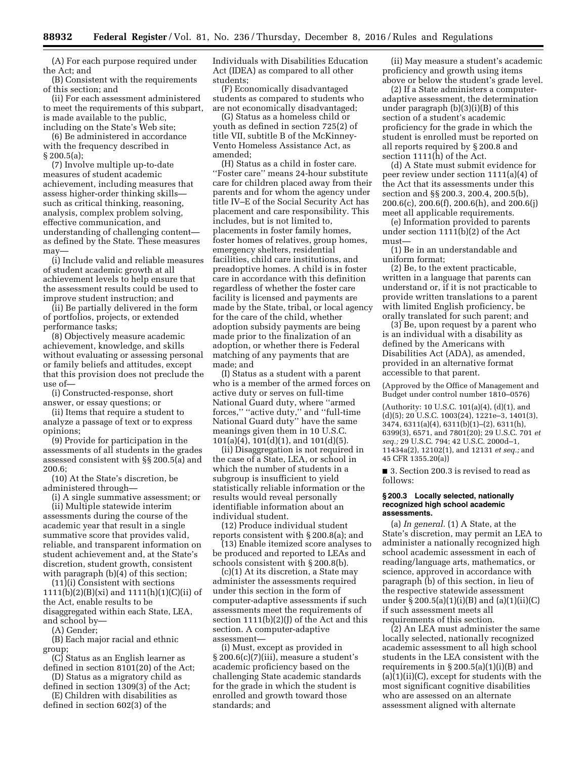(A) For each purpose required under the Act; and

(B) Consistent with the requirements of this section; and

(ii) For each assessment administered to meet the requirements of this subpart, is made available to the public, including on the State's Web site;

(6) Be administered in accordance with the frequency described in § 200.5(a);

(7) Involve multiple up-to-date measures of student academic achievement, including measures that assess higher-order thinking skills such as critical thinking, reasoning, analysis, complex problem solving, effective communication, and understanding of challenging content as defined by the State. These measures may—

(i) Include valid and reliable measures of student academic growth at all achievement levels to help ensure that the assessment results could be used to improve student instruction; and

(ii) Be partially delivered in the form of portfolios, projects, or extended performance tasks;

(8) Objectively measure academic achievement, knowledge, and skills without evaluating or assessing personal or family beliefs and attitudes, except that this provision does not preclude the use of—

(i) Constructed-response, short answer, or essay questions; or

(ii) Items that require a student to analyze a passage of text or to express opinions;

(9) Provide for participation in the assessments of all students in the grades assessed consistent with §§ 200.5(a) and 200.6;

(10) At the State's discretion, be administered through—

(i) A single summative assessment; or (ii) Multiple statewide interim assessments during the course of the

academic year that result in a single summative score that provides valid, reliable, and transparent information on student achievement and, at the State's discretion, student growth, consistent with paragraph (b)(4) of this section;

(11)(i) Consistent with sections  $1111(b)(2)(B)(xi)$  and  $1111(h)(1)(C)(ii)$  of the Act, enable results to be disaggregated within each State, LEA, and school by—

(A) Gender;

(B) Each major racial and ethnic group;

(C) Status as an English learner as defined in section 8101(20) of the Act;

(D) Status as a migratory child as defined in section 1309(3) of the Act; (E) Children with disabilities as

defined in section 602(3) of the

Individuals with Disabilities Education Act (IDEA) as compared to all other students;

(F) Economically disadvantaged students as compared to students who are not economically disadvantaged;

(G) Status as a homeless child or youth as defined in section 725(2) of title VII, subtitle B of the McKinney-Vento Homeless Assistance Act, as amended;

(H) Status as a child in foster care. ''Foster care'' means 24-hour substitute care for children placed away from their parents and for whom the agency under title IV–E of the Social Security Act has placement and care responsibility. This includes, but is not limited to, placements in foster family homes, foster homes of relatives, group homes, emergency shelters, residential facilities, child care institutions, and preadoptive homes. A child is in foster care in accordance with this definition regardless of whether the foster care facility is licensed and payments are made by the State, tribal, or local agency for the care of the child, whether adoption subsidy payments are being made prior to the finalization of an adoption, or whether there is Federal matching of any payments that are made; and

(I) Status as a student with a parent who is a member of the armed forces on active duty or serves on full-time National Guard duty, where ''armed forces,'' ''active duty,'' and ''full-time National Guard duty'' have the same meanings given them in 10 U.S.C. 101(a)(4), 101(d)(1), and 101(d)(5).

(ii) Disaggregation is not required in the case of a State, LEA, or school in which the number of students in a subgroup is insufficient to yield statistically reliable information or the results would reveal personally identifiable information about an individual student.

(12) Produce individual student reports consistent with § 200.8(a); and

(13) Enable itemized score analyses to be produced and reported to LEAs and schools consistent with § 200.8(b).

(c)(1) At its discretion, a State may administer the assessments required under this section in the form of computer-adaptive assessments if such assessments meet the requirements of section 1111(b)(2)(J) of the Act and this section. A computer-adaptive assessment—

(i) Must, except as provided in § 200.6(c)(7)(iii), measure a student's academic proficiency based on the challenging State academic standards for the grade in which the student is enrolled and growth toward those standards; and

(ii) May measure a student's academic proficiency and growth using items above or below the student's grade level.

(2) If a State administers a computeradaptive assessment, the determination under paragraph (b)(3)(i)(B) of this section of a student's academic proficiency for the grade in which the student is enrolled must be reported on all reports required by § 200.8 and section 1111(h) of the Act.

(d) A State must submit evidence for peer review under section 1111(a)(4) of the Act that its assessments under this section and §§ 200.3, 200.4, 200.5(b), 200.6(c), 200.6(f), 200.6(h), and 200.6(j) meet all applicable requirements.

(e) Information provided to parents under section 1111(b)(2) of the Act must—

(1) Be in an understandable and uniform format;

(2) Be, to the extent practicable, written in a language that parents can understand or, if it is not practicable to provide written translations to a parent with limited English proficiency, be orally translated for such parent; and

(3) Be, upon request by a parent who is an individual with a disability as defined by the Americans with Disabilities Act (ADA), as amended, provided in an alternative format accessible to that parent.

(Approved by the Office of Management and Budget under control number 1810–0576)

(Authority: 10 U.S.C. 101(a)(4), (d)(1), and (d)(5); 20 U.S.C. 1003(24), 1221e–3, 1401(3), 3474, 6311(a)(4), 6311(b)(1)–(2), 6311(h), 6399(3), 6571, and 7801(20); 29 U.S.C. 701 *et seq.;* 29 U.S.C. 794; 42 U.S.C. 2000d–1, 11434a(2), 12102(1), and 12131 *et seq.;* and 45 CFR 1355.20(a))

■ 3. Section 200.3 is revised to read as follows:

#### **§ 200.3 Locally selected, nationally recognized high school academic assessments.**

(a) *In general.* (1) A State, at the State's discretion, may permit an LEA to administer a nationally recognized high school academic assessment in each of reading/language arts, mathematics, or science, approved in accordance with paragraph (b) of this section, in lieu of the respective statewide assessment under § 200.5(a)(1)(i)(B) and (a)(1)(ii)(C) if such assessment meets all requirements of this section.

(2) An LEA must administer the same locally selected, nationally recognized academic assessment to all high school students in the LEA consistent with the requirements in  $\S 200.5(a)(1)(i)(B)$  and (a)(1)(ii)(C), except for students with the most significant cognitive disabilities who are assessed on an alternate assessment aligned with alternate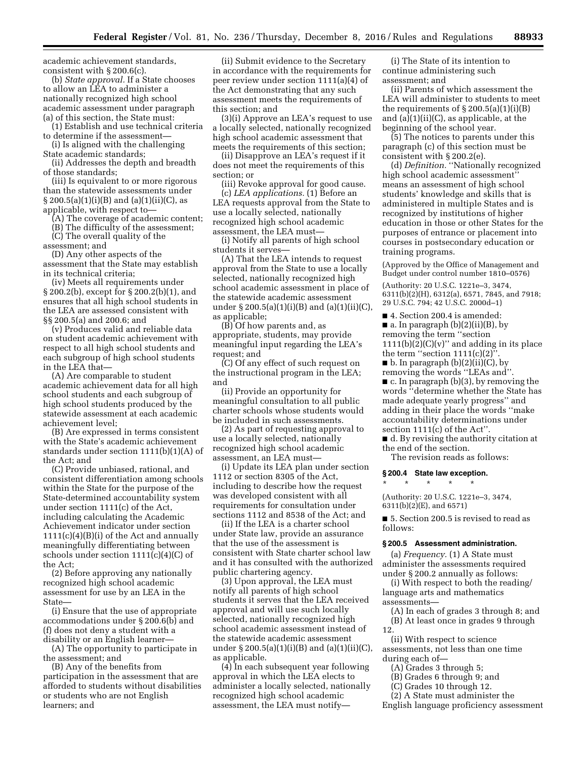academic achievement standards, consistent with § 200.6(c).

(b) *State approval.* If a State chooses to allow an LEA to administer a nationally recognized high school academic assessment under paragraph (a) of this section, the State must:

(1) Establish and use technical criteria to determine if the assessment—

(i) Is aligned with the challenging State academic standards;

(ii) Addresses the depth and breadth of those standards;

(iii) Is equivalent to or more rigorous than the statewide assessments under  $\S 200.5(a)(1)(i)(B)$  and  $(a)(1)(ii)(C)$ , as applicable, with respect to—

(A) The coverage of academic content;

(B) The difficulty of the assessment;

(C) The overall quality of the assessment; and

(D) Any other aspects of the assessment that the State may establish in its technical criteria;

(iv) Meets all requirements under § 200.2(b), except for § 200.2(b)(1), and ensures that all high school students in the LEA are assessed consistent with §§ 200.5(a) and 200.6; and

(v) Produces valid and reliable data on student academic achievement with respect to all high school students and each subgroup of high school students in the LEA that—

(A) Are comparable to student academic achievement data for all high school students and each subgroup of high school students produced by the statewide assessment at each academic achievement level;

(B) Are expressed in terms consistent with the State's academic achievement standards under section 1111(b)(1)(A) of the Act; and

(C) Provide unbiased, rational, and consistent differentiation among schools within the State for the purpose of the State-determined accountability system under section 1111(c) of the Act, including calculating the Academic Achievement indicator under section 1111(c)(4)(B)(i) of the Act and annually meaningfully differentiating between schools under section 1111(c)(4)(C) of the Act;

(2) Before approving any nationally recognized high school academic assessment for use by an LEA in the State—

(i) Ensure that the use of appropriate accommodations under § 200.6(b) and (f) does not deny a student with a disability or an English learner—

(A) The opportunity to participate in the assessment; and

(B) Any of the benefits from participation in the assessment that are afforded to students without disabilities or students who are not English learners; and

(ii) Submit evidence to the Secretary in accordance with the requirements for peer review under section 1111(a)(4) of the Act demonstrating that any such assessment meets the requirements of this section; and

(3)(i) Approve an LEA's request to use a locally selected, nationally recognized high school academic assessment that meets the requirements of this section;

(ii) Disapprove an LEA's request if it does not meet the requirements of this section; or

(iii) Revoke approval for good cause. (c) *LEA applications.* (1) Before an

LEA requests approval from the State to use a locally selected, nationally recognized high school academic assessment, the LEA must—

(i) Notify all parents of high school students it serves—

(A) That the LEA intends to request approval from the State to use a locally selected, nationally recognized high school academic assessment in place of the statewide academic assessment under § 200.5(a)(1)(i)(B) and (a)(1)(ii)(C), as applicable;

(B) Of how parents and, as appropriate, students, may provide meaningful input regarding the LEA's request; and

(C) Of any effect of such request on the instructional program in the LEA; and

(ii) Provide an opportunity for meaningful consultation to all public charter schools whose students would be included in such assessments.

(2) As part of requesting approval to use a locally selected, nationally recognized high school academic assessment, an LEA must—

(i) Update its LEA plan under section 1112 or section 8305 of the Act, including to describe how the request was developed consistent with all requirements for consultation under sections 1112 and 8538 of the Act; and

(ii) If the LEA is a charter school under State law, provide an assurance that the use of the assessment is consistent with State charter school law and it has consulted with the authorized public chartering agency.

(3) Upon approval, the LEA must notify all parents of high school students it serves that the LEA received approval and will use such locally selected, nationally recognized high school academic assessment instead of the statewide academic assessment under § 200.5(a)(1)(i)(B) and (a)(1)(ii)(C), as applicable.

(4) In each subsequent year following approval in which the LEA elects to administer a locally selected, nationally recognized high school academic assessment, the LEA must notify—

(i) The State of its intention to continue administering such assessment; and

(ii) Parents of which assessment the LEA will administer to students to meet the requirements of  $\S 200.5(a)(1)(i)(B)$ and  $(a)(1)(ii)(C)$ , as applicable, at the beginning of the school year.

(5) The notices to parents under this paragraph (c) of this section must be consistent with § 200.2(e).

(d) *Definition.* ''Nationally recognized high school academic assessment" means an assessment of high school students' knowledge and skills that is administered in multiple States and is recognized by institutions of higher education in those or other States for the purposes of entrance or placement into courses in postsecondary education or training programs.

(Approved by the Office of Management and Budget under control number 1810–0576)

(Authority: 20 U.S.C. 1221e–3, 3474, 6311(b)(2)(H), 6312(a), 6571, 7845, and 7918; 29 U.S.C. 794; 42 U.S.C. 2000d–1)

■ 4. Section 200.4 is amended:

 $\blacksquare$  a. In paragraph (b)(2)(ii)(B), by

removing the term ''section  $1111(b)(2)(C)(v)$ " and adding in its place the term "section  $1111(c)(2)$ "

 $\blacksquare$  b. In paragraph (b)(2)(ii)(C), by

removing the words ''LEAs and''.

 $\blacksquare$  c. In paragraph (b)(3), by removing the words ''determine whether the State has made adequate yearly progress'' and adding in their place the words ''make accountability determinations under section 1111(c) of the Act''.

■ d. By revising the authority citation at the end of the section.

The revision reads as follows:

# **§ 200.4 State law exception.**  \* \* \* \* \*

(Authority: 20 U.S.C. 1221e–3, 3474, 6311(b)(2)(E), and 6571)

■ 5. Section 200.5 is revised to read as follows:

## **§ 200.5 Assessment administration.**

(a) *Frequency.* (1) A State must administer the assessments required under § 200.2 annually as follows:

(i) With respect to both the reading/ language arts and mathematics

- assessments—
- (A) In each of grades 3 through 8; and (B) At least once in grades 9 through

12. (ii) With respect to science assessments, not less than one time during each of—

- (A) Grades 3 through 5;
- (B) Grades 6 through 9; and
- (C) Grades 10 through 12.
- (2) A State must administer the
- English language proficiency assessment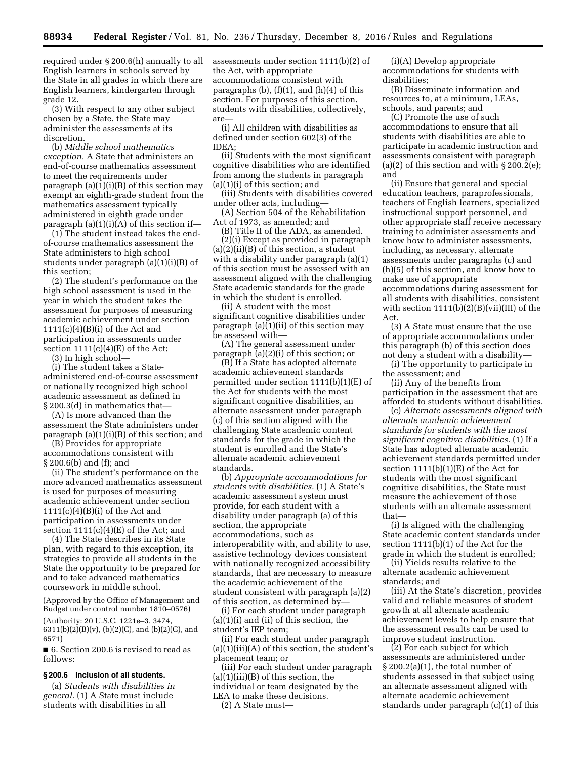required under § 200.6(h) annually to all English learners in schools served by the State in all grades in which there are English learners, kindergarten through grade 12.

(3) With respect to any other subject chosen by a State, the State may administer the assessments at its discretion.

(b) *Middle school mathematics exception.* A State that administers an end-of-course mathematics assessment to meet the requirements under paragraph  $(a)(1)(i)(B)$  of this section may exempt an eighth-grade student from the mathematics assessment typically administered in eighth grade under paragraph (a)(1)(i)(A) of this section if—

(1) The student instead takes the endof-course mathematics assessment the State administers to high school students under paragraph (a)(1)(i)(B) of this section;

(2) The student's performance on the high school assessment is used in the year in which the student takes the assessment for purposes of measuring academic achievement under section  $1111(c)(4)(B)(i)$  of the Act and participation in assessments under section  $1111(c)(4)(E)$  of the Act;

(3) In high school—

(i) The student takes a Stateadministered end-of-course assessment or nationally recognized high school academic assessment as defined in § 200.3(d) in mathematics that—

(A) Is more advanced than the assessment the State administers under paragraph (a)(1)(i)(B) of this section; and

(B) Provides for appropriate accommodations consistent with § 200.6(b) and (f); and

(ii) The student's performance on the more advanced mathematics assessment is used for purposes of measuring academic achievement under section  $1111(c)(4)(B)(i)$  of the Act and participation in assessments under section  $1111(c)(4)(E)$  of the Act; and

(4) The State describes in its State plan, with regard to this exception, its strategies to provide all students in the State the opportunity to be prepared for and to take advanced mathematics coursework in middle school.

(Approved by the Office of Management and Budget under control number 1810–0576)

(Authority: 20 U.S.C. 1221e–3, 3474, 6311(b)(2)(B)(v), (b)(2)(C), and (b)(2)(G), and 6571)

■ 6. Section 200.6 is revised to read as follows:

# **§ 200.6 Inclusion of all students.**

(a) *Students with disabilities in general.* (1) A State must include students with disabilities in all

assessments under section 1111(b)(2) of the Act, with appropriate accommodations consistent with paragraphs (b),  $(f)(1)$ , and  $(h)(4)$  of this section. For purposes of this section, students with disabilities, collectively, are—

(i) All children with disabilities as defined under section 602(3) of the IDEA;

(ii) Students with the most significant cognitive disabilities who are identified from among the students in paragraph (a)(1)(i) of this section; and

(iii) Students with disabilities covered under other acts, including—

(A) Section 504 of the Rehabilitation Act of 1973, as amended; and

(B) Title II of the ADA, as amended. (2)(i) Except as provided in paragraph (a)(2)(ii)(B) of this section, a student with a disability under paragraph (a)(1) of this section must be assessed with an assessment aligned with the challenging State academic standards for the grade in which the student is enrolled.

(ii) A student with the most significant cognitive disabilities under paragraph (a)(1)(ii) of this section may be assessed with—

(A) The general assessment under paragraph (a)(2)(i) of this section; or

(B) If a State has adopted alternate academic achievement standards permitted under section 1111(b)(1)(E) of the Act for students with the most significant cognitive disabilities, an alternate assessment under paragraph (c) of this section aligned with the challenging State academic content standards for the grade in which the student is enrolled and the State's alternate academic achievement standards.

(b) *Appropriate accommodations for students with disabilities.* (1) A State's academic assessment system must provide, for each student with a disability under paragraph (a) of this section, the appropriate accommodations, such as interoperability with, and ability to use, assistive technology devices consistent with nationally recognized accessibility standards, that are necessary to measure the academic achievement of the student consistent with paragraph (a)(2) of this section, as determined by—

(i) For each student under paragraph  $(a)(1)(i)$  and  $(ii)$  of this section, the student's IEP team;

(ii) For each student under paragraph (a)(1)(iii)(A) of this section, the student's placement team; or

(iii) For each student under paragraph (a)(1)(iii)(B) of this section, the individual or team designated by the LEA to make these decisions. (2) A State must—

(i)(A) Develop appropriate accommodations for students with disabilities;

(B) Disseminate information and resources to, at a minimum, LEAs, schools, and parents; and

(C) Promote the use of such accommodations to ensure that all students with disabilities are able to participate in academic instruction and assessments consistent with paragraph (a)(2) of this section and with  $\S 200.2(e)$ ; and

(ii) Ensure that general and special education teachers, paraprofessionals, teachers of English learners, specialized instructional support personnel, and other appropriate staff receive necessary training to administer assessments and know how to administer assessments, including, as necessary, alternate assessments under paragraphs (c) and (h)(5) of this section, and know how to make use of appropriate accommodations during assessment for all students with disabilities, consistent with section  $1111(b)(2)(B)(vii)(III)$  of the Act.

(3) A State must ensure that the use of appropriate accommodations under this paragraph (b) of this section does not deny a student with a disability—

(i) The opportunity to participate in the assessment; and

(ii) Any of the benefits from participation in the assessment that are afforded to students without disabilities.

(c) *Alternate assessments aligned with alternate academic achievement standards for students with the most significant cognitive disabilities.* (1) If a State has adopted alternate academic achievement standards permitted under section  $1111(b)(1)(E)$  of the Act for students with the most significant cognitive disabilities, the State must measure the achievement of those students with an alternate assessment that—

(i) Is aligned with the challenging State academic content standards under section 1111(b)(1) of the Act for the grade in which the student is enrolled;

(ii) Yields results relative to the alternate academic achievement standards; and

(iii) At the State's discretion, provides valid and reliable measures of student growth at all alternate academic achievement levels to help ensure that the assessment results can be used to improve student instruction.

(2) For each subject for which assessments are administered under § 200.2(a)(1), the total number of students assessed in that subject using an alternate assessment aligned with alternate academic achievement standards under paragraph (c)(1) of this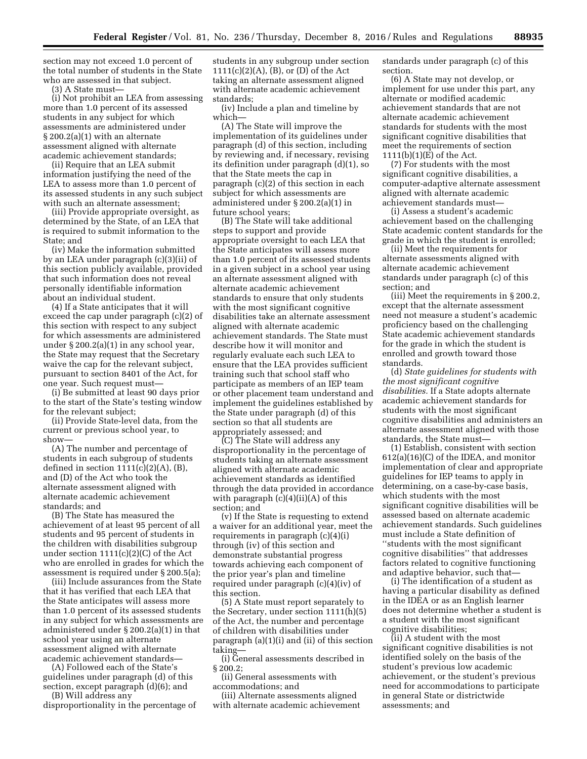section may not exceed 1.0 percent of the total number of students in the State who are assessed in that subject.

(3) A State must—

(i) Not prohibit an LEA from assessing more than 1.0 percent of its assessed students in any subject for which assessments are administered under § 200.2(a)(1) with an alternate assessment aligned with alternate academic achievement standards;

(ii) Require that an LEA submit information justifying the need of the LEA to assess more than 1.0 percent of its assessed students in any such subject with such an alternate assessment;

(iii) Provide appropriate oversight, as determined by the State, of an LEA that is required to submit information to the State; and

(iv) Make the information submitted by an LEA under paragraph (c)(3)(ii) of this section publicly available, provided that such information does not reveal personally identifiable information about an individual student.

(4) If a State anticipates that it will exceed the cap under paragraph (c)(2) of this section with respect to any subject for which assessments are administered under § 200.2(a)(1) in any school year, the State may request that the Secretary waive the cap for the relevant subject, pursuant to section 8401 of the Act, for one year. Such request must—

(i) Be submitted at least 90 days prior to the start of the State's testing window for the relevant subject;

(ii) Provide State-level data, from the current or previous school year, to show—

(A) The number and percentage of students in each subgroup of students defined in section  $1111(c)(2)(A)$ ,  $(B)$ , and (D) of the Act who took the alternate assessment aligned with alternate academic achievement standards; and

(B) The State has measured the achievement of at least 95 percent of all students and 95 percent of students in the children with disabilities subgroup under section  $1111(c)(2)(C)$  of the Act who are enrolled in grades for which the assessment is required under § 200.5(a);

(iii) Include assurances from the State that it has verified that each LEA that the State anticipates will assess more than 1.0 percent of its assessed students in any subject for which assessments are administered under § 200.2(a)(1) in that school year using an alternate assessment aligned with alternate academic achievement standards—

(A) Followed each of the State's guidelines under paragraph (d) of this section, except paragraph (d)(6); and

(B) Will address any disproportionality in the percentage of

students in any subgroup under section 1111(c)(2)(A), (B), or (D) of the Act taking an alternate assessment aligned with alternate academic achievement standards;

(iv) Include a plan and timeline by which—

(A) The State will improve the implementation of its guidelines under paragraph (d) of this section, including by reviewing and, if necessary, revising its definition under paragraph (d)(1), so that the State meets the cap in paragraph (c)(2) of this section in each subject for which assessments are administered under § 200.2(a)(1) in future school years;

(B) The State will take additional steps to support and provide appropriate oversight to each LEA that the State anticipates will assess more than 1.0 percent of its assessed students in a given subject in a school year using an alternate assessment aligned with alternate academic achievement standards to ensure that only students with the most significant cognitive disabilities take an alternate assessment aligned with alternate academic achievement standards. The State must describe how it will monitor and regularly evaluate each such LEA to ensure that the LEA provides sufficient training such that school staff who participate as members of an IEP team or other placement team understand and implement the guidelines established by the State under paragraph (d) of this section so that all students are appropriately assessed; and

(C) The State will address any disproportionality in the percentage of students taking an alternate assessment aligned with alternate academic achievement standards as identified through the data provided in accordance with paragraph  $(c)(4)(ii)(A)$  of this section; and

(v) If the State is requesting to extend a waiver for an additional year, meet the requirements in paragraph (c)(4)(i) through (iv) of this section and demonstrate substantial progress towards achieving each component of the prior year's plan and timeline required under paragraph (c)(4)(iv) of this section.

(5) A State must report separately to the Secretary, under section 1111(h)(5) of the Act, the number and percentage of children with disabilities under paragraph (a)(1)(i) and (ii) of this section taking—

(i) General assessments described in § 200.2;

(ii) General assessments with accommodations; and

(iii) Alternate assessments aligned with alternate academic achievement standards under paragraph (c) of this section.

(6) A State may not develop, or implement for use under this part, any alternate or modified academic achievement standards that are not alternate academic achievement standards for students with the most significant cognitive disabilities that meet the requirements of section 1111(b)(1)(E) of the Act.

(7) For students with the most significant cognitive disabilities, a computer-adaptive alternate assessment aligned with alternate academic achievement standards must—

(i) Assess a student's academic achievement based on the challenging State academic content standards for the grade in which the student is enrolled;

(ii) Meet the requirements for alternate assessments aligned with alternate academic achievement standards under paragraph (c) of this section; and

(iii) Meet the requirements in § 200.2, except that the alternate assessment need not measure a student's academic proficiency based on the challenging State academic achievement standards for the grade in which the student is enrolled and growth toward those standards.

(d) *State guidelines for students with the most significant cognitive disabilities.* If a State adopts alternate academic achievement standards for students with the most significant cognitive disabilities and administers an alternate assessment aligned with those standards, the State must—

(1) Establish, consistent with section 612(a)(16)(C) of the IDEA, and monitor implementation of clear and appropriate guidelines for IEP teams to apply in determining, on a case-by-case basis, which students with the most significant cognitive disabilities will be assessed based on alternate academic achievement standards. Such guidelines must include a State definition of ''students with the most significant cognitive disabilities'' that addresses factors related to cognitive functioning and adaptive behavior, such that—

(i) The identification of a student as having a particular disability as defined in the IDEA or as an English learner does not determine whether a student is a student with the most significant cognitive disabilities;

(ii) A student with the most significant cognitive disabilities is not identified solely on the basis of the student's previous low academic achievement, or the student's previous need for accommodations to participate in general State or districtwide assessments; and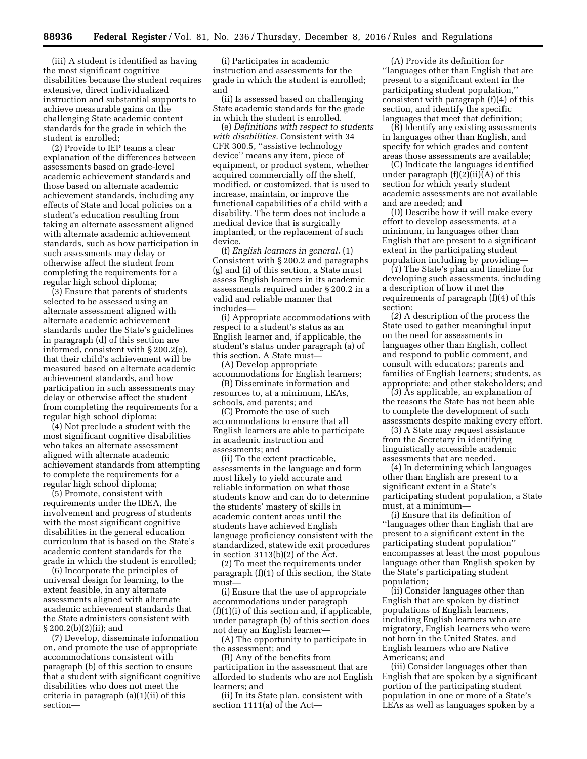(iii) A student is identified as having the most significant cognitive disabilities because the student requires extensive, direct individualized instruction and substantial supports to achieve measurable gains on the challenging State academic content standards for the grade in which the student is enrolled;

(2) Provide to IEP teams a clear explanation of the differences between assessments based on grade-level academic achievement standards and those based on alternate academic achievement standards, including any effects of State and local policies on a student's education resulting from taking an alternate assessment aligned with alternate academic achievement standards, such as how participation in such assessments may delay or otherwise affect the student from completing the requirements for a regular high school diploma;

(3) Ensure that parents of students selected to be assessed using an alternate assessment aligned with alternate academic achievement standards under the State's guidelines in paragraph (d) of this section are informed, consistent with § 200.2(e), that their child's achievement will be measured based on alternate academic achievement standards, and how participation in such assessments may delay or otherwise affect the student from completing the requirements for a regular high school diploma;

(4) Not preclude a student with the most significant cognitive disabilities who takes an alternate assessment aligned with alternate academic achievement standards from attempting to complete the requirements for a regular high school diploma;

(5) Promote, consistent with requirements under the IDEA, the involvement and progress of students with the most significant cognitive disabilities in the general education curriculum that is based on the State's academic content standards for the grade in which the student is enrolled;

(6) Incorporate the principles of universal design for learning, to the extent feasible, in any alternate assessments aligned with alternate academic achievement standards that the State administers consistent with § 200.2(b)(2)(ii); and

(7) Develop, disseminate information on, and promote the use of appropriate accommodations consistent with paragraph (b) of this section to ensure that a student with significant cognitive disabilities who does not meet the criteria in paragraph (a)(1)(ii) of this section—

(i) Participates in academic instruction and assessments for the grade in which the student is enrolled; and

(ii) Is assessed based on challenging State academic standards for the grade in which the student is enrolled.

(e) *Definitions with respect to students with disabilities.* Consistent with 34 CFR 300.5, ''assistive technology device'' means any item, piece of equipment, or product system, whether acquired commercially off the shelf, modified, or customized, that is used to increase, maintain, or improve the functional capabilities of a child with a disability. The term does not include a medical device that is surgically implanted, or the replacement of such device.

(f) *English learners in general.* (1) Consistent with § 200.2 and paragraphs (g) and (i) of this section, a State must assess English learners in its academic assessments required under § 200.2 in a valid and reliable manner that includes—

(i) Appropriate accommodations with respect to a student's status as an English learner and, if applicable, the student's status under paragraph (a) of this section. A State must—

(A) Develop appropriate accommodations for English learners;

(B) Disseminate information and resources to, at a minimum, LEAs, schools, and parents; and

(C) Promote the use of such accommodations to ensure that all English learners are able to participate in academic instruction and assessments; and

(ii) To the extent practicable, assessments in the language and form most likely to yield accurate and reliable information on what those students know and can do to determine the students' mastery of skills in academic content areas until the students have achieved English language proficiency consistent with the standardized, statewide exit procedures in section 3113(b)(2) of the Act.

(2) To meet the requirements under paragraph (f)(1) of this section, the State must—

(i) Ensure that the use of appropriate accommodations under paragraph (f)(1)(i) of this section and, if applicable, under paragraph (b) of this section does not deny an English learner—

(A) The opportunity to participate in the assessment; and

(B) Any of the benefits from participation in the assessment that are afforded to students who are not English learners; and

(ii) In its State plan, consistent with section 1111(a) of the Act—

(A) Provide its definition for ''languages other than English that are present to a significant extent in the participating student population,'' consistent with paragraph (f)(4) of this section, and identify the specific languages that meet that definition;

(B) Identify any existing assessments in languages other than English, and specify for which grades and content areas those assessments are available;

(C) Indicate the languages identified under paragraph  $(f)(2)(ii)(A)$  of this section for which yearly student academic assessments are not available and are needed; and

(D) Describe how it will make every effort to develop assessments, at a minimum, in languages other than English that are present to a significant extent in the participating student population including by providing—

(*1*) The State's plan and timeline for developing such assessments, including a description of how it met the requirements of paragraph (f)(4) of this section;

(*2*) A description of the process the State used to gather meaningful input on the need for assessments in languages other than English, collect and respond to public comment, and consult with educators; parents and families of English learners; students, as appropriate; and other stakeholders; and

(*3*) As applicable, an explanation of the reasons the State has not been able to complete the development of such assessments despite making every effort.

(3) A State may request assistance from the Secretary in identifying linguistically accessible academic assessments that are needed.

(4) In determining which languages other than English are present to a significant extent in a State's participating student population, a State must, at a minimum—

(i) Ensure that its definition of ''languages other than English that are present to a significant extent in the participating student population'' encompasses at least the most populous language other than English spoken by the State's participating student population;

(ii) Consider languages other than English that are spoken by distinct populations of English learners, including English learners who are migratory, English learners who were not born in the United States, and English learners who are Native Americans; and

(iii) Consider languages other than English that are spoken by a significant portion of the participating student population in one or more of a State's LEAs as well as languages spoken by a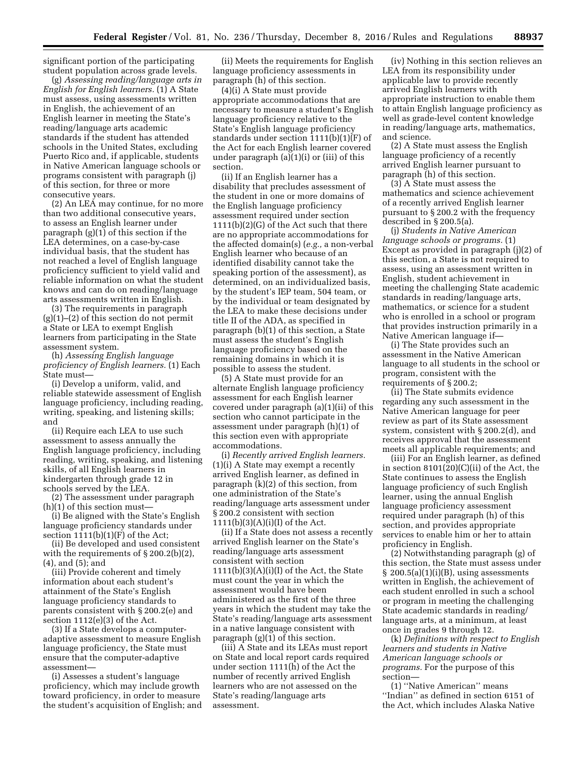significant portion of the participating student population across grade levels.

(g) *Assessing reading/language arts in English for English learners.* (1) A State must assess, using assessments written in English, the achievement of an English learner in meeting the State's reading/language arts academic standards if the student has attended schools in the United States, excluding Puerto Rico and, if applicable, students in Native American language schools or programs consistent with paragraph (j) of this section, for three or more consecutive years.

(2) An LEA may continue, for no more than two additional consecutive years, to assess an English learner under paragraph (g)(1) of this section if the LEA determines, on a case-by-case individual basis, that the student has not reached a level of English language proficiency sufficient to yield valid and reliable information on what the student knows and can do on reading/language arts assessments written in English.

(3) The requirements in paragraph  $(g)(1)$ – $(2)$  of this section do not permit a State or LEA to exempt English learners from participating in the State assessment system.

(h) *Assessing English language proficiency of English learners.* (1) Each State must—

(i) Develop a uniform, valid, and reliable statewide assessment of English language proficiency, including reading, writing, speaking, and listening skills; and

(ii) Require each LEA to use such assessment to assess annually the English language proficiency, including reading, writing, speaking, and listening skills, of all English learners in kindergarten through grade 12 in schools served by the LEA.

(2) The assessment under paragraph (h)(1) of this section must—

(i) Be aligned with the State's English language proficiency standards under section  $1111(b)(1)(F)$  of the Act;

(ii) Be developed and used consistent with the requirements of § 200.2(b)(2), (4), and (5); and

(iii) Provide coherent and timely information about each student's attainment of the State's English language proficiency standards to parents consistent with § 200.2(e) and section 1112(e)(3) of the Act.

(3) If a State develops a computeradaptive assessment to measure English language proficiency, the State must ensure that the computer-adaptive assessment—

(i) Assesses a student's language proficiency, which may include growth toward proficiency, in order to measure the student's acquisition of English; and

(ii) Meets the requirements for English language proficiency assessments in paragraph (h) of this section.

(4)(i) A State must provide appropriate accommodations that are necessary to measure a student's English language proficiency relative to the State's English language proficiency standards under section 1111(b)(1)(F) of the Act for each English learner covered under paragraph (a)(1)(i) or (iii) of this section.

(ii) If an English learner has a disability that precludes assessment of the student in one or more domains of the English language proficiency assessment required under section 1111(b)(2)(G) of the Act such that there are no appropriate accommodations for the affected domain(s) (*e.g.,* a non-verbal English learner who because of an identified disability cannot take the speaking portion of the assessment), as determined, on an individualized basis, by the student's IEP team, 504 team, or by the individual or team designated by the LEA to make these decisions under title II of the ADA, as specified in paragraph (b)(1) of this section, a State must assess the student's English language proficiency based on the remaining domains in which it is possible to assess the student.

(5) A State must provide for an alternate English language proficiency assessment for each English learner covered under paragraph (a)(1)(ii) of this section who cannot participate in the assessment under paragraph (h)(1) of this section even with appropriate accommodations.

(i) *Recently arrived English learners.*  (1)(i) A State may exempt a recently arrived English learner, as defined in paragraph (k)(2) of this section, from one administration of the State's reading/language arts assessment under § 200.2 consistent with section 1111(b)(3)(A)(i)(I) of the Act.

(ii) If a State does not assess a recently arrived English learner on the State's reading/language arts assessment consistent with section  $1111(b)(3)(A)(i)(I)$  of the Act, the State must count the year in which the assessment would have been administered as the first of the three years in which the student may take the State's reading/language arts assessment in a native language consistent with paragraph (g)(1) of this section.

(iii) A State and its LEAs must report on State and local report cards required under section 1111(h) of the Act the number of recently arrived English learners who are not assessed on the State's reading/language arts assessment.

(iv) Nothing in this section relieves an LEA from its responsibility under applicable law to provide recently arrived English learners with appropriate instruction to enable them to attain English language proficiency as well as grade-level content knowledge in reading/language arts, mathematics, and science.

(2) A State must assess the English language proficiency of a recently arrived English learner pursuant to paragraph (h) of this section.

(3) A State must assess the mathematics and science achievement of a recently arrived English learner pursuant to § 200.2 with the frequency described in § 200.5(a).

(j) *Students in Native American language schools or programs.* (1) Except as provided in paragraph (j)(2) of this section, a State is not required to assess, using an assessment written in English, student achievement in meeting the challenging State academic standards in reading/language arts, mathematics, or science for a student who is enrolled in a school or program that provides instruction primarily in a Native American language if—

(i) The State provides such an assessment in the Native American language to all students in the school or program, consistent with the requirements of § 200.2;

(ii) The State submits evidence regarding any such assessment in the Native American language for peer review as part of its State assessment system, consistent with § 200.2(d), and receives approval that the assessment meets all applicable requirements; and

(iii) For an English learner, as defined in section 8101(20)(C)(ii) of the Act, the State continues to assess the English language proficiency of such English learner, using the annual English language proficiency assessment required under paragraph (h) of this section, and provides appropriate services to enable him or her to attain proficiency in English.

(2) Notwithstanding paragraph (g) of this section, the State must assess under  $\S$  200.5(a)(1)(i)(B), using assessments written in English, the achievement of each student enrolled in such a school or program in meeting the challenging State academic standards in reading/ language arts, at a minimum, at least once in grades 9 through 12.

(k) *Definitions with respect to English learners and students in Native American language schools or programs.* For the purpose of this section—

(1) ''Native American'' means ''Indian'' as defined in section 6151 of the Act, which includes Alaska Native